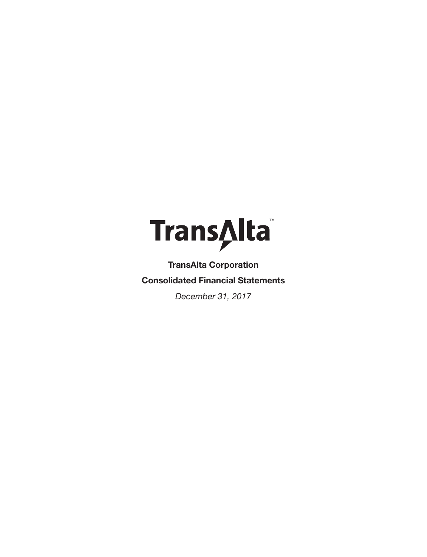

**TransAlta Corporation Consolidated Financial Statements**

*December 31, 2017*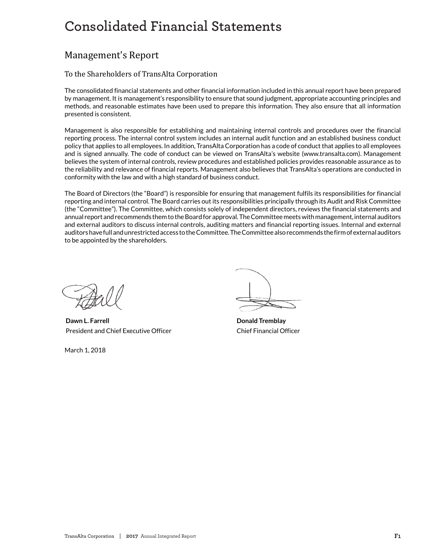# Consolidated Financial Statements **Consolidated Financial Statements**

# Management's Report

# To the Shareholders of TransAlta Corporation

The consolidated financial statements and other financial information included in this annual report have been prepared by management. It is management's responsibility to ensure that sound judgment, appropriate accounting principles and methods, and reasonable estimates have been used to prepare this information. They also ensure that all information presented is consistent.

Management is also responsible for establishing and maintaining internal controls and procedures over the financial reporting process. The internal control system includes an internal audit function and an established business conduct policy that applies to all employees. In addition, TransAlta Corporation has a code of conduct that applies to all employees and is signed annually. The code of conduct can be viewed on TransAlta's website (www.transalta.com). Management believes the system of internal controls, review procedures and established policies provides reasonable assurance as to the reliability and relevance of financial reports. Management also believes that TransAlta's operations are conducted in conformity with the law and with a high standard of business conduct.

The Board of Directors (the "Board") is responsible for ensuring that management fulfils its responsibilities for financial reporting and internal control. The Board carries out its responsibilities principally through its Audit and Risk Committee (the "Committee"). The Committee, which consists solely of independent directors, reviews the financial statements and annual report and recommends them to the Board for approval. The Committee meets with management, internal auditors and external auditors to discuss internal controls, auditing matters and financial reporting issues. Internal and external auditors have full and unrestricted access to the Committee. The Committee also recommends the firm of external auditors to be appointed by the shareholders.

**Dawn L. Farrell Donald Tremblay** President and Chief Executive Officer Chief Financial Officer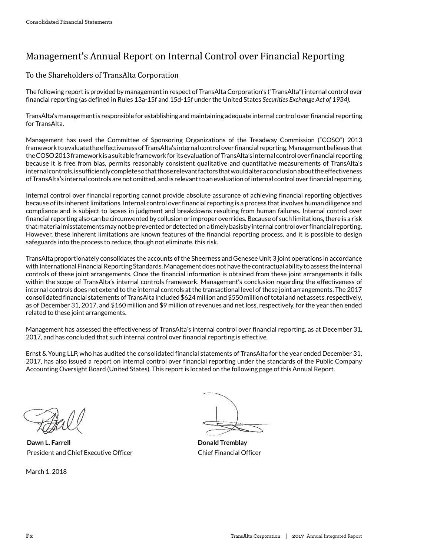# Management's Annual Report on Internal Control over Financial Reporting

To the Shareholders of TransAlta Corporation

The following report is provided by management in respect of TransAlta Corporation's ("TransAlta") internal control over financial reporting (as defined in Rules 13a-15f and 15d-15f under the United States *Securities Exchange Act of 1934).*

TransAlta's management is responsible for establishing and maintaining adequate internal control over financial reporting for TransAlta.

Management has used the Committee of Sponsoring Organizations of the Treadway Commission ("COSO") 2013 framework to evaluate the effectiveness of TransAlta's internal control over financial reporting. Management believes that the COSO 2013 framework is a suitable framework for its evaluation of TransAlta's internal control over financial reporting because it is free from bias, permits reasonably consistent qualitative and quantitative measurements of TransAlta's internal controls, is sufficiently complete so that those relevant factors that would alter a conclusion about the effectiveness of TransAlta's internal controls are not omitted, and is relevant to an evaluation of internal control over financial reporting.

Internal control over financial reporting cannot provide absolute assurance of achieving financial reporting objectives because of its inherent limitations. Internal control over financial reporting is a process that involves human diligence and compliance and is subject to lapses in judgment and breakdowns resulting from human failures. Internal control over financial reporting also can be circumvented by collusion or improper overrides. Because of such limitations, there is a risk that material misstatements may not be prevented or detected on a timely basis by internal control over financial reporting. However, these inherent limitations are known features of the financial reporting process, and it is possible to design safeguards into the process to reduce, though not eliminate, this risk.

TransAlta proportionately consolidates the accounts of the Sheerness and Genesee Unit 3 joint operations in accordance with International Financial Reporting Standards. Management does not have the contractual ability to assess the internal controls of these joint arrangements. Once the financial information is obtained from these joint arrangements it falls within the scope of TransAlta's internal controls framework. Management's conclusion regarding the effectiveness of internal controls does not extend to the internal controls at the transactional level of these joint arrangements. The 2017 consolidated financial statements of TransAlta included \$624 million and \$550 million of total and net assets, respectively, as of December 31, 2017, and \$160 million and \$9 million of revenues and net loss, respectively, for the year then ended related to these joint arrangements.

Management has assessed the effectiveness of TransAlta's internal control over financial reporting, as at December 31, 2017, and has concluded that such internal control over financial reporting is effective.

Ernst & Young LLP, who has audited the consolidated financial statements of TransAlta for the year ended December 31, 2017, has also issued a report on internal control over financial reporting under the standards of the Public Company Accounting Oversight Board (United States). This report is located on the following page of this Annual Report.

**Dawn L. Farrell Donald Tremblay** President and Chief Executive Officer Chief Financial Officer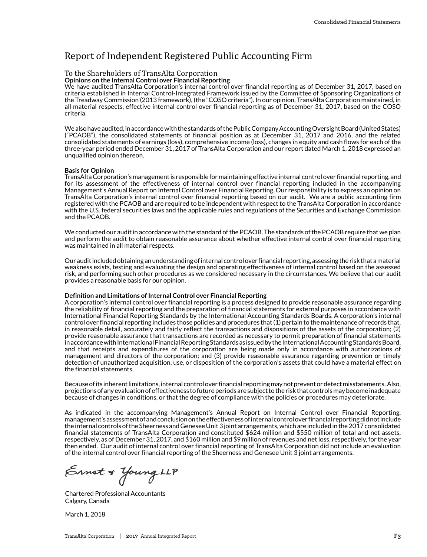# Report of Independent Registered Public Accounting Firm

#### To the Shareholders of TransAlta Corporation

**Opinions on the Internal Control over Financial Reporting**

**Opinions on the internal Control over Financial Reporting**<br>We have audited TransAlta Corporation's internal control over financial reporting as of December 31, 2017, based on criteria established in Internal Control-Integrated Framework issued by the Committee of Sponsoring Organizations of the Treadway Commission (2013 framework), (the "COSO criteria"). In our opinion, TransAlta Corporation maintained, in all material respects, effective internal control over financial reporting as of December 31, 2017, based on the COSO **Opinions on the Internal Control over Financial Reporting** criteria. We have audited TransAlta Corporation's internal control over financial reporting as of December 31, 2017, based on

.<br>We also have audited, in accordance with the standards of the Public Company Accounting Oversight Board (United States) reasonave addred, mate original with the standards of the Fubite Company Accounting Oversignt Board (Onited States)<br>("PCAOB"), the consolidated statements of financial position as at December 31, 2017 and 2016, and the rel consolidated statements of earnings (loss), comprehensive income (loss), changes in equity and cash flows for each of the criteria. three-year period ended December 31, 2017 of TransAlta Corporation and our report dated March 1, 2018 expressed an unqualified opinion thereon. We also have also have also have also have also have also have also have a standard ("PCAOB"), the consolidated statements of financial position as at December 31, 2017 and 2016, and the related

#### **Basis for Opinion** consolidated statements of earnings (loss), comprehensive income (loss), comprehensive in equity and cash flows for each of the theory of the theory flows for each of the theory flows for each of the theory flows for the t

Basis for Opmion<br>TransAlta Corporation's management is responsible for maintaining effective internal control over financial reporting, and Transacta Corporation smanagement is responsible for manitaliting encetive internal control over imancial reporting<br>for its assessment of the effectiveness of internal control over financial reporting included in the accom Management's Annual Report on Internal Control over Financial Reporting. Our responsibility is to express an opinion on TransAlta Corporation's internal control over financial reporting based on our audit. We are a public accounting firm **Basis for Opinion** registered with the PCAOB and are required to be independent with respect to the TransAlta Corporation in accordance with the U.S. federal securities laws and the applicable rules and regulations of the Securities and Exchange Commission and the PCAOB. Annual Report on Internal Control over Financial Report on Internal Control over Financial Reporting. Our responsibility is to express an opinion on Internal Reporting. Our responsibility is to express an op

.<br>We conducted our audit in accordance with the standard of the PCAOB. The standards of the PCAOB require that we plan and perform the audit to obtain reasonable assurance about whether effective internal control over financial reporting<br>and perform the audit to obtain reasonable assurance about whether effective internal control over fina and perform the addit to obtain reason.<br>was maintained in all material respects.

Our audit included obtaining an understanding of internal control over financial reporting, assessing the risk that a material but additionated obtaining and locationing of international or over miancian epot ang, assessing the risk anatematerial<br>weakness exists, testing and evaluating the design and operating effectiveness of internal control bas weakness exists, testing and evaluating the design and operating enectiveness or internal control based on the assessed<br>risk, and performing such other procedures as we considered necessary in the circumstances. We believe provides a reasonable basis for our opinion. Our audit included obtaining an understanding of internal control over financial reporting, assessing the risk that a material

# **Definition and Limitations of Internal Control over Financial Reporting effectiveness on the assessed on the a**

o common and Emmations of meeting control over Timancial Reporting<br>A corporation's internal control over financial reporting is a process designed to provide reasonable assurance regarding A corporation's internal control over imancial reporting is a process designed to provide reasonable assurance regarding<br>the reliability of financial reporting and the preparation of financial statements for external purpo International Financial Reporting Standards by the International Accounting Standards Boards. A corporation's internal control over financial reporting includes those policies and procedures that (1) pertain to the maintenance of records that, in reasonable detail, accurately and fairly reflect the transactions and dispositions of the assets of the corporation; (2) provide reasonable assurance that transactions are recorded as necessary to permit preparation of financial statements .<br>in accordance with International Financial Reporting Standards as issued by the International Accounting Standards Board, and that receipts and expenditures of the corporation are being made only in accordance with authorizations of management and directors of the corporation; and (3) provide reasonable assurance regarding prevention or timely detection of unauthorized acquisition, use, or disposition of the corporation's assets that could have a material effect on in accordance with International Financial Reporting Standards as isoued by the International Accounting Standards as isoued by the International Accounting Standards Board, Board, Board, Board, Board, Board, Board, Board,

.<br>Because of its inherent limitations, internal control over financial reporting may not prevent or detect misstatements. Also, projections of any evaluation of effectiveness to future periods are subject to the risk that controls may become inadequate projections or any evaluation of enectiveness to future periods are subject to the risk that controls may become maded<br>because of changes in conditions, or that the degree of compliance with the policies or procedures may

As indicated in the accompanying Management's Annual Report on Internal Control over Financial Reporting, management's assessment of and conclusion on the effectiveness of internal control over financial reporting did not include the internal controls of the Sheerness and Genesee Unit 3 joint arrangements, which are included in the 2017 consolidated financial statements of TransAlta Corporation and constituted \$624 million and \$550 million of total and net assets, respectively, as of December 31, 2017, and \$160 million and \$9 million of revenues and net loss, respectively, for the year then ended. Our audit of internal control over financial reporting of TransAlta Corporation did not include an evaluation of the internal control over financial reporting of the Sheerness and Genesee Unit 3 joint arrangements. final statements of TransAlta Corporation and constituted  $\frac{1}{2}$  million and net assets,  $\frac{1}{2}$ 

 $\mathcal{L}_{\text{total}}$  and  $\mathcal{L}_{\text{total}}$ Calgary, Canada  $\epsilon$  31, 2017, and 31, 2017, and  $\epsilon$  $t_{\text{st}}$   $\sim$   $t_{\text{t}}$   $\sim$   $t_{\text{t}}$   $\sim$   $t_{\text{t}}$   $\sim$   $t_{\text{t}}$   $\sim$   $t_{\text{t}}$   $\sim$   $t_{\text{t}}$  $\delta$  the internal control over  $\delta$ 

March 1, 2018 Chartered Professional Accountants Calgary, Canada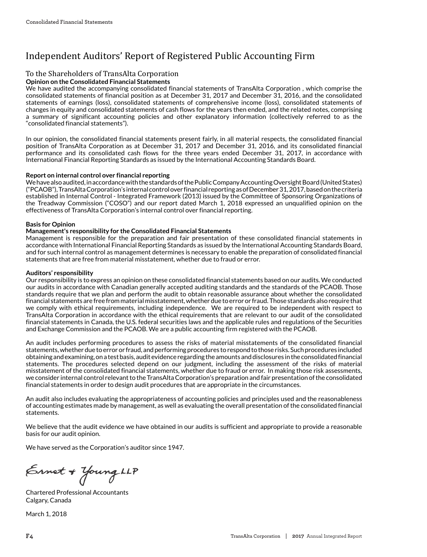# Independent Auditors' Report of Registered Public Accounting Firm

### To the Shareholders of TransAlta Corporation

#### **Opinion on the Consolidated Financial Statements**

We have audited the accompanying consolidated financial statements of TransAlta Corporation, which comprise the consolidated statements of financial position as at December 31, 2017 and December 31, 2016, and the consolidated statements of earnings (loss), consolidated statements of comprehensive income (loss), consolidated statements of changes in equity and consolidated statements of comprehensive income (loss), consolidated statements of cash flows for the years then ended, and the related notes, comprising changes in equity and consolidated statements a summary of significant accounting policies and other explanatory information (collectively referred to as the<br>" " $\epsilon$ onsolidated financial statements").

In our opinion, the consolidated financial statements present fairly, in all material respects, the consolidated financial position of TransAlta Corporation as at December 31, 2017 and December 31, 2016, and its consolidated financial performance and its consolidated cash flows for the three years ended December 31, 2017, in accordance with International Financial Reporting Standards as issued by the International Accounting Standards Board. In our opinion, the consolidated financial statements present fairly, in all material respects, the consolidated financial

#### **In our opinion, the consolidate financial reporting fairly, in all material respects, the consolidate field fi**<br>In all materials respects, the consolidated financial reporting  $\rho$  Report on internal control over financial reporting  $\rho$  ,  $\rho$  ,  $\rho$  , and its consolidated financial reporting financial reporting financial reporting financial reporting financial reporting financial reporting fi

We have also audited, in accordance with the standards of the Public Company Accounting Oversight Board (United States) ("PCAOB"), TransAlta Corporation's internal control over financial reporting as of December 31, 2017, based on the criteria established in Internal Control - Integrated Framework (2013) issued by the Committee of Sponsoring Organizations of the Treadway Commission ("COSO") and our report dated March 1, 2018 expressed an unqualified opinion on the effectiveness of TransAlta Corporation's internal control over financial reporting.

#### **Basis for Opinion**  $P_{\text{C}}$  corporation internal control over financial reporting as of December 31, 2017, based on the criterial reporting as of December 31, 2017, based on the criterial report of December 31, 2017, based on the criterial

# ь asis for Орипон<br>Management's responsibility for the Consolidated Financial Statements

rvanagement s responsibility for the Consolidated Financial Statements<br>Management is responsible for the preparation and fair presentation of these consolidated financial statements in accordance with International Financial Reporting Standards as issued by the International Accounting Standards Board, and for such internal control as management determines is necessary to enable the preparation of consolidated financial **Basis for Opinion** statements that are free from material misstatement, whether due to fraud or error. effectiveness of the Transalta Corporation's internal corporation of the corporation of the control over financial reports of the control of the corporation of the corporation of the corporation of the corporation of the c

#### **Auditors' responsibility**  $\mathbf{A}$  and fair presentation and fair preparation and fair presentation of these consolidated financial statements in  $\mathbf{A}$

Auditors' responsibility<br>Our responsibility is to express an opinion on these consolidated financial statements based on our audits. We conducted our audits in accordance with Canadian generally accepted auditing standards and the standards of the PCAOB. Those<br>استخدام المسلمات standards require that we plan and perform the audit to obtain reasonable assurance about whether the consolidated financial statements are free from material misstatement, whether due to error or fraud. Those standards also require that we comply with ethical requirements, including independence. We are required to be independent with respect to TransAlta Corporation in accordance with the ethical requirements that are relevant to our audit of the consolidated financial statements in Canada, the U.S. federal securities laws and the applicable rules and regulations of the Securities<br>and Eurharea Canadian and the PCAOD Means quiblis accounting finance intenselyith the PCAOD and Exchange Commission and the PCAOB. We are a public accounting firm registered with the PCAOB. Our responsibility is to express an optimon on these consolidated financial statements based of our addition of control action

.<br>An audit includes performing procedures to assess the risks of material misstatements of the consolidated financial statements, whether due to error or fraud, and performing procedures to respond to those risks. Such procedures included obtaining and examining, on a test basis, audit evidence regarding the amounts and disclosures in the consolidated financial and Exchange Commission and the PCAOB. We are a public accounting firm registered with the PCAOB. statements. The procedures selected depend on our judgment, including the assessment of the risks of material misstatement of the consolidated financial statements, whether due to fraud or error. In making those risk assessments, we consider internal control relevant to the TransAlta Corporation's preparation and fair presentation of the consolidated<br>figure islate that we are a serious continuously we converge that are appropriate in the sign weste financial statements in order to design audit procedures that are appropriate in the circumstances. An audit includes performing procedures to assess the risks of material misstatements of the consolidated financial  $\overline{\phantom{a}}$ 

.<br>An audit also includes evaluating the appropriateness of accounting policies and principles used and the reasonableness of accounting estimates made by management, as well as evaluating the overall presentation of the consolidated financial<br>. statements. An audit also includes evaluating the appropriateness or accounting policies and principles used and the reasonable less financial statements in order to design audit procedures that are appropriate in the circumstances.

We believe that the audit evidence we have obtained in our audits is sufficient and appropriate to provide a reasonable<br>'  $\mathsf{basis}$  for our audit opinion.  $\mathsf{matrix}$ 

we have served as the Corporation's auditor since 1947.

Chartered Professional Accountants  $_{\zeta_{\text{A}}\text{m}}$  $\epsilon$   $\epsilon$   $\epsilon$  $\mathcal{A}$  as the  $\mathcal{A}$ 

Chartered Professional Accountants Calgary, Canada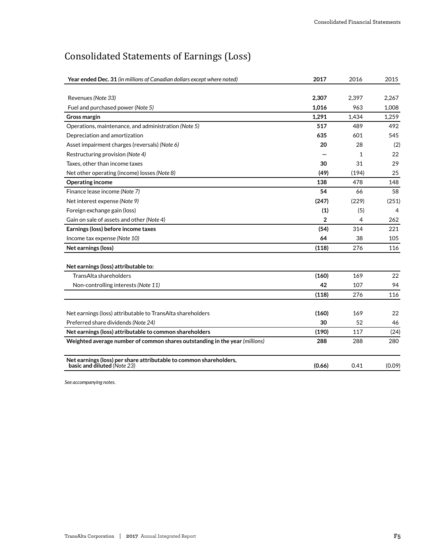# Consolidated Statements of Earnings (Loss)

| Year ended Dec. 31 (in millions of Canadian dollars except where noted)                           | 2017         | 2016  | 2015           |
|---------------------------------------------------------------------------------------------------|--------------|-------|----------------|
|                                                                                                   |              |       |                |
| Revenues (Note 33)                                                                                | 2,307        | 2,397 | 2,267          |
| Fuel and purchased power (Note 5)                                                                 | 1,016        | 963   | 1,008          |
| Gross margin                                                                                      | 1,291        | 1,434 | 1,259          |
| Operations, maintenance, and administration (Note 5)                                              | 517          | 489   | 492            |
| Depreciation and amortization                                                                     | 635          | 601   | 545            |
| Asset impairment charges (reversals) (Note 6)                                                     | 20           | 28    | (2)            |
| Restructuring provision (Note 4)                                                                  |              | 1     | 22             |
| Taxes, other than income taxes                                                                    | 30           | 31    | 29             |
| Net other operating (income) losses (Note 8)                                                      | (49)         | (194) | 25             |
| <b>Operating income</b>                                                                           | 138          | 478   | 148            |
| Finance lease income (Note 7)                                                                     | 54           | 66    | 58             |
| Net interest expense (Note 9)                                                                     | (247)        | (229) | (251)          |
| Foreign exchange gain (loss)                                                                      | (1)          | (5)   | $\overline{4}$ |
| Gain on sale of assets and other (Note 4)                                                         | $\mathbf{2}$ | 4     | 262            |
| Earnings (loss) before income taxes                                                               | (54)         | 314   | 221            |
| Income tax expense (Note 10)                                                                      | 64           | 38    | 105            |
| Net earnings (loss)                                                                               | (118)        | 276   | 116            |
| Net earnings (loss) attributable to:                                                              |              |       |                |
| TransAlta shareholders                                                                            | (160)        | 169   | 22             |
| Non-controlling interests (Note 11)                                                               | 42           | 107   | 94             |
|                                                                                                   | (118)        | 276   | 116            |
|                                                                                                   |              |       |                |
| Net earnings (loss) attributable to TransAlta shareholders                                        | (160)        | 169   | 22             |
| Preferred share dividends (Note 24)                                                               | 30           | 52    | 46             |
| Net earnings (loss) attributable to common shareholders                                           | (190)        | 117   | (24)           |
| Weighted average number of common shares outstanding in the year (millions)                       | 288          | 288   | 280            |
| Net earnings (loss) per share attributable to common shareholders,<br>basic and diluted (Note 23) | (0.66)       | 0.41  | (0.09)         |
|                                                                                                   |              |       |                |

*See accompanying notes.*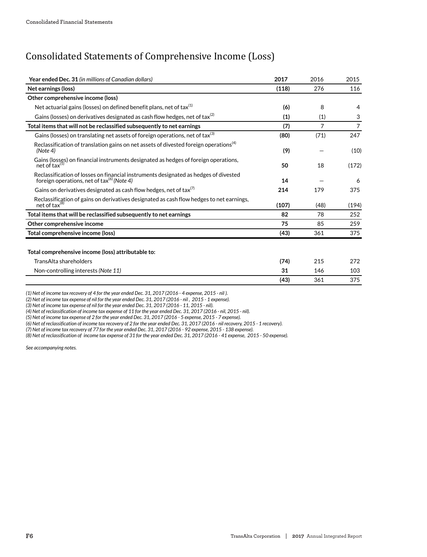# Consolidated Statements of Comprehensive Income (Loss)

| Year ended Dec. 31 (in millions of Canadian dollars)                                                                                           | 2017  | 2016           | 2015           |
|------------------------------------------------------------------------------------------------------------------------------------------------|-------|----------------|----------------|
| Net earnings (loss)                                                                                                                            | (118) | 276            | 116            |
| Other comprehensive income (loss)                                                                                                              |       |                |                |
| Net actuarial gains (losses) on defined benefit plans, net of tax <sup>(1)</sup>                                                               | (6)   | 8              | 4              |
| Gains (losses) on derivatives designated as cash flow hedges, net of tax $^{(2)}$                                                              | (1)   | (1)            | 3              |
| Total items that will not be reclassified subsequently to net earnings                                                                         | (7)   | $\overline{7}$ | $\overline{7}$ |
| Gains (losses) on translating net assets of foreign operations, net of tax <sup>(3)</sup>                                                      | (80)  | (71)           | 247            |
| Reclassification of translation gains on net assets of divested foreign operations <sup>(4)</sup><br>(Note 4)                                  | (9)   |                | (10)           |
| Gains (losses) on financial instruments designated as hedges of foreign operations,<br>net of tax $(5)$                                        | 50    | 18             | (172)          |
| Reclassification of losses on financial instruments designated as hedges of divested<br>foreign operations, net of tax <sup>(6)</sup> (Note 4) | 14    |                | 6              |
| Gains on derivatives designated as cash flow hedges, net of tax <sup>(7)</sup>                                                                 | 214   | 179            | 375            |
| Reclassification of gains on derivatives designated as cash flow hedges to net earnings,<br>net of tax <sup>(8)</sup>                          | (107) | (48)           | (194)          |
| Total items that will be reclassified subsequently to net earnings                                                                             | 82    | 78             | 252            |
| Other comprehensive income                                                                                                                     | 75    | 85             | 259            |
| Total comprehensive income (loss)                                                                                                              | (43)  | 361            | 375            |
|                                                                                                                                                |       |                |                |
| Total comprehensive income (loss) attributable to:                                                                                             |       |                |                |
| TransAlta shareholders                                                                                                                         | (74)  | 215            | 272            |
| Non-controlling interests (Note 11)                                                                                                            | 31    | 146            | 103            |
|                                                                                                                                                | (43)  | 361            | 375            |
|                                                                                                                                                |       |                |                |

*(1) Net of income tax recovery of 4 for the year ended Dec. 31, 2017 (2016 - 4 expense, 2015 - nil ).*

*(2) Net of income tax expense of nil for the year ended Dec. 31, 2017 (2016 - nil , 2015 - 1 expense).*

*(3) Net of income tax expense of nil for the year ended Dec. 31, 2017 (2016 - 11, 2015 - nil).*

*(4) Net of reclassification of income tax expense of 11 for the year ended Dec. 31, 2017 (2016 - nil, 2015 - nil).*

*(5) Net of income tax expense of 2 for the year ended Dec. 31, 2017 (2016 - 5 expense, 2015 - 7 expense).*

*(6) Net of reclassification of income tax recovery of 2 for the year ended Dec. 31, 2017 (2016 - nil recovery, 2015 - 1 recovery).*

*(7) Net of income tax recovery of 77 for the year ended Dec. 31, 2017 (2016 - 92 expense, 2015 - 138 expense).*

*(8) Net of reclassification of income tax expense of 31 for the year ended Dec. 31, 2017 (2016 - 41 expense, 2015 - 50 expense).*

*See accompanying notes.*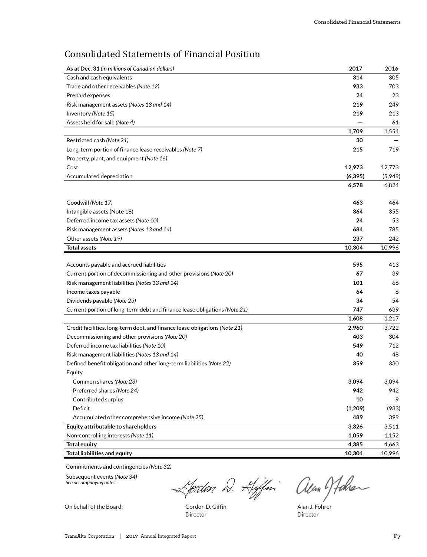# Consolidated Statements of Financial Position

| As at Dec. 31 (in millions of Canadian dollars)                            | 2017     | 2016    |
|----------------------------------------------------------------------------|----------|---------|
| Cash and cash equivalents                                                  | 314      | 305     |
| Trade and other receivables (Note 12)                                      | 933      | 703     |
| Prepaid expenses                                                           | 24       | 23      |
| Risk management assets (Notes 13 and 14)                                   | 219      | 249     |
| Inventory (Note 15)                                                        | 219      | 213     |
| Assets held for sale (Note 4)                                              |          | 61      |
|                                                                            | 1,709    | 1,554   |
| Restricted cash (Note 21)                                                  | 30       |         |
| Long-term portion of finance lease receivables (Note 7)                    | 215      | 719     |
| Property, plant, and equipment (Note 16)                                   |          |         |
| Cost                                                                       | 12,973   | 12,773  |
| Accumulated depreciation                                                   | (6, 395) | (5,949) |
|                                                                            | 6,578    | 6,824   |
| Goodwill (Note 17)                                                         | 463      | 464     |
| Intangible assets (Note 18)                                                | 364      | 355     |
| Deferred income tax assets (Note 10)                                       | 24       | 53      |
| Risk management assets (Notes 13 and 14)                                   | 684      | 785     |
| Other assets (Note 19)                                                     | 237      | 242     |
| <b>Total assets</b>                                                        | 10,304   | 10,996  |
|                                                                            |          |         |
| Accounts payable and accrued liabilities                                   | 595      | 413     |
| Current portion of decommissioning and other provisions (Note 20)          | 67       | 39      |
| Risk management liabilities (Notes 13 and 14)                              | 101      | 66      |
| Income taxes payable                                                       | 64       | 6       |
| Dividends payable (Note 23)                                                | 34       | 54      |
| Current portion of long-term debt and finance lease obligations (Note 21)  | 747      | 639     |
|                                                                            | 1,608    | 1,217   |
| Credit facilities, long-term debt, and finance lease obligations (Note 21) | 2,960    | 3,722   |
| Decommissioning and other provisions (Note 20)                             | 403      | 304     |
| Deferred income tax liabilities (Note 10)                                  | 549      | 712     |
| Risk management liabilities (Notes 13 and 14)                              | 40       | 48      |
| Defined benefit obligation and other long-term liabilities (Note 22)       | 359      | 330     |
| Equity                                                                     |          |         |
| Common shares (Note 23)                                                    | 3,094    | 3,094   |
| Preferred shares (Note 24)                                                 | 942      | 942     |
| Contributed surplus                                                        | 10       | 9       |
| Deficit                                                                    | (1,209)  | (933)   |
| Accumulated other comprehensive income (Note 25)                           | 489      | 399     |
| Equity attributable to shareholders                                        | 3,326    | 3,511   |
| Non-controlling interests (Note 11)                                        | 1,059    | 1,152   |
| <b>Total equity</b>                                                        | 4,385    | 4,663   |
| <b>Total liabilities and equity</b>                                        | 10,304   | 10,996  |

Commitments and contingencies *(Note 32)*

Subsequent events *(Note 34) See accompanying notes.*

**Lordon D. Hiffin allan Hohen** 

On behalf of the Board: Gordon D. Giffin Alan J. Fohrer

Director Director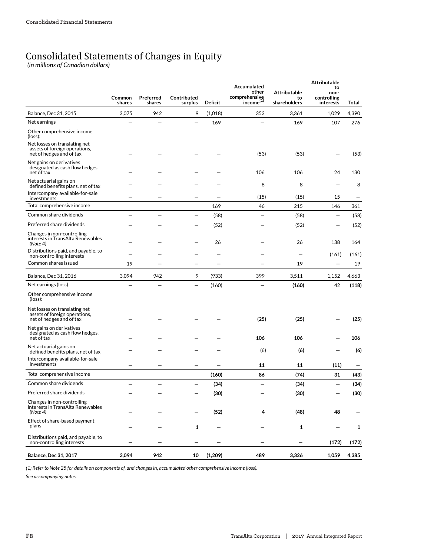# Consolidated Statements of Changes in Equity *(in millions of Canadian dollars)*

|                                                                                            | Common<br>shares | Preferred<br>shares | Contributed<br>surplus | Deficit | Accumulated<br>other<br>comprehensive<br>income(1) | <b>Attributable</b><br>to<br>shareholders | <b>Attributable</b><br>to<br>non-<br>controlling<br>interests | Total |
|--------------------------------------------------------------------------------------------|------------------|---------------------|------------------------|---------|----------------------------------------------------|-------------------------------------------|---------------------------------------------------------------|-------|
| Balance, Dec 31, 2015                                                                      | 3,075            | 942                 | 9                      | (1,018) | 353                                                | 3,361                                     | 1,029                                                         | 4,390 |
| Net earnings                                                                               |                  |                     |                        | 169     |                                                    | 169                                       | 107                                                           | 276   |
| Other comprehensive income<br>(loss):                                                      |                  |                     |                        |         |                                                    |                                           |                                                               |       |
| Net losses on translating net<br>assets of foreign operations,<br>net of hedges and of tax |                  |                     |                        |         | (53)                                               | (53)                                      |                                                               | (53)  |
| Net gains on derivatives<br>designated as cash flow hedges,<br>net of tax                  |                  |                     |                        |         | 106                                                | 106                                       | 24                                                            | 130   |
| Net actuarial gains on<br>defined benefits plans, net of tax                               |                  |                     |                        |         | 8                                                  | 8                                         |                                                               | 8     |
| Intercompany available-for-sale<br>investments                                             |                  |                     |                        |         | (15)                                               | (15)                                      | 15                                                            |       |
| Total comprehensive income                                                                 |                  |                     |                        | 169     | 46                                                 | 215                                       | 146                                                           | 361   |
| Common share dividends                                                                     |                  |                     |                        | (58)    |                                                    | (58)                                      |                                                               | (58)  |
| Preferred share dividends                                                                  |                  |                     |                        | (52)    |                                                    | (52)                                      |                                                               | (52)  |
| Changes in non-controlling<br>interests in TransAlta Renewables<br>(Note 4)                |                  |                     |                        | 26      |                                                    | 26                                        | 138                                                           | 164   |
| Distributions paid, and payable, to<br>non-controlling interests                           |                  |                     |                        |         |                                                    |                                           | (161)                                                         | (161) |
| Common shares issued                                                                       | 19               |                     |                        |         |                                                    | 19                                        |                                                               | 19    |
| <b>Balance, Dec 31, 2016</b>                                                               | 3,094            | 942                 | 9                      | (933)   | 399                                                | 3,511                                     | 1.152                                                         | 4,663 |
| Net earnings (loss)                                                                        |                  |                     |                        | (160)   |                                                    | (160)                                     | 42                                                            | (118) |
| Other comprehensive income<br>(loss):                                                      |                  |                     |                        |         |                                                    |                                           |                                                               |       |
| Net losses on translating net<br>assets of foreign operations,<br>net of hedges and of tax |                  |                     |                        |         | (25)                                               | (25)                                      |                                                               | (25)  |
| Net gains on derivatives<br>designated as cash flow hedges,<br>net of tax                  |                  |                     |                        |         | 106                                                | 106                                       |                                                               | 106   |
| Net actuarial gains on<br>defined benefits plans, net of tax                               |                  |                     |                        |         | (6)                                                | (6)                                       |                                                               | (6)   |
| Intercompany available-for-sale<br>investments                                             |                  |                     |                        |         | 11                                                 | 11                                        | (11)                                                          |       |
| Total comprehensive income                                                                 |                  |                     |                        | (160)   | 86                                                 | (74)                                      | 31                                                            | (43)  |
| Common share dividends                                                                     |                  |                     |                        | (34)    |                                                    | (34)                                      |                                                               | (34)  |
| Preferred share dividends                                                                  |                  |                     |                        | (30)    |                                                    | (30)                                      |                                                               | (30)  |
| Changes in non-controlling<br>interests in TransAlta Renewables<br>(Note 4)                |                  |                     |                        | (52)    | 4                                                  | (48)                                      | 48                                                            |       |
| Effect of share-based payment<br>plans                                                     |                  |                     | $\mathbf{1}$           |         |                                                    | 1                                         |                                                               | 1     |
| Distributions paid, and payable, to<br>non-controlling interests                           |                  |                     |                        |         |                                                    |                                           | (172)                                                         | (172) |
| <b>Balance, Dec 31, 2017</b>                                                               | 3,094            | 942                 | 10                     | (1,209) | 489                                                | 3,326                                     | 1,059                                                         | 4,385 |

*(1) Refer to Note 25 for details on components of, and changes in, accumulated other comprehensive income (loss).*

*See accompanying notes.*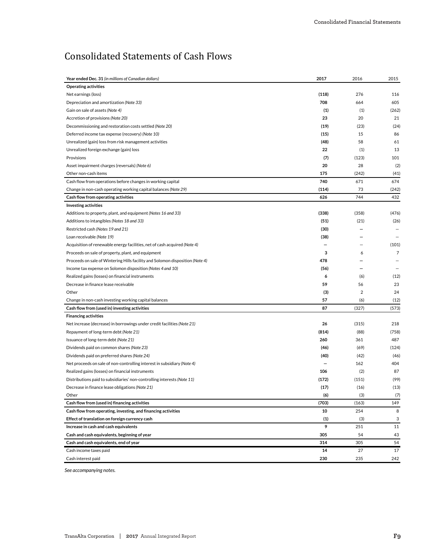# Consolidated Statements of Cash Flows

| Year ended Dec. 31 (in millions of Canadian dollars)                          | 2017  | 2016           | 2015           |
|-------------------------------------------------------------------------------|-------|----------------|----------------|
| <b>Operating activities</b>                                                   |       |                |                |
| Net earnings (loss)                                                           | (118) | 276            | 116            |
| Depreciation and amortization (Note 33)                                       | 708   | 664            | 605            |
| Gain on sale of assets (Note 4)                                               | (1)   | (1)            | (262)          |
| Accretion of provisions (Note 20)                                             | 23    | 20             | 21             |
| Decommissioning and restoration costs settled (Note 20)                       | (19)  | (23)           | (24)           |
| Deferred income tax expense (recovery) (Note 10)                              | (15)  | 15             | 86             |
| Unrealized (gain) loss from risk management activities                        | (48)  | 58             | 61             |
| Unrealized foreign exchange (gain) loss                                       | 22    | (1)            | 13             |
| Provisions                                                                    | (7)   | (123)          | 101            |
| Asset impairment charges (reversals) (Note 6)                                 | 20    | 28             | (2)            |
| Other non-cash items                                                          | 175   | (242)          | (41)           |
| Cash flow from operations before changes in working capital                   | 740   | 671            | 674            |
| Change in non-cash operating working capital balances (Note 29)               | (114) | 73             | (242)          |
| Cash flow from operating activities                                           | 626   | 744            | 432            |
| <b>Investing activities</b>                                                   |       |                |                |
| Additions to property, plant, and equipment (Notes 16 and 33)                 | (338) | (358)          | (476)          |
| Additions to intangibles (Notes 18 and 33)                                    | (51)  | (21)           | (26)           |
| Restricted cash (Notes 19 and 21)                                             | (30)  |                |                |
| Loan receivable (Note 19)                                                     | (38)  |                |                |
| Acquisition of renewable energy facilities, net of cash acquired (Note 4)     |       |                | (101)          |
| Proceeds on sale of property, plant, and equipment                            | з     | 6              | $\overline{7}$ |
| Proceeds on sale of Wintering Hills facility and Solomon disposition (Note 4) | 478   |                |                |
| Income tax expense on Solomon disposition (Notes 4 and 10)                    | (56)  |                |                |
| Realized gains (losses) on financial instruments                              | 6     | (6)            | (12)           |
| Decrease in finance lease receivable                                          | 59    | 56             | 23             |
| Other                                                                         | (3)   | $\overline{2}$ | 24             |
| Change in non-cash investing working capital balances                         | 57    | (6)            | (12)           |
| Cash flow from (used in) investing activities                                 | 87    | (327)          | (573)          |
| <b>Financing activities</b>                                                   |       |                |                |
| Net increase (decrease) in borrowings under credit facilities (Note 21)       | 26    | (315)          | 218            |
| Repayment of long-term debt (Note 21)                                         | (814) | (88)           | (758)          |
| Issuance of long-term debt (Note 21)                                          | 260   | 361            | 487            |
| Dividends paid on common shares (Note 23)                                     | (46)  | (69)           | (124)          |
| Dividends paid on preferred shares (Note 24)                                  | (40)  | (42)           | (46)           |
| Net proceeds on sale of non-controlling interest in subsidiary (Note 4)       |       | 162            | 404            |
| Realized gains (losses) on financial instruments                              | 106   | (2)            | 87             |
| Distributions paid to subsidiaries' non-controlling interests (Note 11)       | (172) | (151)          | (99)           |
| Decrease in finance lease obligations (Note 21)                               | (17)  | (16)           | (13)           |
| Other                                                                         | (6)   | (3)            | (7)            |
| Cash flow from (used in) financing activities                                 | (703) | (163)          | 149            |
| Cash flow from operating, investing, and financing activities                 | 10    | 254            | 8              |
| Effect of translation on foreign currency cash                                | (1)   | (3)            | 3              |
| Increase in cash and cash equivalents                                         | 9     | 251            | 11             |
| Cash and cash equivalents, beginning of year                                  | 305   | 54             | 43             |
| Cash and cash equivalents, end of year                                        | 314   | 305            | 54             |
| Cash income taxes paid                                                        | 14    | 27             | 17             |
| Cash interest paid                                                            | 230   | 235            | 242            |

*See accompanying notes.*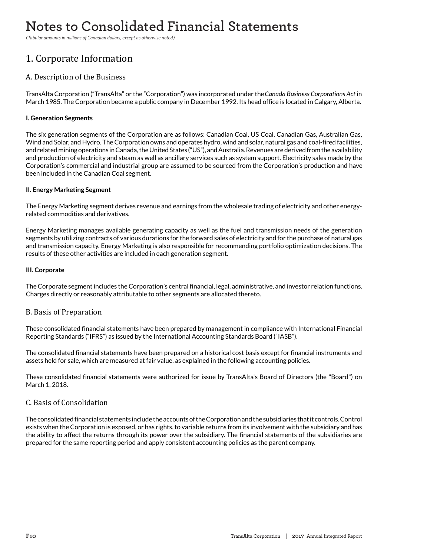# Notes to Consolidated Financial Statements **Notes to Consolidated Financial Statements**

*(Tabular amounts in millions of Canadian dollars, except as otherwise noted) (Tabular amounts in millions of Canadian dollars, except as otherwise noted)*

# 1. Corporate Information

# A. Description of the Business

TransAlta Corporation ("TransAlta" or the "Corporation") was incorporated under the *Canada Business Corporations Act* in March 1985. The Corporation became a public company in December 1992. Its head office is located in Calgary, Alberta.

# **I. Generation Segments**

The six generation segments of the Corporation are as follows: Canadian Coal, US Coal, Canadian Gas, Australian Gas, Wind and Solar, and Hydro. The Corporation owns and operates hydro, wind and solar, natural gas and coal-fired facilities, and related mining operations in Canada, the United States ("US"), and Australia. Revenues are derived from the availability and production of electricity and steam as well as ancillary services such as system support. Electricity sales made by the Corporation's commercial and industrial group are assumed to be sourced from the Corporation's production and have been included in the Canadian Coal segment.

# **II. Energy Marketing Segment**

The Energy Marketing segment derives revenue and earnings from the wholesale trading of electricity and other energyrelated commodities and derivatives.

Energy Marketing manages available generating capacity as well as the fuel and transmission needs of the generation segments by utilizing contracts of various durations for the forward sales of electricity and for the purchase of natural gas and transmission capacity. Energy Marketing is also responsible for recommending portfolio optimization decisions. The results of these other activities are included in each generation segment.

# **III. Corporate**

The Corporate segment includes the Corporation's central financial, legal, administrative, and investor relation functions. Charges directly or reasonably attributable to other segments are allocated thereto.

# B. Basis of Preparation

These consolidated financial statements have been prepared by management in compliance with International Financial Reporting Standards ("IFRS") as issued by the International Accounting Standards Board ("IASB").

The consolidated financial statements have been prepared on a historical cost basis except for financial instruments and assets held for sale, which are measured at fair value, as explained in the following accounting policies.

These consolidated financial statements were authorized for issue by TransAlta's Board of Directors (the "Board") on March 1, 2018.

# C. Basis of Consolidation

The consolidated financial statements include the accounts of the Corporation and the subsidiaries that it controls. Control exists when the Corporation is exposed, or has rights, to variable returns from its involvement with the subsidiary and has the ability to affect the returns through its power over the subsidiary. The financial statements of the subsidiaries are prepared for the same reporting period and apply consistent accounting policies as the parent company.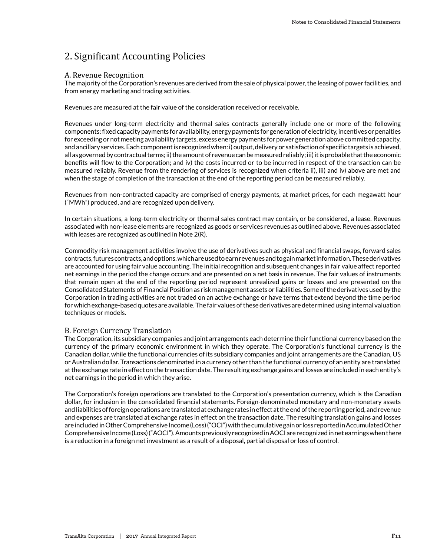# 2. Significant Accounting Policies

### A. Revenue Recognition

The majority of the Corporation's revenues are derived from the sale of physical power, the leasing of power facilities, and from energy marketing and trading activities.

Revenues are measured at the fair value of the consideration received or receivable.

Revenues under long-term electricity and thermal sales contracts generally include one or more of the following components: fixed capacity payments for availability, energy payments for generation of electricity, incentives or penalties for exceeding or not meeting availability targets, excess energy payments for power generation above committed capacity, and ancillary services. Each component is recognized when: i) output, delivery or satisfaction of specific targets is achieved, all as governed by contractual terms; ii) the amount of revenue can be measured reliably; iii) it is probable that the economic benefits will flow to the Corporation; and iv) the costs incurred or to be incurred in respect of the transaction can be measured reliably. Revenue from the rendering of services is recognized when criteria ii), iii) and iv) above are met and when the stage of completion of the transaction at the end of the reporting period can be measured reliably.

Revenues from non-contracted capacity are comprised of energy payments, at market prices, for each megawatt hour ("MWh") produced, and are recognized upon delivery.

In certain situations, a long-term electricity or thermal sales contract may contain, or be considered, a lease. Revenues associated with non-lease elements are recognized as goods or services revenues as outlined above. Revenues associated with leases are recognized as outlined in Note 2(R).

Commodity risk management activities involve the use of derivatives such as physical and financial swaps, forward sales contracts, futures contracts, and options, which are used to earn revenues and to gain market information. These derivatives are accounted for using fair value accounting. The initial recognition and subsequent changes in fair value affect reported net earnings in the period the change occurs and are presented on a net basis in revenue. The fair values of instruments that remain open at the end of the reporting period represent unrealized gains or losses and are presented on the Consolidated Statements of Financial Position as risk management assets or liabilities. Some of the derivatives used by the Corporation in trading activities are not traded on an active exchange or have terms that extend beyond the time period for which exchange-based quotes are available. The fair values of these derivatives are determined using internal valuation techniques or models.

#### B. Foreign Currency Translation

The Corporation, its subsidiary companies and joint arrangements each determine their functional currency based on the currency of the primary economic environment in which they operate. The Corporation's functional currency is the Canadian dollar, while the functional currencies of its subsidiary companies and joint arrangements are the Canadian, US or Australian dollar. Transactions denominated in a currency other than the functional currency of an entity are translated at the exchange rate in effect on the transaction date. The resulting exchange gains and losses are included in each entity's net earnings in the period in which they arise.

The Corporation's foreign operations are translated to the Corporation's presentation currency, which is the Canadian dollar, for inclusion in the consolidated financial statements. Foreign-denominated monetary and non-monetary assets and liabilities of foreign operations are translated at exchange rates in effect at the end of the reporting period, and revenue and expenses are translated at exchange rates in effect on the transaction date. The resulting translation gains and losses are included in Other Comprehensive Income (Loss) ("OCI") with the cumulative gain or loss reported in Accumulated Other Comprehensive Income (Loss) ("AOCI"). Amounts previously recognized in AOCI are recognized in net earnings when there is a reduction in a foreign net investment as a result of a disposal, partial disposal or loss of control.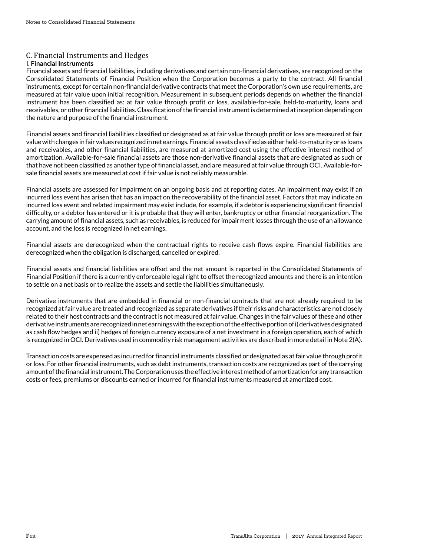# C. Financial Instruments and Hedges

# **I. Financial Instruments**

Financial assets and financial liabilities, including derivatives and certain non-financial derivatives, are recognized on the Consolidated Statements of Financial Position when the Corporation becomes a party to the contract. All financial instruments, except for certain non-financial derivative contracts that meet the Corporation's own use requirements, are measured at fair value upon initial recognition. Measurement in subsequent periods depends on whether the financial instrument has been classified as: at fair value through profit or loss, available-for-sale, held-to-maturity, loans and receivables, or other financial liabilities. Classification of the financial instrument is determined at inception depending on the nature and purpose of the financial instrument.

Financial assets and financial liabilities classified or designated as at fair value through profit or loss are measured at fair value with changes in fair values recognized in net earnings. Financial assets classified as either held-to-maturity or as loans and receivables, and other financial liabilities, are measured at amortized cost using the effective interest method of amortization. Available-for-sale financial assets are those non-derivative financial assets that are designated as such or that have not been classified as another type of financial asset, and are measured at fair value through OCI. Available-forsale financial assets are measured at cost if fair value is not reliably measurable.

Financial assets are assessed for impairment on an ongoing basis and at reporting dates. An impairment may exist if an incurred loss event has arisen that has an impact on the recoverability of the financial asset. Factors that may indicate an incurred loss event and related impairment may exist include, for example, if a debtor is experiencing significant financial difficulty, or a debtor has entered or it is probable that they will enter, bankruptcy or other financial reorganization. The carrying amount of financial assets, such as receivables, is reduced for impairment losses through the use of an allowance account, and the loss is recognized in net earnings.

Financial assets are derecognized when the contractual rights to receive cash flows expire. Financial liabilities are derecognized when the obligation is discharged, cancelled or expired.

Financial assets and financial liabilities are offset and the net amount is reported in the Consolidated Statements of Financial Position if there is a currently enforceable legal right to offset the recognized amounts and there is an intention to settle on a net basis or to realize the assets and settle the liabilities simultaneously.

Derivative instruments that are embedded in financial or non-financial contracts that are not already required to be recognized at fair value are treated and recognized as separate derivatives if their risks and characteristics are not closely related to their host contracts and the contract is not measured at fair value. Changes in the fair values of these and other derivative instruments are recognized in net earnings with the exception of the effective portion of i) derivatives designated as cash flow hedges and ii) hedges of foreign currency exposure of a net investment in a foreign operation, each of which is recognized in OCI. Derivatives used in commodity risk management activities are described in more detail in Note 2(A).

Transaction costs are expensed as incurred for financial instruments classified or designated as at fair value through profit or loss. For other financial instruments, such as debt instruments, transaction costs are recognized as part of the carrying amount of the financial instrument. The Corporation uses the effective interest method of amortization for any transaction costs or fees, premiums or discounts earned or incurred for financial instruments measured at amortized cost.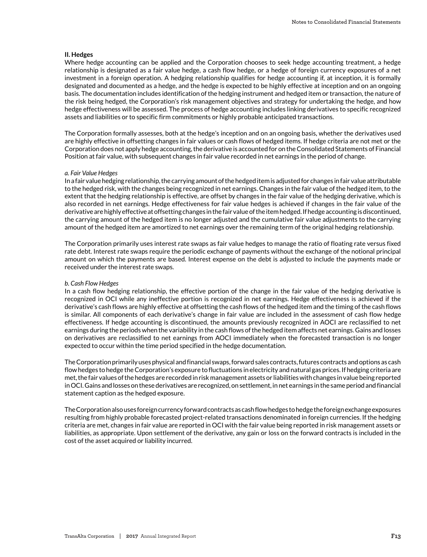#### **II. Hedges**

Where hedge accounting can be applied and the Corporation chooses to seek hedge accounting treatment, a hedge relationship is designated as a fair value hedge, a cash flow hedge, or a hedge of foreign currency exposures of a net investment in a foreign operation. A hedging relationship qualifies for hedge accounting if, at inception, it is formally designated and documented as a hedge, and the hedge is expected to be highly effective at inception and on an ongoing basis. The documentation includes identification of the hedging instrument and hedged item or transaction, the nature of the risk being hedged, the Corporation's risk management objectives and strategy for undertaking the hedge, and how hedge effectiveness will be assessed. The process of hedge accounting includes linking derivatives to specific recognized assets and liabilities or to specific firm commitments or highly probable anticipated transactions.

The Corporation formally assesses, both at the hedge's inception and on an ongoing basis, whether the derivatives used are highly effective in offsetting changes in fair values or cash flows of hedged items. If hedge criteria are not met or the Corporation does not apply hedge accounting, the derivative is accounted for on the Consolidated Statements of Financial Position at fair value, with subsequent changes in fair value recorded in net earnings in the period of change.

#### *a. Fair Value Hedges*

In a fair value hedging relationship, the carrying amount of the hedged item is adjusted for changes in fair value attributable to the hedged risk, with the changes being recognized in net earnings. Changes in the fair value of the hedged item, to the extent that the hedging relationship is effective, are offset by changes in the fair value of the hedging derivative, which is also recorded in net earnings. Hedge effectiveness for fair value hedges is achieved if changes in the fair value of the derivative are highly effective at offsetting changes in the fair value of the item hedged. If hedge accounting is discontinued, the carrying amount of the hedged item is no longer adjusted and the cumulative fair value adjustments to the carrying amount of the hedged item are amortized to net earnings over the remaining term of the original hedging relationship.

The Corporation primarily uses interest rate swaps as fair value hedges to manage the ratio of floating rate versus fixed rate debt. Interest rate swaps require the periodic exchange of payments without the exchange of the notional principal amount on which the payments are based. Interest expense on the debt is adjusted to include the payments made or received under the interest rate swaps.

#### *b. Cash Flow Hedges*

In a cash flow hedging relationship, the effective portion of the change in the fair value of the hedging derivative is recognized in OCI while any ineffective portion is recognized in net earnings. Hedge effectiveness is achieved if the derivative's cash flows are highly effective at offsetting the cash flows of the hedged item and the timing of the cash flows is similar. All components of each derivative's change in fair value are included in the assessment of cash flow hedge effectiveness. If hedge accounting is discontinued, the amounts previously recognized in AOCI are reclassified to net earnings during the periods when the variability in the cash flows of the hedged item affects net earnings. Gains and losses on derivatives are reclassified to net earnings from AOCI immediately when the forecasted transaction is no longer expected to occur within the time period specified in the hedge documentation.

The Corporation primarily uses physical and financial swaps, forward sales contracts, futures contracts and options as cash flow hedges to hedge the Corporation's exposure to fluctuations in electricity and natural gas prices. If hedging criteria are met, the fair values of the hedges are recorded in risk management assets or liabilities with changes in value being reported in OCI. Gains and losses on these derivatives are recognized, on settlement, in net earnings in the same period and financial statement caption as the hedged exposure.

The Corporation also uses foreign currency forward contracts as cash flow hedges to hedge the foreign exchange exposures resulting from highly probable forecasted project-related transactions denominated in foreign currencies. If the hedging criteria are met, changes in fair value are reported in OCI with the fair value being reported in risk management assets or liabilities, as appropriate. Upon settlement of the derivative, any gain or loss on the forward contracts is included in the cost of the asset acquired or liability incurred.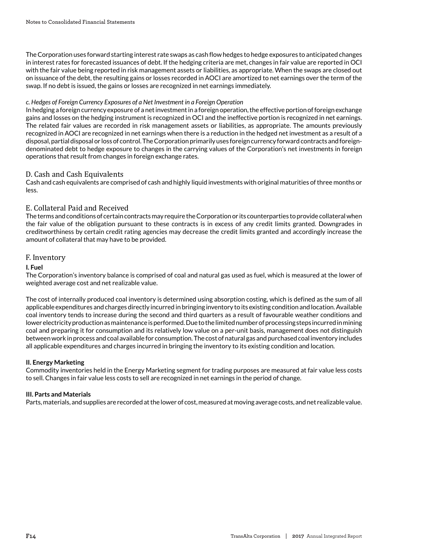The Corporation uses forward starting interest rate swaps as cash flow hedges to hedge exposures to anticipated changes in interest rates for forecasted issuances of debt. If the hedging criteria are met, changes in fair value are reported in OCI with the fair value being reported in risk management assets or liabilities, as appropriate. When the swaps are closed out on issuance of the debt, the resulting gains or losses recorded in AOCI are amortized to net earnings over the term of the swap. If no debt is issued, the gains or losses are recognized in net earnings immediately.

## *c. Hedges of Foreign Currency Exposures of a Net Investment in a Foreign Operation*

In hedging a foreign currency exposure of a net investment in a foreign operation, the effective portion of foreign exchange gains and losses on the hedging instrument is recognized in OCI and the ineffective portion is recognized in net earnings. The related fair values are recorded in risk management assets or liabilities, as appropriate. The amounts previously recognized in AOCI are recognized in net earnings when there is a reduction in the hedged net investment as a result of a disposal, partial disposal or loss of control. The Corporation primarily uses foreign currency forward contracts and foreigndenominated debt to hedge exposure to changes in the carrying values of the Corporation's net investments in foreign operations that result from changes in foreign exchange rates.

## D. Cash and Cash Equivalents

Cash and cash equivalents are comprised of cash and highly liquid investments with original maturities of three months or less.

## E. Collateral Paid and Received

The terms and conditions of certain contracts may require the Corporation or its counterparties to provide collateral when the fair value of the obligation pursuant to these contracts is in excess of any credit limits granted. Downgrades in creditworthiness by certain credit rating agencies may decrease the credit limits granted and accordingly increase the amount of collateral that may have to be provided.

### F. Inventory

#### **I. Fuel**

The Corporation's inventory balance is comprised of coal and natural gas used as fuel, which is measured at the lower of weighted average cost and net realizable value.

The cost of internally produced coal inventory is determined using absorption costing, which is defined as the sum of all applicable expenditures and charges directly incurred in bringing inventory to its existing condition and location. Available coal inventory tends to increase during the second and third quarters as a result of favourable weather conditions and lower electricity production as maintenance is performed. Due to the limited number of processing steps incurred in mining coal and preparing it for consumption and its relatively low value on a per-unit basis, management does not distinguish between work in process and coal available for consumption. The cost of natural gas and purchased coal inventory includes all applicable expenditures and charges incurred in bringing the inventory to its existing condition and location.

#### **II. Energy Marketing**

Commodity inventories held in the Energy Marketing segment for trading purposes are measured at fair value less costs to sell. Changes in fair value less costs to sell are recognized in net earnings in the period of change.

#### **III. Parts and Materials**

Parts, materials, and supplies are recorded at the lower of cost, measured at moving average costs, and net realizable value.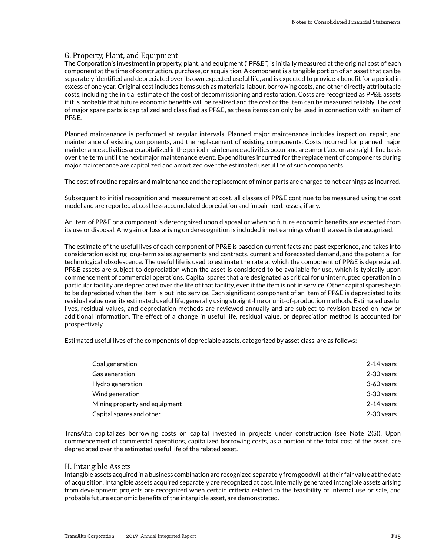# G. Property, Plant, and Equipment

The Corporation's investment in property, plant, and equipment ("PP&E") is initially measured at the original cost of each component at the time of construction, purchase, or acquisition. A component is a tangible portion of an asset that can be separately identified and depreciated over its own expected useful life, and is expected to provide a benefit for a period in excess of one year. Original cost includes items such as materials, labour, borrowing costs, and other directly attributable costs, including the initial estimate of the cost of decommissioning and restoration. Costs are recognized as PP&E assets if it is probable that future economic benefits will be realized and the cost of the item can be measured reliably. The cost of major spare parts is capitalized and classified as PP&E, as these items can only be used in connection with an item of PP&E.

Planned maintenance is performed at regular intervals. Planned major maintenance includes inspection, repair, and maintenance of existing components, and the replacement of existing components. Costs incurred for planned major maintenance activities are capitalized in the period maintenance activities occur and are amortized on a straight-line basis over the term until the next major maintenance event. Expenditures incurred for the replacement of components during major maintenance are capitalized and amortized over the estimated useful life of such components.

The cost of routine repairs and maintenance and the replacement of minor parts are charged to net earnings as incurred.

Subsequent to initial recognition and measurement at cost, all classes of PP&E continue to be measured using the cost model and are reported at cost less accumulated depreciation and impairment losses, if any.

An item of PP&E or a component is derecognized upon disposal or when no future economic benefits are expected from its use or disposal. Any gain or loss arising on derecognition is included in net earnings when the asset is derecognized.

The estimate of the useful lives of each component of PP&E is based on current facts and past experience, and takes into consideration existing long-term sales agreements and contracts, current and forecasted demand, and the potential for technological obsolescence. The useful life is used to estimate the rate at which the component of PP&E is depreciated. PP&E assets are subject to depreciation when the asset is considered to be available for use, which is typically upon commencement of commercial operations. Capital spares that are designated as critical for uninterrupted operation in a particular facility are depreciated over the life of that facility, even if the item is not in service. Other capital spares begin to be depreciated when the item is put into service. Each significant component of an item of PP&E is depreciated to its residual value over its estimated useful life, generally using straight-line or unit-of-production methods. Estimated useful lives, residual values, and depreciation methods are reviewed annually and are subject to revision based on new or additional information. The effect of a change in useful life, residual value, or depreciation method is accounted for prospectively.

Estimated useful lives of the components of depreciable assets, categorized by asset class, are as follows:

| Coal generation               | 2-14 years |
|-------------------------------|------------|
| Gas generation                | 2-30 years |
| Hydro generation              | 3-60 years |
| Wind generation               | 3-30 years |
| Mining property and equipment | 2-14 years |
| Capital spares and other      | 2-30 years |

TransAlta capitalizes borrowing costs on capital invested in projects under construction (see Note 2(S)). Upon commencement of commercial operations, capitalized borrowing costs, as a portion of the total cost of the asset, are depreciated over the estimated useful life of the related asset.

#### H. Intangible Assets

Intangible assets acquired in a business combination are recognized separately from goodwill at their fair value at the date of acquisition. Intangible assets acquired separately are recognized at cost. Internally generated intangible assets arising from development projects are recognized when certain criteria related to the feasibility of internal use or sale, and probable future economic benefits of the intangible asset, are demonstrated.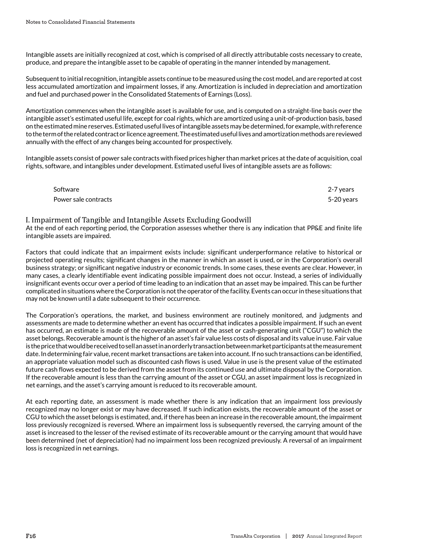Intangible assets are initially recognized at cost, which is comprised of all directly attributable costs necessary to create, produce, and prepare the intangible asset to be capable of operating in the manner intended by management.

Subsequent to initial recognition, intangible assets continue to be measured using the cost model, and are reported at cost less accumulated amortization and impairment losses, if any. Amortization is included in depreciation and amortization and fuel and purchased power in the Consolidated Statements of Earnings (Loss).

Amortization commences when the intangible asset is available for use, and is computed on a straight-line basis over the intangible asset's estimated useful life, except for coal rights, which are amortized using a unit-of-production basis, based on the estimated mine reserves. Estimated useful lives of intangible assets may be determined, for example, with reference to the term of the related contract or licence agreement. The estimated useful lives and amortization methods are reviewed annually with the effect of any changes being accounted for prospectively.

Intangible assets consist of power sale contracts with fixed prices higher than market prices at the date of acquisition, coal rights, software, and intangibles under development. Estimated useful lives of intangible assets are as follows:

| Software             | 2-7 years  |
|----------------------|------------|
| Power sale contracts | 5-20 years |

### I. Impairment of Tangible and Intangible Assets Excluding Goodwill

At the end of each reporting period, the Corporation assesses whether there is any indication that PP&E and finite life intangible assets are impaired.

Factors that could indicate that an impairment exists include: significant underperformance relative to historical or projected operating results; significant changes in the manner in which an asset is used, or in the Corporation's overall business strategy; or significant negative industry or economic trends. In some cases, these events are clear. However, in many cases, a clearly identifiable event indicating possible impairment does not occur. Instead, a series of individually insignificant events occur over a period of time leading to an indication that an asset may be impaired. This can be further complicated in situations where the Corporation is not the operator of the facility. Events can occur in these situations that may not be known until a date subsequent to their occurrence.

The Corporation's operations, the market, and business environment are routinely monitored, and judgments and assessments are made to determine whether an event has occurred that indicates a possible impairment. If such an event has occurred, an estimate is made of the recoverable amount of the asset or cash-generating unit ("CGU") to which the asset belongs. Recoverable amount is the higher of an asset's fair value less costs of disposal and its value in use. Fair value is the price that would be received to sell an asset in an orderly transaction between market participants at the measurement date. In determining fair value, recent market transactions are taken into account. If no such transactions can be identified, an appropriate valuation model such as discounted cash flows is used. Value in use is the present value of the estimated future cash flows expected to be derived from the asset from its continued use and ultimate disposal by the Corporation. If the recoverable amount is less than the carrying amount of the asset or CGU, an asset impairment loss is recognized in net earnings, and the asset's carrying amount is reduced to its recoverable amount.

At each reporting date, an assessment is made whether there is any indication that an impairment loss previously recognized may no longer exist or may have decreased. If such indication exists, the recoverable amount of the asset or CGU to which the asset belongs is estimated, and, if there has been an increase in the recoverable amount, the impairment loss previously recognized is reversed. Where an impairment loss is subsequently reversed, the carrying amount of the asset is increased to the lesser of the revised estimate of its recoverable amount or the carrying amount that would have been determined (net of depreciation) had no impairment loss been recognized previously. A reversal of an impairment loss is recognized in net earnings.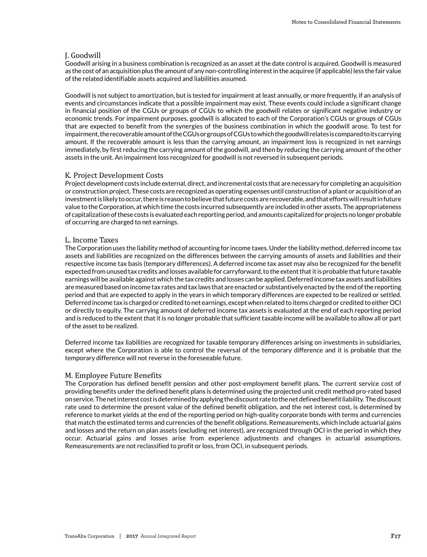# J. Goodwill

Goodwill arising in a business combination is recognized as an asset at the date control is acquired. Goodwill is measured as the cost of an acquisition plus the amount of any non-controlling interest in the acquiree (if applicable) less the fair value of the related identifiable assets acquired and liabilities assumed.

Goodwill is not subject to amortization, but is tested for impairment at least annually, or more frequently, if an analysis of events and circumstances indicate that a possible impairment may exist. These events could include a significant change in financial position of the CGUs or groups of CGUs to which the goodwill relates or significant negative industry or economic trends. For impairment purposes, goodwill is allocated to each of the Corporation's CGUs or groups of CGUs that are expected to benefit from the synergies of the business combination in which the goodwill arose. To test for impairment, the recoverable amount of the CGUs or groups of CGUs to which the goodwill relates is compared to its carrying amount. If the recoverable amount is less than the carrying amount, an impairment loss is recognized in net earnings immediately, by first reducing the carrying amount of the goodwill, and then by reducing the carrying amount of the other assets in the unit. An impairment loss recognized for goodwill is not reversed in subsequent periods.

## K. Project Development Costs

Project development costs include external, direct, and incremental costs that are necessary for completing an acquisition or construction project. These costs are recognized as operating expenses until construction of a plant or acquisition of an investment is likely to occur, there is reason to believe that future costs are recoverable, and that efforts will result in future value to the Corporation, at which time the costs incurred subsequently are included in other assets. The appropriateness of capitalization of these costs is evaluated each reporting period, and amounts capitalized for projects no longer probable of occurring are charged to net earnings.

### L. Income Taxes

The Corporation uses the liability method of accounting for income taxes. Under the liability method, deferred income tax assets and liabilities are recognized on the differences between the carrying amounts of assets and liabilities and their respective income tax basis (temporary differences). A deferred income tax asset may also be recognized for the benefit expected from unused tax credits and losses available for carryforward, to the extent that it is probable that future taxable earnings will be available against which the tax credits and losses can be applied. Deferred income tax assets and liabilities are measured based on income tax rates and tax laws that are enacted or substantively enacted by the end of the reporting period and that are expected to apply in the years in which temporary differences are expected to be realized or settled. Deferred income tax is charged or credited to net earnings, except when related to items charged or credited to either OCI or directly to equity. The carrying amount of deferred income tax assets is evaluated at the end of each reporting period and is reduced to the extent that it is no longer probable that sufficient taxable income will be available to allow all or part of the asset to be realized.

Deferred income tax liabilities are recognized for taxable temporary differences arising on investments in subsidiaries, except where the Corporation is able to control the reversal of the temporary difference and it is probable that the temporary difference will not reverse in the foreseeable future.

## M. Employee Future Benefits

The Corporation has defined benefit pension and other post-employment benefit plans. The current service cost of providing benefits under the defined benefit plans is determined using the projected unit credit method pro-rated based on service. The net interest cost is determined by applying the discount rate to the net defined benefit liability. The discount rate used to determine the present value of the defined benefit obligation, and the net interest cost, is determined by reference to market yields at the end of the reporting period on high-quality corporate bonds with terms and currencies that match the estimated terms and currencies of the benefit obligations. Remeasurements, which include actuarial gains and losses and the return on plan assets (excluding net interest), are recognized through OCI in the period in which they occur. Actuarial gains and losses arise from experience adjustments and changes in actuarial assumptions. Remeasurements are not reclassified to profit or loss, from OCI, in subsequent periods.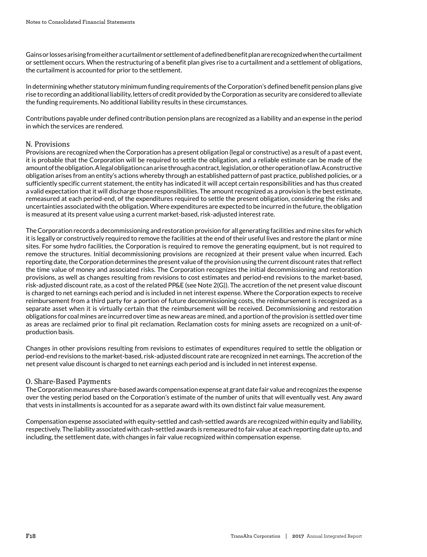Gains or losses arising from either a curtailment or settlement of a defined benefit plan are recognized when the curtailment or settlement occurs. When the restructuring of a benefit plan gives rise to a curtailment and a settlement of obligations, the curtailment is accounted for prior to the settlement.

In determining whether statutory minimum funding requirements of the Corporation's defined benefit pension plans give rise to recording an additional liability, letters of credit provided by the Corporation as security are considered to alleviate the funding requirements. No additional liability results in these circumstances.

Contributions payable under defined contribution pension plans are recognized as a liability and an expense in the period in which the services are rendered.

## N. Provisions

Provisions are recognized when the Corporation has a present obligation (legal or constructive) as a result of a past event, it is probable that the Corporation will be required to settle the obligation, and a reliable estimate can be made of the amount of the obligation. A legal obligation can arise through a contract, legislation, or other operation of law. A constructive obligation arises from an entity's actions whereby through an established pattern of past practice, published policies, or a sufficiently specific current statement, the entity has indicated it will accept certain responsibilities and has thus created a valid expectation that it will discharge those responsibilities. The amount recognized as a provision is the best estimate, remeasured at each period-end, of the expenditures required to settle the present obligation, considering the risks and uncertainties associated with the obligation. Where expenditures are expected to be incurred in the future, the obligation is measured at its present value using a current market-based, risk-adjusted interest rate.

The Corporation records a decommissioning and restoration provision for all generating facilities and mine sites for which it is legally or constructively required to remove the facilities at the end of their useful lives and restore the plant or mine sites. For some hydro facilities, the Corporation is required to remove the generating equipment, but is not required to remove the structures. Initial decommissioning provisions are recognized at their present value when incurred. Each reporting date, the Corporation determines the present value of the provision using the current discount rates that reflect the time value of money and associated risks. The Corporation recognizes the initial decommissioning and restoration provisions, as well as changes resulting from revisions to cost estimates and period-end revisions to the market-based, risk-adjusted discount rate, as a cost of the related PP&E (see Note 2(G)). The accretion of the net present value discount is charged to net earnings each period and is included in net interest expense. Where the Corporation expects to receive reimbursement from a third party for a portion of future decommissioning costs, the reimbursement is recognized as a separate asset when it is virtually certain that the reimbursement will be received. Decommissioning and restoration obligations for coal mines are incurred over time as new areas are mined, and a portion of the provision is settled over time as areas are reclaimed prior to final pit reclamation. Reclamation costs for mining assets are recognized on a unit-ofproduction basis.

Changes in other provisions resulting from revisions to estimates of expenditures required to settle the obligation or period-end revisions to the market-based, risk-adjusted discount rate are recognized in net earnings. The accretion of the net present value discount is charged to net earnings each period and is included in net interest expense.

## O. Share-Based Payments

The Corporation measures share-based awards compensation expense at grant date fair value and recognizes the expense over the vesting period based on the Corporation's estimate of the number of units that will eventually vest. Any award that vests in installments is accounted for as a separate award with its own distinct fair value measurement.

Compensation expense associated with equity-settled and cash-settled awards are recognized within equity and liability, respectively. The liability associated with cash-settled awards is remeasured to fair value at each reporting date up to, and including, the settlement date, with changes in fair value recognized within compensation expense.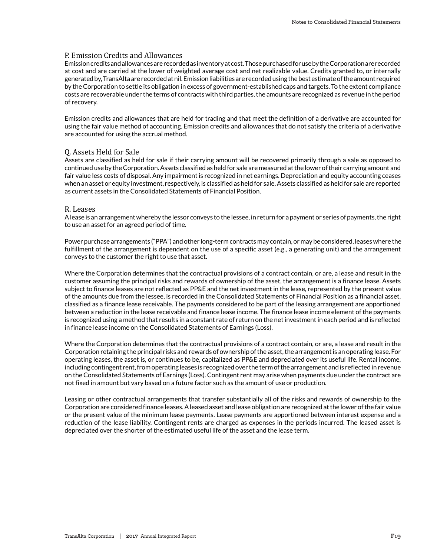## P. Emission Credits and Allowances

Emission credits and allowances are recorded as inventory at cost. Those purchased for use by the Corporation are recorded at cost and are carried at the lower of weighted average cost and net realizable value. Credits granted to, or internally generated by, TransAlta are recorded at nil. Emission liabilities are recorded using the best estimate of the amount required by the Corporation to settle its obligation in excess of government-established caps and targets. To the extent compliance costs are recoverable under the terms of contracts with third parties, the amounts are recognized as revenue in the period of recovery.

Emission credits and allowances that are held for trading and that meet the definition of a derivative are accounted for using the fair value method of accounting. Emission credits and allowances that do not satisfy the criteria of a derivative are accounted for using the accrual method.

#### Q. Assets Held for Sale

Assets are classified as held for sale if their carrying amount will be recovered primarily through a sale as opposed to continued use by the Corporation. Assets classified as held for sale are measured at the lower of their carrying amount and fair value less costs of disposal. Any impairment is recognized in net earnings. Depreciation and equity accounting ceases when an asset or equity investment, respectively, is classified as held for sale. Assets classified as held for sale are reported as current assets in the Consolidated Statements of Financial Position.

#### R. Leases

A lease is an arrangement whereby the lessor conveys to the lessee, in return for a payment or series of payments, the right to use an asset for an agreed period of time.

Power purchase arrangements ("PPA") and other long-term contracts may contain, or may be considered, leases where the fulfillment of the arrangement is dependent on the use of a specific asset (e.g., a generating unit) and the arrangement conveys to the customer the right to use that asset.

Where the Corporation determines that the contractual provisions of a contract contain, or are, a lease and result in the customer assuming the principal risks and rewards of ownership of the asset, the arrangement is a finance lease. Assets subject to finance leases are not reflected as PP&E and the net investment in the lease, represented by the present value of the amounts due from the lessee, is recorded in the Consolidated Statements of Financial Position as a financial asset, classified as a finance lease receivable. The payments considered to be part of the leasing arrangement are apportioned between a reduction in the lease receivable and finance lease income. The finance lease income element of the payments is recognized using a method that results in a constant rate of return on the net investment in each period and is reflected in finance lease income on the Consolidated Statements of Earnings (Loss).

Where the Corporation determines that the contractual provisions of a contract contain, or are, a lease and result in the Corporation retaining the principal risks and rewards of ownership of the asset, the arrangement is an operating lease. For operating leases, the asset is, or continues to be, capitalized as PP&E and depreciated over its useful life. Rental income, including contingent rent, from operating leases is recognized over the term of the arrangement and is reflected in revenue on the Consolidated Statements of Earnings (Loss). Contingent rent may arise when payments due under the contract are not fixed in amount but vary based on a future factor such as the amount of use or production.

Leasing or other contractual arrangements that transfer substantially all of the risks and rewards of ownership to the Corporation are considered finance leases. A leased asset and lease obligation are recognized at the lower of the fair value or the present value of the minimum lease payments. Lease payments are apportioned between interest expense and a reduction of the lease liability. Contingent rents are charged as expenses in the periods incurred. The leased asset is depreciated over the shorter of the estimated useful life of the asset and the lease term.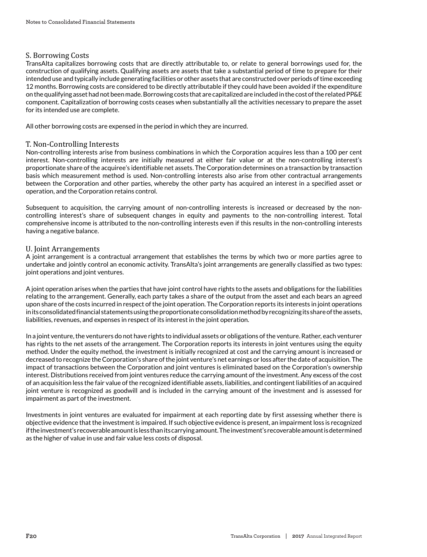# S. Borrowing Costs

TransAlta capitalizes borrowing costs that are directly attributable to, or relate to general borrowings used for, the construction of qualifying assets. Qualifying assets are assets that take a substantial period of time to prepare for their intended use and typically include generating facilities or other assets that are constructed over periods of time exceeding 12 months. Borrowing costs are considered to be directly attributable if they could have been avoided if the expenditure on the qualifying asset had not been made. Borrowing costs that are capitalized are included in the cost of the related PP&E component. Capitalization of borrowing costs ceases when substantially all the activities necessary to prepare the asset for its intended use are complete.

All other borrowing costs are expensed in the period in which they are incurred.

## T. Non-Controlling Interests

Non-controlling interests arise from business combinations in which the Corporation acquires less than a 100 per cent interest. Non-controlling interests are initially measured at either fair value or at the non-controlling interest's proportionate share of the acquiree's identifiable net assets. The Corporation determines on a transaction by transaction basis which measurement method is used. Non-controlling interests also arise from other contractual arrangements between the Corporation and other parties, whereby the other party has acquired an interest in a specified asset or operation, and the Corporation retains control.

Subsequent to acquisition, the carrying amount of non-controlling interests is increased or decreased by the noncontrolling interest's share of subsequent changes in equity and payments to the non-controlling interest. Total comprehensive income is attributed to the non-controlling interests even if this results in the non-controlling interests having a negative balance.

# U. Joint Arrangements

A joint arrangement is a contractual arrangement that establishes the terms by which two or more parties agree to undertake and jointly control an economic activity. TransAlta's joint arrangements are generally classified as two types: joint operations and joint ventures.

A joint operation arises when the parties that have joint control have rights to the assets and obligations for the liabilities relating to the arrangement. Generally, each party takes a share of the output from the asset and each bears an agreed upon share of the costs incurred in respect of the joint operation. The Corporation reports its interests in joint operations in its consolidated financial statements using the proportionate consolidation method by recognizing its share of the assets, liabilities, revenues, and expenses in respect of its interest in the joint operation.

In a joint venture, the venturers do not have rights to individual assets or obligations of the venture. Rather, each venturer has rights to the net assets of the arrangement. The Corporation reports its interests in joint ventures using the equity method. Under the equity method, the investment is initially recognized at cost and the carrying amount is increased or decreased to recognize the Corporation's share of the joint venture's net earnings or loss after the date of acquisition. The impact of transactions between the Corporation and joint ventures is eliminated based on the Corporation's ownership interest. Distributions received from joint ventures reduce the carrying amount of the investment. Any excess of the cost of an acquisition less the fair value of the recognized identifiable assets, liabilities, and contingent liabilities of an acquired joint venture is recognized as goodwill and is included in the carrying amount of the investment and is assessed for impairment as part of the investment.

Investments in joint ventures are evaluated for impairment at each reporting date by first assessing whether there is objective evidence that the investment is impaired. If such objective evidence is present, an impairment loss is recognized if the investment's recoverable amount is less than its carrying amount. The investment's recoverable amount is determined as the higher of value in use and fair value less costs of disposal.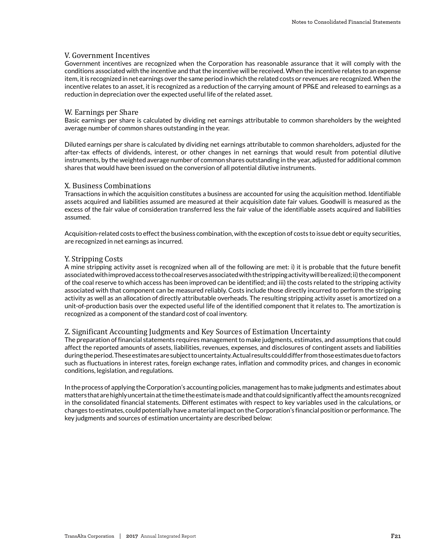#### V. Government Incentives

Government incentives are recognized when the Corporation has reasonable assurance that it will comply with the conditions associated with the incentive and that the incentive will be received. When the incentive relates to an expense item, it is recognized in net earnings over the same period in which the related costs or revenues are recognized. When the incentive relates to an asset, it is recognized as a reduction of the carrying amount of PP&E and released to earnings as a reduction in depreciation over the expected useful life of the related asset.

#### W. Earnings per Share

Basic earnings per share is calculated by dividing net earnings attributable to common shareholders by the weighted average number of common shares outstanding in the year.

Diluted earnings per share is calculated by dividing net earnings attributable to common shareholders, adjusted for the after-tax effects of dividends, interest, or other changes in net earnings that would result from potential dilutive instruments, by the weighted average number of common shares outstanding in the year, adjusted for additional common shares that would have been issued on the conversion of all potential dilutive instruments.

#### X. Business Combinations

Transactions in which the acquisition constitutes a business are accounted for using the acquisition method. Identifiable assets acquired and liabilities assumed are measured at their acquisition date fair values. Goodwill is measured as the excess of the fair value of consideration transferred less the fair value of the identifiable assets acquired and liabilities assumed.

Acquisition-related costs to effect the business combination, with the exception of costs to issue debt or equity securities, are recognized in net earnings as incurred.

#### Y. Stripping Costs

A mine stripping activity asset is recognized when all of the following are met: i) it is probable that the future benefit associated with improved access to the coal reserves associated with the stripping activity will be realized; ii) the component of the coal reserve to which access has been improved can be identified; and iii) the costs related to the stripping activity associated with that component can be measured reliably. Costs include those directly incurred to perform the stripping activity as well as an allocation of directly attributable overheads. The resulting stripping activity asset is amortized on a unit-of-production basis over the expected useful life of the identified component that it relates to. The amortization is recognized as a component of the standard cost of coal inventory.

#### Z. Significant Accounting Judgments and Key Sources of Estimation Uncertainty

The preparation of financial statements requires management to make judgments, estimates, and assumptions that could affect the reported amounts of assets, liabilities, revenues, expenses, and disclosures of contingent assets and liabilities during the period. These estimates are subject to uncertainty. Actual results could differ from those estimates due to factors such as fluctuations in interest rates, foreign exchange rates, inflation and commodity prices, and changes in economic conditions, legislation, and regulations.

In the process of applying the Corporation's accounting policies, management has to make judgments and estimates about matters that are highly uncertain at the time the estimate is made and that could significantly affect the amounts recognized in the consolidated financial statements. Different estimates with respect to key variables used in the calculations, or changes to estimates, could potentially have a material impact on the Corporation's financial position or performance. The key judgments and sources of estimation uncertainty are described below: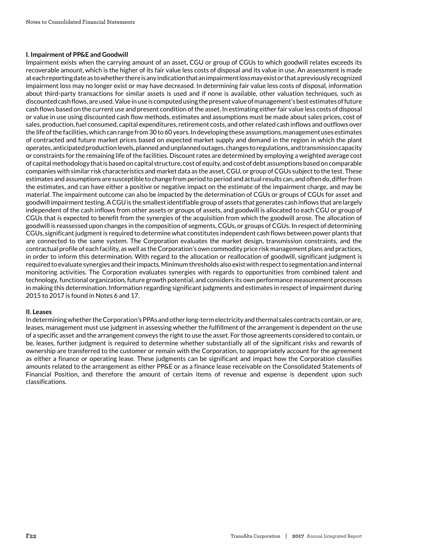#### **I. Impairment of PP&E and Goodwill**

Impairment exists when the carrying amount of an asset, CGU or group of CGUs to which goodwill relates exceeds its recoverable amount, which is the higher of its fair value less costs of disposal and its value in use. An assessment is made at each reporting date as to whether there is any indication that an impairment loss may exist or that a previously recognized impairment loss may no longer exist or may have decreased. In determining fair value less costs of disposal, information about third-party transactions for similar assets is used and if none is available, other valuation techniques, such as discounted cash flows, are used. Value in use is computed using the present value of management's best estimates of future cash flows based on the current use and present condition of the asset. In estimating either fair value less costs of disposal or value in use using discounted cash flow methods, estimates and assumptions must be made about sales prices, cost of sales, production, fuel consumed, capital expenditures, retirement costs, and other related cash inflows and outflows over the life of the facilities, which can range from 30 to 60 years. In developing these assumptions, management uses estimates of contracted and future market prices based on expected market supply and demand in the region in which the plant operates, anticipated production levels, planned and unplanned outages, changes to regulations, and transmission capacity or constraints for the remaining life of the facilities. Discount rates are determined by employing a weighted average cost of capital methodology that is based on capital structure, cost of equity, and cost of debt assumptions based on comparable companies with similar risk characteristics and market data as the asset, CGU, or group of CGUs subject to the test. These estimates and assumptions are susceptible to change from period to period and actual results can, and often do, differ from the estimates, and can have either a positive or negative impact on the estimate of the impairment charge, and may be material. The impairment outcome can also be impacted by the determination of CGUs or groups of CGUs for asset and goodwill impairment testing. A CGU is the smallest identifiable group of assets that generates cash inflows that are largely independent of the cash inflows from other assets or groups of assets, and goodwill is allocated to each CGU or group of CGUs that is expected to benefit from the synergies of the acquisition from which the goodwill arose. The allocation of goodwill is reassessed upon changes in the composition of segments, CGUs, or groups of CGUs. In respect of determining CGUs, significant judgment is required to determine what constitutes independent cash flows between power plants that are connected to the same system. The Corporation evaluates the market design, transmission constraints, and the contractual profile of each facility, as well as the Corporation's own commodity price risk management plans and practices, in order to inform this determination. With regard to the allocation or reallocation of goodwill, significant judgment is required to evaluate synergies and their impacts. Minimum thresholds also exist with respect to segmentation and internal monitoring activities. The Corporation evaluates synergies with regards to opportunities from combined talent and technology, functional organization, future growth potential, and considers its own performance measurement processes in making this determination. Information regarding significant judgments and estimates in respect of impairment during 2015 to 2017 is found in Notes 6 and 17.

#### **II. Leases**

In determining whether the Corporation's PPAs and other long-term electricity and thermal sales contracts contain, or are, leases, management must use judgment in assessing whether the fulfillment of the arrangement is dependent on the use of a specific asset and the arrangement conveys the right to use the asset. For those agreements considered to contain, or be, leases, further judgment is required to determine whether substantially all of the significant risks and rewards of ownership are transferred to the customer or remain with the Corporation, to appropriately account for the agreement as either a finance or operating lease. These judgments can be significant and impact how the Corporation classifies amounts related to the arrangement as either PP&E or as a finance lease receivable on the Consolidated Statements of Financial Position, and therefore the amount of certain items of revenue and expense is dependent upon such classifications.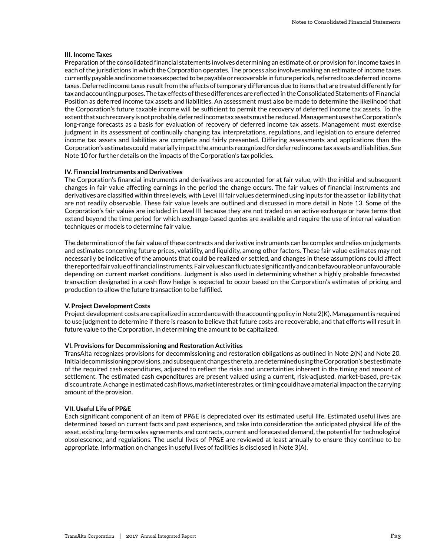#### **III. Income Taxes**

Preparation of the consolidated financial statements involves determining an estimate of, or provision for, income taxes in each of the jurisdictions in which the Corporation operates. The process also involves making an estimate of income taxes currently payable and income taxes expected to be payable or recoverable in future periods, referred to as deferred income taxes. Deferred income taxes result from the effects of temporary differences due to items that are treated differently for tax and accounting purposes. The tax effects of these differences are reflected in the Consolidated Statements of Financial Position as deferred income tax assets and liabilities. An assessment must also be made to determine the likelihood that the Corporation's future taxable income will be sufficient to permit the recovery of deferred income tax assets. To the extent that such recovery is not probable, deferred income tax assets must be reduced. Management uses the Corporation's long-range forecasts as a basis for evaluation of recovery of deferred income tax assets. Management must exercise judgment in its assessment of continually changing tax interpretations, regulations, and legislation to ensure deferred income tax assets and liabilities are complete and fairly presented. Differing assessments and applications than the Corporation's estimates could materially impact the amounts recognized for deferred income tax assets and liabilities. See Note 10 for further details on the impacts of the Corporation's tax policies.

#### **IV. Financial Instruments and Derivatives**

The Corporation's financial instruments and derivatives are accounted for at fair value, with the initial and subsequent changes in fair value affecting earnings in the period the change occurs. The fair values of financial instruments and derivatives are classified within three levels, with Level III fair values determined using inputs for the asset or liability that are not readily observable. These fair value levels are outlined and discussed in more detail in Note 13. Some of the Corporation's fair values are included in Level III because they are not traded on an active exchange or have terms that extend beyond the time period for which exchange-based quotes are available and require the use of internal valuation techniques or models to determine fair value.

The determination of the fair value of these contracts and derivative instruments can be complex and relies on judgments and estimates concerning future prices, volatility, and liquidity, among other factors. These fair value estimates may not necessarily be indicative of the amounts that could be realized or settled, and changes in these assumptions could affect the reported fair value of financial instruments. Fair values can fluctuate significantly and can be favourable or unfavourable depending on current market conditions. Judgment is also used in determining whether a highly probable forecasted transaction designated in a cash flow hedge is expected to occur based on the Corporation's estimates of pricing and production to allow the future transaction to be fulfilled.

#### **V. Project Development Costs**

Project development costs are capitalized in accordance with the accounting policy in Note 2(K). Management is required to use judgment to determine if there is reason to believe that future costs are recoverable, and that efforts will result in future value to the Corporation, in determining the amount to be capitalized.

#### **VI. Provisions for Decommissioning and Restoration Activities**

TransAlta recognizes provisions for decommissioning and restoration obligations as outlined in Note 2(N) and Note 20. Initial decommissioning provisions, and subsequent changes thereto, are determined using the Corporation's best estimate of the required cash expenditures, adjusted to reflect the risks and uncertainties inherent in the timing and amount of settlement. The estimated cash expenditures are present valued using a current, risk-adjusted, market-based, pre-tax discount rate. A change in estimated cash flows, market interest rates, or timing could have a material impact on the carrying amount of the provision.

#### **VII. Useful Life of PP&E**

Each significant component of an item of PP&E is depreciated over its estimated useful life. Estimated useful lives are determined based on current facts and past experience, and take into consideration the anticipated physical life of the asset, existing long-term sales agreements and contracts, current and forecasted demand, the potential for technological obsolescence, and regulations. The useful lives of PP&E are reviewed at least annually to ensure they continue to be appropriate. Information on changes in useful lives of facilities is disclosed in Note 3(A).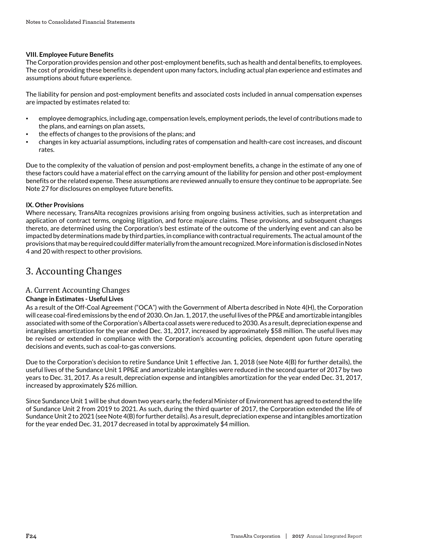#### **VIII. Employee Future Benefits**

The Corporation provides pension and other post-employment benefits, such as health and dental benefits, to employees. The cost of providing these benefits is dependent upon many factors, including actual plan experience and estimates and assumptions about future experience.

The liability for pension and post-employment benefits and associated costs included in annual compensation expenses are impacted by estimates related to:

- employee demographics, including age, compensation levels, employment periods, the level of contributions made to the plans, and earnings on plan assets,
- the effects of changes to the provisions of the plans; and
- changes in key actuarial assumptions, including rates of compensation and health-care cost increases, and discount rates.

Due to the complexity of the valuation of pension and post-employment benefits, a change in the estimate of any one of these factors could have a material effect on the carrying amount of the liability for pension and other post-employment benefits or the related expense. These assumptions are reviewed annually to ensure they continue to be appropriate. See Note 27 for disclosures on employee future benefits.

### **IX. Other Provisions**

Where necessary, TransAlta recognizes provisions arising from ongoing business activities, such as interpretation and application of contract terms, ongoing litigation, and force majeure claims. These provisions, and subsequent changes thereto, are determined using the Corporation's best estimate of the outcome of the underlying event and can also be impacted by determinations made by third parties, in compliance with contractual requirements. The actual amount of the provisions that may be required could differ materially from the amount recognized. More information is disclosed in Notes 4 and 20 with respect to other provisions.

# 3. Accounting Changes

# A. Current Accounting Changes

## **Change in Estimates - Useful Lives**

As a result of the Off-Coal Agreement ("OCA") with the Government of Alberta described in Note 4(H), the Corporation will cease coal-fired emissions by the end of 2030. On Jan. 1, 2017, the useful lives of the PP&E and amortizable intangibles associated with some of the Corporation's Alberta coal assets were reduced to 2030. As a result, depreciation expense and intangibles amortization for the year ended Dec. 31, 2017, increased by approximately \$58 million. The useful lives may be revised or extended in compliance with the Corporation's accounting policies, dependent upon future operating decisions and events, such as coal-to-gas conversions.

Due to the Corporation's decision to retire Sundance Unit 1 effective Jan. 1, 2018 (see Note 4(B) for further details), the useful lives of the Sundance Unit 1 PP&E and amortizable intangibles were reduced in the second quarter of 2017 by two years to Dec. 31, 2017. As a result, depreciation expense and intangibles amortization for the year ended Dec. 31, 2017, increased by approximately \$26 million.

Since Sundance Unit 1 will be shut down two years early, the federal Minister of Environment has agreed to extend the life of Sundance Unit 2 from 2019 to 2021. As such, during the third quarter of 2017, the Corporation extended the life of Sundance Unit 2 to 2021 (see Note 4(B) for further details). As a result, depreciation expense and intangibles amortization for the year ended Dec. 31, 2017 decreased in total by approximately \$4 million.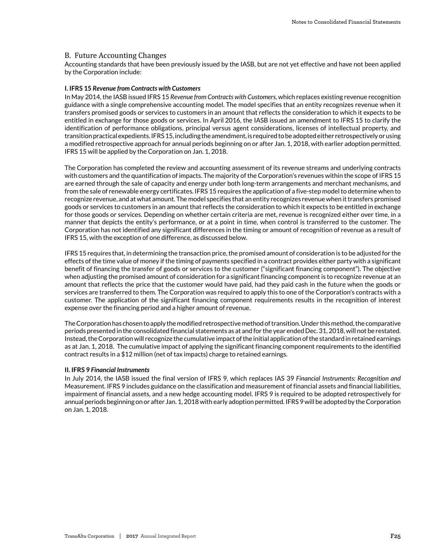# B. Future Accounting Changes

Accounting standards that have been previously issued by the IASB, but are not yet effective and have not been applied by the Corporation include:

#### **I. IFRS 15** *Revenue from Contracts with Customers*

In May 2014, the IASB issued IFRS 15 *Revenue from Contracts with Customers*, which replaces existing revenue recognition guidance with a single comprehensive accounting model. The model specifies that an entity recognizes revenue when it transfers promised goods or services to customers in an amount that reflects the consideration to which it expects to be entitled in exchange for those goods or services. In April 2016, the IASB issued an amendment to IFRS 15 to clarify the identification of performance obligations, principal versus agent considerations, licenses of intellectual property, and transition practical expedients. IFRS 15, including the amendment, is required to be adopted either retrospectively or using a modified retrospective approach for annual periods beginning on or after Jan. 1, 2018, with earlier adoption permitted. IFRS 15 will be applied by the Corporation on Jan. 1, 2018.

The Corporation has completed the review and accounting assessment of its revenue streams and underlying contracts with customers and the quantification of impacts. The majority of the Corporation's revenues within the scope of IFRS 15 are earned through the sale of capacity and energy under both long-term arrangements and merchant mechanisms, and from the sale of renewable energy certificates. IFRS 15 requires the application of a five-step model to determine when to recognize revenue, and at what amount. The model specifies that an entity recognizes revenue when it transfers promised goods or services to customers in an amount that reflects the consideration to which it expects to be entitled in exchange for those goods or services. Depending on whether certain criteria are met, revenue is recognized either over time, in a manner that depicts the entity's performance, or at a point in time, when control is transferred to the customer. The Corporation has not identified any significant differences in the timing or amount of recognition of revenue as a result of IFRS 15, with the exception of one difference, as discussed below.

IFRS 15 requires that, in determining the transaction price, the promised amount of consideration is to be adjusted for the effects of the time value of money if the timing of payments specified in a contract provides either party with a significant benefit of financing the transfer of goods or services to the customer ("significant financing component"). The objective when adjusting the promised amount of consideration for a significant financing component is to recognize revenue at an amount that reflects the price that the customer would have paid, had they paid cash in the future when the goods or services are transferred to them. The Corporation was required to apply this to one of the Corporation's contracts with a customer. The application of the significant financing component requirements results in the recognition of interest expense over the financing period and a higher amount of revenue.

The Corporation has chosen to apply the modified retrospective method of transition. Under this method, the comparative periods presented in the consolidated financial statements as at and for the year ended Dec. 31, 2018, will not be restated. Instead, the Corporation will recognize the cumulative impact of the initial application of the standard in retained earnings as at Jan. 1, 2018. The cumulative impact of applying the significant financing component requirements to the identified contract results in a \$12 million (net of tax impacts) charge to retained earnings.

#### **II. IFRS 9** *Financial Instruments*

In July 2014, the IASB issued the final version of IFRS 9, which replaces IAS 39 *Financial Instruments: Recognition and* Measurement. IFRS 9 includes guidance on the classification and measurement of financial assets and financial liabilities, impairment of financial assets, and a new hedge accounting model. IFRS 9 is required to be adopted retrospectively for annual periods beginning on or after Jan. 1, 2018 with early adoption permitted. IFRS 9 will be adopted by the Corporation on Jan. 1, 2018.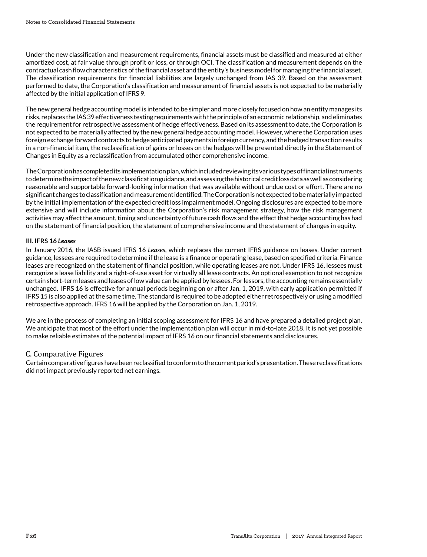Under the new classification and measurement requirements, financial assets must be classified and measured at either amortized cost, at fair value through profit or loss, or through OCI. The classification and measurement depends on the contractual cash flow characteristics of the financial asset and the entity's business model for managing the financial asset. The classification requirements for financial liabilities are largely unchanged from IAS 39. Based on the assessment performed to date, the Corporation's classification and measurement of financial assets is not expected to be materially affected by the initial application of IFRS 9.

The new general hedge accounting model is intended to be simpler and more closely focused on how an entity manages its risks, replaces the IAS 39 effectiveness testing requirements with the principle of an economic relationship, and eliminates the requirement for retrospective assessment of hedge effectiveness. Based on its assessment to date, the Corporation is not expected to be materially affected by the new general hedge accounting model. However, where the Corporation uses foreign exchange forward contracts to hedge anticipated payments in foreign currency, and the hedged transaction results in a non-financial item, the reclassification of gains or losses on the hedges will be presented directly in the Statement of Changes in Equity as a reclassification from accumulated other comprehensive income.

The Corporation has completed its implementation plan, which included reviewing its various types of financial instruments to determine the impact of the new classification guidance, and assessing the historical credit loss data as well as considering reasonable and supportable forward-looking information that was available without undue cost or effort. There are no significant changes to classification and measurement identified. The Corporation is not expected to be materially impacted by the initial implementation of the expected credit loss impairment model. Ongoing disclosures are expected to be more extensive and will include information about the Corporation's risk management strategy, how the risk management activities may affect the amount, timing and uncertainty of future cash flows and the effect that hedge accounting has had on the statement of financial position, the statement of comprehensive income and the statement of changes in equity.

## **III. IFRS 16** *Leases*

In January 2016, the IASB issued IFRS 16 *Leases*, which replaces the current IFRS guidance on leases. Under current guidance, lessees are required to determine if the lease is a finance or operating lease, based on specified criteria. Finance leases are recognized on the statement of financial position, while operating leases are not. Under IFRS 16, lessees must recognize a lease liability and a right-of-use asset for virtually all lease contracts. An optional exemption to not recognize certain short-term leases and leases of low value can be applied by lessees. For lessors, the accounting remains essentially unchanged. IFRS 16 is effective for annual periods beginning on or after Jan. 1, 2019, with early application permitted if IFRS 15 is also applied at the same time. The standard is required to be adopted either retrospectively or using a modified retrospective approach. IFRS 16 will be applied by the Corporation on Jan. 1, 2019.

We are in the process of completing an initial scoping assessment for IFRS 16 and have prepared a detailed project plan. We anticipate that most of the effort under the implementation plan will occur in mid-to-late 2018. It is not yet possible to make reliable estimates of the potential impact of IFRS 16 on our financial statements and disclosures.

## C. Comparative Figures

Certain comparative figures have been reclassified to conform to the current period's presentation. These reclassifications did not impact previously reported net earnings.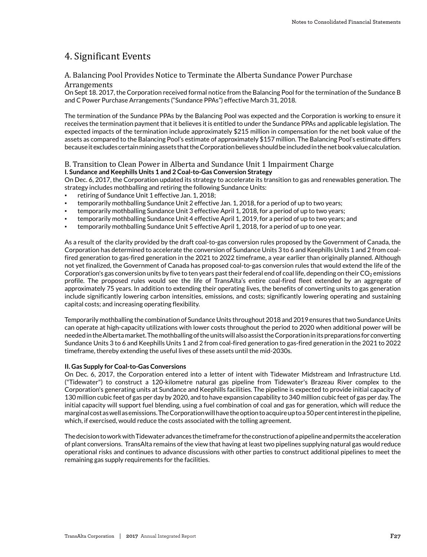# 4. Significant Events

# A. Balancing Pool Provides Notice to Terminate the Alberta Sundance Power Purchase

#### Arrangements

On Sept 18. 2017, the Corporation received formal notice from the Balancing Pool for the termination of the Sundance B and C Power Purchase Arrangements ("Sundance PPAs") effective March 31, 2018.

The termination of the Sundance PPAs by the Balancing Pool was expected and the Corporation is working to ensure it receives the termination payment that it believes it is entitled to under the Sundance PPAs and applicable legislation. The expected impacts of the termination include approximately \$215 million in compensation for the net book value of the assets as compared to the Balancing Pool's estimate of approximately \$157 million. The Balancing Pool's estimate differs because it excludes certain mining assets that the Corporation believes should be included in the net book value calculation.

# B. Transition to Clean Power in Alberta and Sundance Unit 1 Impairment Charge **I. Sundance and Keephills Units 1 and 2 Coal-to-Gas Conversion Strategy**

On Dec. 6, 2017, the Corporation updated its strategy to accelerate its transition to gas and renewables generation. The strategy includes mothballing and retiring the following Sundance Units:

- retiring of Sundance Unit 1 effective Jan. 1, 2018;
- temporarily mothballing Sundance Unit 2 effective Jan. 1, 2018, for a period of up to two years;
- temporarily mothballing Sundance Unit 3 effective April 1, 2018, for a period of up to two years;
- temporarily mothballing Sundance Unit 4 effective April 1, 2019, for a period of up to two years; and
- temporarily mothballing Sundance Unit 5 effective April 1, 2018, for a period of up to one year.

As a result of the clarity provided by the draft coal-to-gas conversion rules proposed by the Government of Canada, the Corporation has determined to accelerate the conversion of Sundance Units 3 to 6 and Keephills Units 1 and 2 from coalfired generation to gas-fired generation in the 2021 to 2022 timeframe, a year earlier than originally planned. Although not yet finalized, the Government of Canada has proposed coal-to-gas conversion rules that would extend the life of the Corporation's gas conversion units by five to ten years past their federal end of coal life, depending on their  $CO<sub>2</sub>$  emissions profile. The proposed rules would see the life of TransAlta's entire coal-fired fleet extended by an aggregate of approximately 75 years. In addition to extending their operating lives, the benefits of converting units to gas generation include significantly lowering carbon intensities, emissions, and costs; significantly lowering operating and sustaining capital costs; and increasing operating flexibility.

Temporarily mothballing the combination of Sundance Units throughout 2018 and 2019 ensures that two Sundance Units can operate at high-capacity utilizations with lower costs throughout the period to 2020 when additional power will be needed in the Alberta market. The mothballing of the units will also assist the Corporation in its preparations for converting Sundance Units 3 to 6 and Keephills Units 1 and 2 from coal-fired generation to gas-fired generation in the 2021 to 2022 timeframe, thereby extending the useful lives of these assets until the mid-2030s.

#### **II. Gas Supply for Coal-to-Gas Conversions**

On Dec. 6, 2017, the Corporation entered into a letter of intent with Tidewater Midstream and Infrastructure Ltd. ("Tidewater") to construct a 120-kilometre natural gas pipeline from Tidewater's Brazeau River complex to the Corporation's generating units at Sundance and Keephills facilities. The pipeline is expected to provide initial capacity of 130 million cubic feet of gas per day by 2020, and to have expansion capability to 340 million cubic feet of gas per day. The initial capacity will support fuel blending, using a fuel combination of coal and gas for generation, which will reduce the marginal cost as well as emissions. The Corporation will have the option to acquire up to a 50 per cent interest in the pipeline, which, if exercised, would reduce the costs associated with the tolling agreement.

The decision to work with Tidewater advances the timeframe for the construction of a pipeline and permits the acceleration of plant conversions. TransAlta remains of the view that having at least two pipelines supplying natural gas would reduce operational risks and continues to advance discussions with other parties to construct additional pipelines to meet the remaining gas supply requirements for the facilities.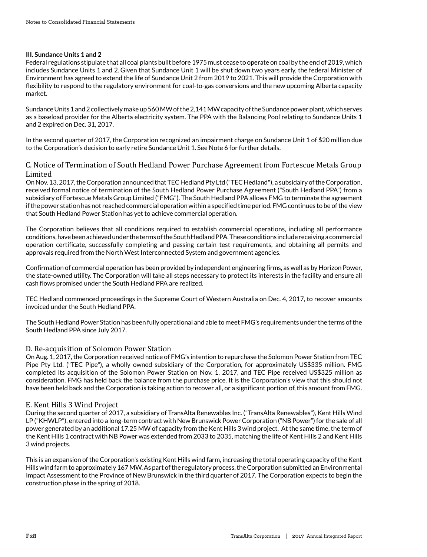## **III. Sundance Units 1 and 2**

Federal regulations stipulate that all coal plants built before 1975 must cease to operate on coal by the end of 2019, which includes Sundance Units 1 and 2. Given that Sundance Unit 1 will be shut down two years early, the federal Minister of Environment has agreed to extend the life of Sundance Unit 2 from 2019 to 2021. This will provide the Corporation with flexibility to respond to the regulatory environment for coal-to-gas conversions and the new upcoming Alberta capacity market.

Sundance Units 1 and 2 collectively make up 560 MW of the 2,141 MW capacity of the Sundance power plant, which serves as a baseload provider for the Alberta electricity system. The PPA with the Balancing Pool relating to Sundance Units 1 and 2 expired on Dec. 31, 2017.

In the second quarter of 2017, the Corporation recognized an impairment charge on Sundance Unit 1 of \$20 million due to the Corporation's decision to early retire Sundance Unit 1. See Note 6 for further details.

# C. Notice of Termination of South Hedland Power Purchase Agreement from Fortescue Metals Group Limited

On Nov. 13, 2017, the Corporation announced that TEC Hedland Pty Ltd ("TEC Hedland"), a subsidairy of the Corporation, received formal notice of termination of the South Hedland Power Purchase Agreement ("South Hedland PPA") from a subsidiary of Fortescue Metals Group Limited ("FMG"). The South Hedland PPA allows FMG to terminate the agreement if the power station has not reached commercial operation within a specified time period. FMG continues to be of the view that South Hedland Power Station has yet to achieve commercial operation.

The Corporation believes that all conditions required to establish commercial operations, including all performance conditions, have been achieved under the terms of the South Hedland PPA. These conditions include receiving a commercial operation certificate, successfully completing and passing certain test requirements, and obtaining all permits and approvals required from the North West Interconnected System and government agencies.

Confirmation of commercial operation has been provided by independent engineering firms, as well as by Horizon Power, the state-owned utility. The Corporation will take all steps necessary to protect its interests in the facility and ensure all cash flows promised under the South Hedland PPA are realized.

TEC Hedland commenced proceedings in the Supreme Court of Western Australia on Dec. 4, 2017, to recover amounts invoiced under the South Hedland PPA.

The South Hedland Power Station has been fully operational and able to meet FMG's requirements under the terms of the South Hedland PPA since July 2017.

# D. Re-acquisition of Solomon Power Station

On Aug. 1, 2017, the Corporation received notice of FMG's intention to repurchase the Solomon Power Station from TEC Pipe Pty Ltd. ("TEC Pipe"), a wholly owned subsidiary of the Corporation, for approximately US\$335 million. FMG completed its acquisition of the Solomon Power Station on Nov. 1, 2017, and TEC Pipe received US\$325 million as consideration. FMG has held back the balance from the purchase price. It is the Corporation's view that this should not have been held back and the Corporation is taking action to recover all, or a significant portion of, this amount from FMG.

## E. Kent Hills 3 Wind Project

During the second quarter of 2017, a subsidiary of TransAlta Renewables Inc. ("TransAlta Renewables"), Kent Hills Wind LP ("KHWLP"), entered into a long-term contract with New Brunswick Power Corporation ("NB Power") for the sale of all power generated by an additional 17.25 MW of capacity from the Kent Hills 3 wind project. At the same time, the term of the Kent Hills 1 contract with NB Power was extended from 2033 to 2035, matching the life of Kent Hills 2 and Kent Hills 3 wind projects.

This is an expansion of the Corporation's existing Kent Hills wind farm, increasing the total operating capacity of the Kent Hills wind farm to approximately 167 MW. As part of the regulatory process, the Corporation submitted an Environmental Impact Assessment to the Province of New Brunswick in the third quarter of 2017. The Corporation expects to begin the construction phase in the spring of 2018.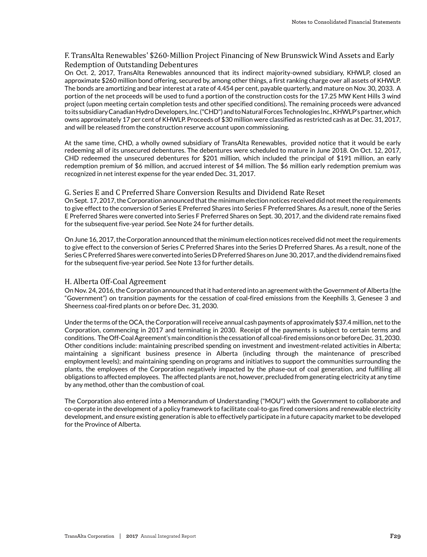# F. TransAlta Renewables' \$260-Million Project Financing of New Brunswick Wind Assets and Early Redemption of Outstanding Debentures

On Oct. 2, 2017, TransAlta Renewables announced that its indirect majority-owned subsidiary, KHWLP, closed an approximate \$260 million bond offering, secured by, among other things, a first ranking charge over all assets of KHWLP. The bonds are amortizing and bear interest at a rate of 4.454 per cent, payable quarterly, and mature on Nov. 30, 2033. A portion of the net proceeds will be used to fund a portion of the construction costs for the 17.25 MW Kent Hills 3 wind project (upon meeting certain completion tests and other specified conditions). The remaining proceeds were advanced to its subsidiary Canadian Hydro Developers, Inc. ("CHD") and to Natural Forces Technologies Inc., KHWLP's partner, which owns approximately 17 per cent of KHWLP. Proceeds of \$30 million were classified as restricted cash as at Dec. 31, 2017, and will be released from the construction reserve account upon commissioning.

At the same time, CHD, a wholly owned subsidiary of TransAlta Renewables, provided notice that it would be early redeeming all of its unsecured debentures. The debentures were scheduled to mature in June 2018. On Oct. 12, 2017, CHD redeemed the unsecured debentures for \$201 million, which included the principal of \$191 million, an early redemption premium of \$6 million, and accrued interest of \$4 million. The \$6 million early redemption premium was recognized in net interest expense for the year ended Dec. 31, 2017.

### G. Series E and C Preferred Share Conversion Results and Dividend Rate Reset

On Sept. 17, 2017, the Corporation announced that the minimum election notices received did not meet the requirements to give effect to the conversion of Series E Preferred Shares into Series F Preferred Shares. As a result, none of the Series E Preferred Shares were converted into Series F Preferred Shares on Sept. 30, 2017, and the dividend rate remains fixed for the subsequent five-year period. See Note 24 for further details.

On June 16, 2017, the Corporation announced that the minimum election notices received did not meet the requirements to give effect to the conversion of Series C Preferred Shares into the Series D Preferred Shares. As a result, none of the Series C Preferred Shares were converted into Series D Preferred Shares on June 30, 2017, and the dividend remains fixed for the subsequent five-year period. See Note 13 for further details.

## H. Alberta Off-Coal Agreement

On Nov. 24, 2016, the Corporation announced that it had entered into an agreement with the Government of Alberta (the "Government") on transition payments for the cessation of coal-fired emissions from the Keephills 3, Genesee 3 and Sheerness coal-fired plants on or before Dec. 31, 2030.

Under the terms of the OCA, the Corporation will receive annual cash payments of approximately \$37.4 million, net to the Corporation, commencing in 2017 and terminating in 2030. Receipt of the payments is subject to certain terms and conditions. The Off-Coal Agreement's main condition is the cessation of all coal-fired emissions on or before Dec. 31, 2030. Other conditions include: maintaining prescribed spending on investment and investment-related activities in Alberta; maintaining a significant business presence in Alberta (including through the maintenance of prescribed employment levels); and maintaining spending on programs and initiatives to support the communities surrounding the plants, the employees of the Corporation negatively impacted by the phase-out of coal generation, and fulfilling all obligations to affected employees. The affected plants are not, however, precluded from generating electricity at any time by any method, other than the combustion of coal.

The Corporation also entered into a Memorandum of Understanding ("MOU") with the Government to collaborate and co-operate in the development of a policy framework to facilitate coal-to-gas fired conversions and renewable electricity development, and ensure existing generation is able to effectively participate in a future capacity market to be developed for the Province of Alberta.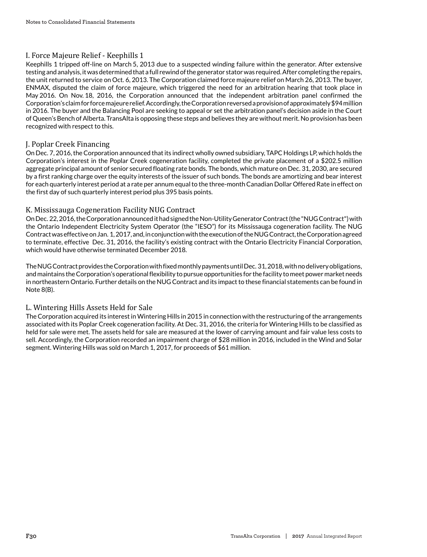# I. Force Majeure Relief - Keephills 1

Keephills 1 tripped off-line on March 5, 2013 due to a suspected winding failure within the generator. After extensive testing and analysis, it was determined that a full rewind of the generator stator was required. After completing the repairs, the unit returned to service on Oct. 6, 2013. The Corporation claimed force majeure relief on March 26, 2013. The buyer, ENMAX, disputed the claim of force majeure, which triggered the need for an arbitration hearing that took place in May 2016. On Nov. 18, 2016, the Corporation announced that the independent arbitration panel confirmed the Corporation's claim for force majeure relief. Accordingly, the Corporation reversed a provision of approximately \$94 million in 2016. The buyer and the Balancing Pool are seeking to appeal or set the arbitration panel's decision aside in the Court of Queen's Bench of Alberta. TransAlta is opposing these steps and believes they are without merit. No provision has been recognized with respect to this.

# J. Poplar Creek Financing

On Dec. 7, 2016, the Corporation announced that its indirect wholly owned subsidiary, TAPC Holdings LP, which holds the Corporation's interest in the Poplar Creek cogeneration facility, completed the private placement of a \$202.5 million aggregate principal amount of senior secured floating rate bonds. The bonds, which mature on Dec. 31, 2030, are secured by a first ranking charge over the equity interests of the issuer of such bonds. The bonds are amortizing and bear interest for each quarterly interest period at a rate per annum equal to the three-month Canadian Dollar Offered Rate in effect on the first day of such quarterly interest period plus 395 basis points.

# K. Mississauga Cogeneration Facility NUG Contract

On Dec. 22, 2016, the Corporation announced it had signed the Non-Utility Generator Contract (the "NUG Contract") with the Ontario Independent Electricity System Operator (the "IESO") for its Mississauga cogeneration facility. The NUG Contract was effective on Jan. 1, 2017, and, in conjunction with the execution of the NUG Contract, the Corporation agreed to terminate, effective Dec. 31, 2016, the facility's existing contract with the Ontario Electricity Financial Corporation, which would have otherwise terminated December 2018.

The NUG Contract provides the Corporation with fixed monthly payments until Dec. 31, 2018, with no delivery obligations, and maintains the Corporation's operational flexibility to pursue opportunities for the facility to meet power market needs in northeastern Ontario. Further details on the NUG Contract and its impact to these financial statements can be found in Note 8(B).

# L. Wintering Hills Assets Held for Sale

The Corporation acquired its interest in Wintering Hills in 2015 in connection with the restructuring of the arrangements associated with its Poplar Creek cogeneration facility. At Dec. 31, 2016, the criteria for Wintering Hills to be classified as held for sale were met. The assets held for sale are measured at the lower of carrying amount and fair value less costs to sell. Accordingly, the Corporation recorded an impairment charge of \$28 million in 2016, included in the Wind and Solar segment. Wintering Hills was sold on March 1, 2017, for proceeds of \$61 million.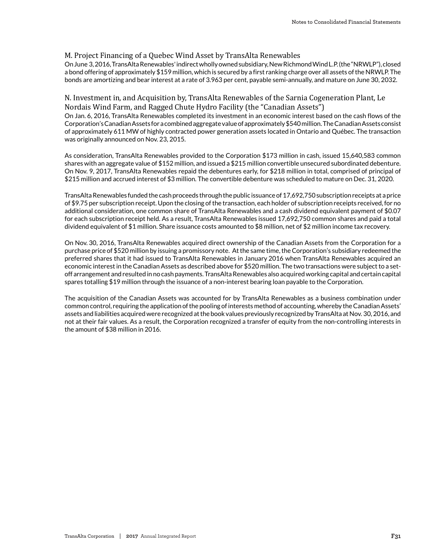# M. Project Financing of a Quebec Wind Asset by TransAlta Renewables

On June 3, 2016, TransAlta Renewables' indirect wholly owned subsidiary, New Richmond Wind L.P. (the "NRWLP"), closed a bond offering of approximately \$159 million, which is secured by a first ranking charge over all assets of the NRWLP. The bonds are amortizing and bear interest at a rate of 3.963 per cent, payable semi-annually, and mature on June 30, 2032.

## N. Investment in, and Acquisition by, TransAlta Renewables of the Sarnia Cogeneration Plant, Le Nordais Wind Farm, and Ragged Chute Hydro Facility (the " Canadian Assets" )

On Jan. 6, 2016, TransAlta Renewables completed its investment in an economic interest based on the cash flows of the Corporation's Canadian Assets for a combined aggregate value of approximately \$540 million. The Canadian Assets consist of approximately 611 MW of highly contracted power generation assets located in Ontario and Québec. The transaction was originally announced on Nov. 23, 2015.

As consideration, TransAlta Renewables provided to the Corporation \$173 million in cash, issued 15,640,583 common shares with an aggregate value of \$152 million, and issued a \$215 million convertible unsecured subordinated debenture. On Nov. 9, 2017, TransAlta Renewables repaid the debentures early, for \$218 million in total, comprised of principal of \$215 million and accrued interest of \$3 million. The convertible debenture was scheduled to mature on Dec. 31, 2020.

TransAlta Renewables funded the cash proceeds through the public issuance of 17,692,750 subscription receipts at a price of \$9.75 per subscription receipt. Upon the closing of the transaction, each holder of subscription receipts received, for no additional consideration, one common share of TransAlta Renewables and a cash dividend equivalent payment of \$0.07 for each subscription receipt held. As a result, TransAlta Renewables issued 17,692,750 common shares and paid a total dividend equivalent of \$1 million. Share issuance costs amounted to \$8 million, net of \$2 million income tax recovery.

On Nov. 30, 2016, TransAlta Renewables acquired direct ownership of the Canadian Assets from the Corporation for a purchase price of \$520 million by issuing a promissory note. At the same time, the Corporation's subsidiary redeemed the preferred shares that it had issued to TransAlta Renewables in January 2016 when TransAlta Renewables acquired an economic interest in the Canadian Assets as described above for \$520 million. The two transactions were subject to a setoff arrangement and resulted in no cash payments. TransAlta Renewables also acquired working capital and certain capital spares totalling \$19 million through the issuance of a non-interest bearing loan payable to the Corporation.

The acquisition of the Canadian Assets was accounted for by TransAlta Renewables as a business combination under common control, requiring the application of the pooling of interests method of accounting, whereby the Canadian Assets' assets and liabilities acquired were recognized at the book values previously recognized by TransAlta at Nov. 30, 2016, and not at their fair values. As a result, the Corporation recognized a transfer of equity from the non-controlling interests in the amount of \$38 million in 2016.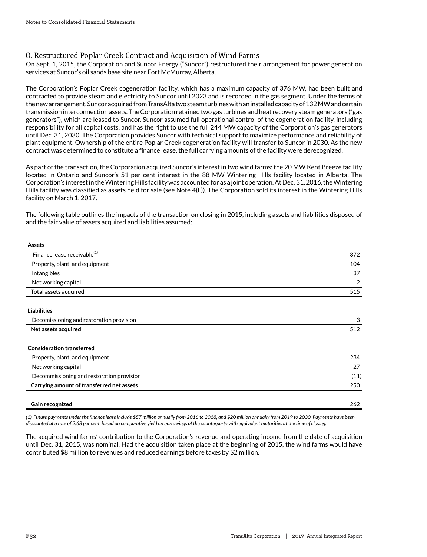# O. Restructured Poplar Creek Contract and Acquisition of Wind Farms

On Sept. 1, 2015, the Corporation and Suncor Energy ("Suncor") restructured their arrangement for power generation services at Suncor's oil sands base site near Fort McMurray, Alberta.

The Corporation's Poplar Creek cogeneration facility, which has a maximum capacity of 376 MW, had been built and contracted to provide steam and electricity to Suncor until 2023 and is recorded in the gas segment. Under the terms of the new arrangement, Suncor acquired from TransAlta two steam turbines with an installed capacity of 132 MW and certain transmission interconnection assets. The Corporation retained two gas turbines and heat recovery steam generators ("gas generators"), which are leased to Suncor. Suncor assumed full operational control of the cogeneration facility, including responsibility for all capital costs, and has the right to use the full 244 MW capacity of the Corporation's gas generators until Dec. 31, 2030. The Corporation provides Suncor with technical support to maximize performance and reliability of plant equipment. Ownership of the entire Poplar Creek cogeneration facility will transfer to Suncor in 2030. As the new contract was determined to constitute a finance lease, the full carrying amounts of the facility were derecognized.

As part of the transaction, the Corporation acquired Suncor's interest in two wind farms: the 20 MW Kent Breeze facility located in Ontario and Suncor's 51 per cent interest in the 88 MW Wintering Hills facility located in Alberta. The Corporation's interest in the Wintering Hills facility was accounted for as a joint operation. At Dec. 31, 2016, the Wintering Hills facility was classified as assets held for sale (see Note 4(L)). The Corporation sold its interest in the Wintering Hills facility on March 1, 2017.

The following table outlines the impacts of the transaction on closing in 2015, including assets and liabilities disposed of and the fair value of assets acquired and liabilities assumed:

| <b>Assets</b>                           |                |
|-----------------------------------------|----------------|
| Finance lease receivable <sup>(1)</sup> | 372            |
| Property, plant, and equipment          | 104            |
| Intangibles                             | 37             |
| Net working capital                     | $\mathfrak{D}$ |
| Total assets acquired                   | 515            |
|                                         |                |

#### **Liabilities**

| Decomissioning and restoration provision  | 3    |
|-------------------------------------------|------|
| Net assets acquired                       | 512  |
|                                           |      |
| <b>Consideration transferred</b>          |      |
| Property, plant, and equipment            | 234  |
| Net working capital                       | 27   |
| Decommissioning and restoration provision | (11) |
| Carrying amount of transferred net assets | 250  |
|                                           |      |
| Gain recognized                           | 262  |

*(1) Future payments under the finance lease include \$57 million annually from 2016 to 2018, and \$20 million annually from 2019 to 2030. Payments have been discounted at a rate of 2.68 per cent, based on comparative yield on borrowings of the counterparty with equivalent maturities at the time of closing.*

The acquired wind farms' contribution to the Corporation's revenue and operating income from the date of acquisition until Dec. 31, 2015, was nominal. Had the acquisition taken place at the beginning of 2015, the wind farms would have contributed \$8 million to revenues and reduced earnings before taxes by \$2 million.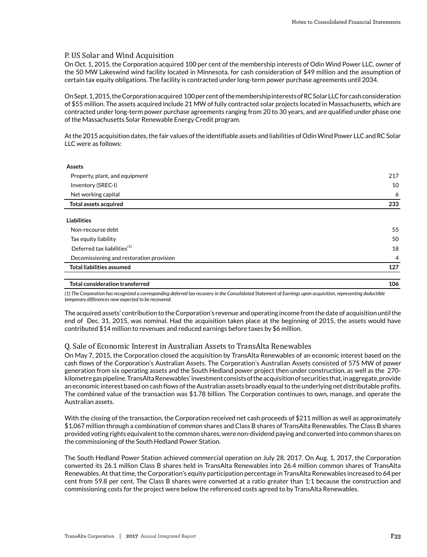# P. US Solar and Wind Acquisition

On Oct. 1, 2015, the Corporation acquired 100 per cent of the membership interests of Odin Wind Power LLC, owner of the 50 MW Lakeswind wind facility located in Minnesota, for cash consideration of \$49 million and the assumption of certain tax equity obligations. The facility is contracted under long-term power purchase agreements until 2034.

On Sept. 1, 2015, the Corporation acquired 100 per cent of the membership interests of RC Solar LLC for cash consideration of \$55 million. The assets acquired include 21 MW of fully contracted solar projects located in Massachusetts, which are contracted under long-term power purchase agreements ranging from 20 to 30 years, and are qualified under phase one of the Massachusetts Solar Renewable Energy Credit program.

At the 2015 acquisition dates, the fair values of the identifiable assets and liabilities of Odin Wind Power LLC and RC Solar LLC were as follows:

| <b>Assets</b>                            |                |
|------------------------------------------|----------------|
| Property, plant, and equipment           | 217            |
| Inventory (SREC-I)                       | 10             |
| Net working capital                      | 6              |
| Total assets acquired                    | 233            |
| <b>Liabilities</b>                       |                |
|                                          |                |
| Non-recourse debt                        | 55             |
| Tax equity liability                     | 50             |
| Deferred tax liabilities <sup>(1)</sup>  | 18             |
| Decomissioning and restoration provision | $\overline{4}$ |
| <b>Total liabilities assumed</b>         | 127            |
|                                          |                |

**Total consideration transferred 106**

*(1) The Corporation has recognized a corresponding deferred tax recovery in the Consolidated Statement of Earnings upon acquisition, representing deductible temporary differences now expected to be recovered.*

The acquired assets' contribution to the Corporation's revenue and operating income from the date of acquisition until the end of Dec. 31, 2015, was nominal. Had the acquisition taken place at the beginning of 2015, the assets would have contributed \$14 million to revenues and reduced earnings before taxes by \$6 million.

## Q. Sale of Economic Interest in Australian Assets to TransAlta Renewables

On May 7, 2015, the Corporation closed the acquisition by TransAlta Renewables of an economic interest based on the cash flows of the Corporation's Australian Assets. The Corporation's Australian Assets consisted of 575 MW of power generation from six operating assets and the South Hedland power project then under construction, as well as the 270 kilometre gas pipeline. TransAlta Renewables' investment consists of the acquisition of securities that, in aggregate, provide an economic interest based on cash flows of the Australian assets broadly equal to the underlying net distributable profits. The combined value of the transaction was \$1.78 billion. The Corporation continues to own, manage, and operate the Australian assets.

With the closing of the transaction, the Corporation received net cash proceeds of \$211 million as well as approximately \$1,067 million through a combination of common shares and Class B shares of TransAlta Renewables. The Class B shares provided voting rights equivalent to the common shares, were non-dividend paying and converted into common shares on the commissioning of the South Hedland Power Station.

The South Hedland Power Station achieved commercial operation on July 28, 2017. On Aug. 1, 2017, the Corporation converted its 26.1 million Class B shares held in TransAlta Renewables into 26.4 million common shares of TransAlta Renewables. At that time, the Corporation's equity participation percentage in TransAlta Renewables increased to 64 per cent from 59.8 per cent. The Class B shares were converted at a ratio greater than 1:1 because the construction and commissioning costs for the project were below the referenced costs agreed to by TransAlta Renewables.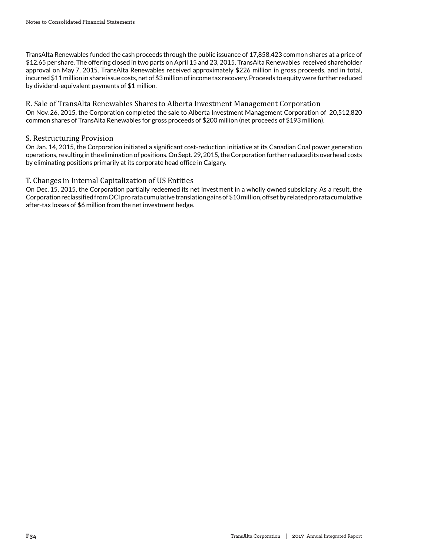TransAlta Renewables funded the cash proceeds through the public issuance of 17,858,423 common shares at a price of \$12.65 per share. The offering closed in two parts on April 15 and 23, 2015. TransAlta Renewables received shareholder approval on May 7, 2015. TransAlta Renewables received approximately \$226 million in gross proceeds, and in total, incurred \$11 million in share issue costs, net of \$3 million of income tax recovery. Proceeds to equity were further reduced by dividend-equivalent payments of \$1 million.

R. Sale of TransAlta Renewables Shares to Alberta Investment Management Corporation On Nov. 26, 2015, the Corporation completed the sale to Alberta Investment Management Corporation of 20,512,820 common shares of TransAlta Renewables for gross proceeds of \$200 million (net proceeds of \$193 million).

# S. Restructuring Provision

On Jan. 14, 2015, the Corporation initiated a significant cost-reduction initiative at its Canadian Coal power generation operations, resulting in the elimination of positions. On Sept. 29, 2015, the Corporation further reduced its overhead costs by eliminating positions primarily at its corporate head office in Calgary.

# T. Changes in Internal Capitalization of US Entities

On Dec. 15, 2015, the Corporation partially redeemed its net investment in a wholly owned subsidiary. As a result, the Corporation reclassified from OCI pro rata cumulative translation gains of \$10 million, offset by related pro rata cumulative after-tax losses of \$6 million from the net investment hedge.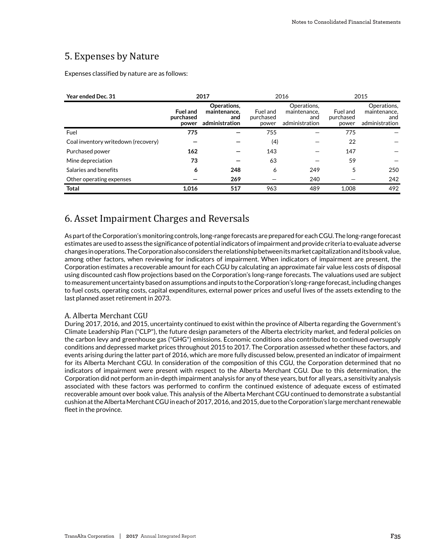# 5. Expenses by Nature

Expenses classified by nature are as follows:

| Year ended Dec. 31                  |                                       | 2017                                                 | 2016                           |                                                      |                                | 2015                                                 |
|-------------------------------------|---------------------------------------|------------------------------------------------------|--------------------------------|------------------------------------------------------|--------------------------------|------------------------------------------------------|
|                                     | <b>Fuel and</b><br>purchased<br>power | Operations.<br>maintenance.<br>and<br>administration | Fuel and<br>purchased<br>power | Operations,<br>maintenance.<br>and<br>administration | Fuel and<br>purchased<br>power | Operations,<br>maintenance.<br>and<br>administration |
| Fuel                                | 775                                   |                                                      | 755                            |                                                      | 775                            |                                                      |
| Coal inventory writedown (recovery) |                                       |                                                      | (4)                            |                                                      | 22                             |                                                      |
| Purchased power                     | 162                                   |                                                      | 143                            |                                                      | 147                            |                                                      |
| Mine depreciation                   | 73                                    |                                                      | 63                             |                                                      | 59                             |                                                      |
| Salaries and benefits               | 6                                     | 248                                                  | 6                              | 249                                                  | 5                              | 250                                                  |
| Other operating expenses            |                                       | 269                                                  |                                | 240                                                  |                                | 242                                                  |
| <b>Total</b>                        | 1.016                                 | 517                                                  | 963                            | 489                                                  | 1,008                          | 492                                                  |

# 6. Asset Impairment Charges and Reversals

As part of the Corporation's monitoring controls, long-range forecasts are prepared for each CGU. The long-range forecast estimates are used to assess the significance of potential indicators of impairment and provide criteria to evaluate adverse changes in operations. The Corporation also considers the relationship between its market capitalization and its book value, among other factors, when reviewing for indicators of impairment. When indicators of impairment are present, the Corporation estimates a recoverable amount for each CGU by calculating an approximate fair value less costs of disposal using discounted cash flow projections based on the Corporation's long-range forecasts. The valuations used are subject to measurement uncertainty based on assumptions and inputs to the Corporation's long-range forecast, including changes to fuel costs, operating costs, capital expenditures, external power prices and useful lives of the assets extending to the last planned asset retirement in 2073.

## A. Alberta Merchant CGU

During 2017, 2016, and 2015, uncertainty continued to exist within the province of Alberta regarding the Government's Climate Leadership Plan ("CLP"), the future design parameters of the Alberta electricity market, and federal policies on the carbon levy and greenhouse gas ("GHG") emissions. Economic conditions also contributed to continued oversupply conditions and depressed market prices throughout 2015 to 2017. The Corporation assessed whether these factors, and events arising during the latter part of 2016, which are more fully discussed below, presented an indicator of impairment for its Alberta Merchant CGU. In consideration of the composition of this CGU, the Corporation determined that no indicators of impairment were present with respect to the Alberta Merchant CGU. Due to this determination, the Corporation did not perform an in-depth impairment analysis for any of these years, but for all years, a sensitivity analysis associated with these factors was performed to confirm the continued existence of adequate excess of estimated recoverable amount over book value. This analysis of the Alberta Merchant CGU continued to demonstrate a substantial cushion at the Alberta Merchant CGU in each of 2017, 2016, and 2015, due to the Corporation's large merchant renewable fleet in the province.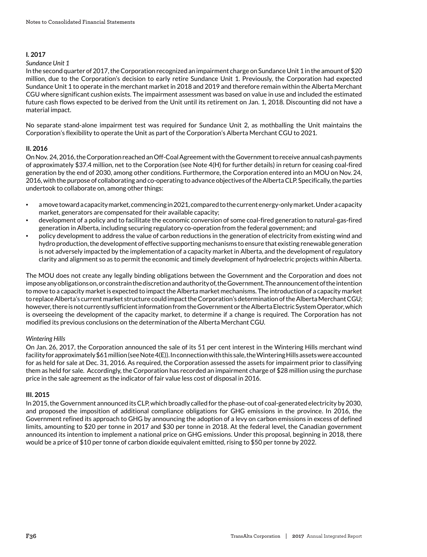### **I. 2017**

#### *Sundance Unit 1*

In the second quarter of 2017, the Corporation recognized an impairment charge on Sundance Unit 1 in the amount of \$20 million, due to the Corporation's decision to early retire Sundance Unit 1. Previously, the Corporation had expected Sundance Unit 1 to operate in the merchant market in 2018 and 2019 and therefore remain within the Alberta Merchant CGU where significant cushion exists. The impairment assessment was based on value in use and included the estimated future cash flows expected to be derived from the Unit until its retirement on Jan. 1, 2018. Discounting did not have a material impact.

No separate stand-alone impairment test was required for Sundance Unit 2, as mothballing the Unit maintains the Corporation's flexibility to operate the Unit as part of the Corporation's Alberta Merchant CGU to 2021.

# **II. 2016**

On Nov. 24, 2016, the Corporation reached an Off-Coal Agreement with the Government to receive annual cash payments of approximately \$37.4 million, net to the Corporation (see Note 4(H) for further details) in return for ceasing coal-fired generation by the end of 2030, among other conditions. Furthermore, the Corporation entered into an MOU on Nov. 24, 2016, with the purpose of collaborating and co-operating to advance objectives of the Alberta CLP. Specifically, the parties undertook to collaborate on, among other things:

- a move toward a capacity market, commencing in 2021, compared to the current energy-only market. Under a capacity market, generators are compensated for their available capacity;
- development of a policy and to facilitate the economic conversion of some coal-fired generation to natural-gas-fired generation in Alberta, including securing regulatory co-operation from the federal government; and
- policy development to address the value of carbon reductions in the generation of electricity from existing wind and hydro production, the development of effective supporting mechanisms to ensure that existing renewable generation is not adversely impacted by the implementation of a capacity market in Alberta, and the development of regulatory clarity and alignment so as to permit the economic and timely development of hydroelectric projects within Alberta.

The MOU does not create any legally binding obligations between the Government and the Corporation and does not impose any obligations on, or constrain the discretion and authority of, the Government. The announcement of the intention to move to a capacity market is expected to impact the Alberta market mechanisms. The introduction of a capacity market to replace Alberta's current market structure could impact the Corporation's determination of the Alberta Merchant CGU; however, there is not currently sufficient information from the Government or the Alberta Electric System Operator, which is overseeing the development of the capacity market, to determine if a change is required. The Corporation has not modified its previous conclusions on the determination of the Alberta Merchant CGU.

# *Wintering Hills*

On Jan. 26, 2017, the Corporation announced the sale of its 51 per cent interest in the Wintering Hills merchant wind facility for approximately \$61 million (see Note 4(E)). In connection with this sale, the Wintering Hills assets were accounted for as held for sale at Dec. 31, 2016. As required, the Corporation assessed the assets for impairment prior to classifying them as held for sale. Accordingly, the Corporation has recorded an impairment charge of \$28 million using the purchase price in the sale agreement as the indicator of fair value less cost of disposal in 2016.

# **III. 2015**

In 2015, the Government announced its CLP, which broadly called for the phase-out of coal-generated electricity by 2030, and proposed the imposition of additional compliance obligations for GHG emissions in the province. In 2016, the Government refined its approach to GHG by announcing the adoption of a levy on carbon emissions in excess of defined limits, amounting to \$20 per tonne in 2017 and \$30 per tonne in 2018. At the federal level, the Canadian government announced its intention to implement a national price on GHG emissions. Under this proposal, beginning in 2018, there would be a price of \$10 per tonne of carbon dioxide equivalent emitted, rising to \$50 per tonne by 2022.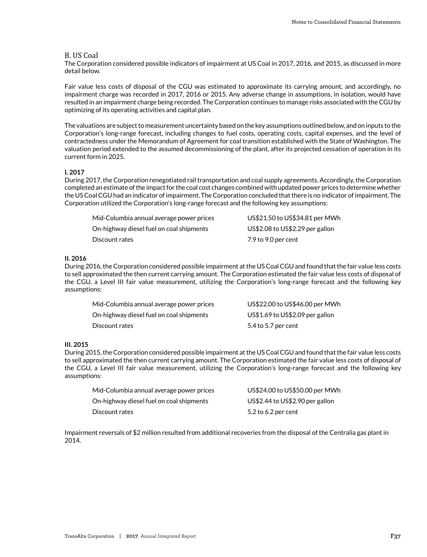#### B. US Coal

The Corporation considered possible indicators of impairment at US Coal in 2017, 2016, and 2015, as discussed in more detail below.

Fair value less costs of disposal of the CGU was estimated to approximate its carrying amount, and accordingly, no impairment charge was recorded in 2017, 2016 or 2015. Any adverse change in assumptions, in isolation, would have resulted in an impairment charge being recorded. The Corporation continues to manage risks associated with the CGU by optimizing of its operating activities and capital plan.

The valuations are subject to measurement uncertainty based on the key assumptions outlined below, and on inputs to the Corporation's long-range forecast, including changes to fuel costs, operating costs, capital expenses, and the level of contractedness under the Memorandum of Agreement for coal transition established with the State of Washington. The valuation period extended to the assumed decommissioning of the plant, after its projected cessation of operation in its current form in 2025.

#### **I. 2017**

During 2017, the Corporation renegotiated rail transportation and coal supply agreements. Accordingly, the Corporation completed an estimate of the impact for the coal cost changes combined with updated power prices to determine whether the US Coal CGU had an indicator of impairment. The Corporation concluded that there is no indicator of impairment. The Corporation utilized the Corporation's long-range forecast and the following key assumptions:

| Mid-Columbia annual average power prices | US\$21.50 to US\$34.81 per MWh  |
|------------------------------------------|---------------------------------|
| On-highway diesel fuel on coal shipments | US\$2.08 to US\$2.29 per gallon |
| Discount rates                           | 7.9 to 9.0 per cent             |

#### **II. 2016**

During 2016, the Corporation considered possible impairment at the US Coal CGU and found that the fair value less costs to sell approximated the then current carrying amount. The Corporation estimated the fair value less costs of disposal of the CGU, a Level III fair value measurement, utilizing the Corporation's long-range forecast and the following key assumptions:

| Mid-Columbia annual average power prices | US\$22.00 to US\$46.00 per MWh  |
|------------------------------------------|---------------------------------|
| On-highway diesel fuel on coal shipments | US\$1.69 to US\$2.09 per gallon |
| Discount rates                           | 5.4 to 5.7 per cent             |

#### **III. 2015**

During 2015, the Corporation considered possible impairment at the US Coal CGU and found that the fair value less costs to sell approximated the then current carrying amount. The Corporation estimated the fair value less costs of disposal of the CGU, a Level III fair value measurement, utilizing the Corporation's long-range forecast and the following key assumptions:

| Mid-Columbia annual average power prices | US\$24.00 to US\$50.00 per MWh  |
|------------------------------------------|---------------------------------|
| On-highway diesel fuel on coal shipments | US\$2.44 to US\$2.90 per gallon |
| Discount rates                           | 5.2 to 6.2 per cent             |

Impairment reversals of \$2 million resulted from additional recoveries from the disposal of the Centralia gas plant in 2014.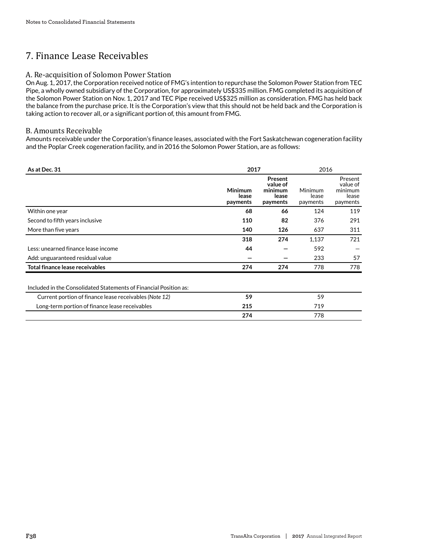# 7. Finance Lease Receivables

# A. Re-acquisition of Solomon Power Station

On Aug. 1, 2017, the Corporation received notice of FMG's intention to repurchase the Solomon Power Station from TEC Pipe, a wholly owned subsidiary of the Corporation, for approximately US\$335 million. FMG completed its acquisition of the Solomon Power Station on Nov. 1, 2017 and TEC Pipe received US\$325 million as consideration. FMG has held back the balance from the purchase price. It is the Corporation's view that this should not be held back and the Corporation is taking action to recover all, or a significant portion of, this amount from FMG.

# B. Amounts Receivable

Amounts receivable under the Corporation's finance leases, associated with the Fort Saskatchewan cogeneration facility and the Poplar Creek cogeneration facility, and in 2016 the Solomon Power Station, are as follows:

| As at Dec. 31                                                     | 2017                                |                                                     | 2016                         |                                                     |
|-------------------------------------------------------------------|-------------------------------------|-----------------------------------------------------|------------------------------|-----------------------------------------------------|
|                                                                   | <b>Minimum</b><br>lease<br>payments | Present<br>value of<br>minimum<br>lease<br>payments | Minimum<br>lease<br>payments | Present<br>value of<br>minimum<br>lease<br>payments |
| Within one year                                                   | 68                                  | 66                                                  | 124                          | 119                                                 |
| Second to fifth years inclusive                                   | 110                                 | 82                                                  | 376                          | 291                                                 |
| More than five years                                              | 140                                 | 126                                                 | 637                          | 311                                                 |
|                                                                   | 318                                 | 274                                                 | 1,137                        | 721                                                 |
| Less: unearned finance lease income                               | 44                                  |                                                     | 592                          |                                                     |
| Add: unguaranteed residual value                                  |                                     |                                                     | 233                          | 57                                                  |
| Total finance lease receivables                                   | 274                                 | 274                                                 | 778                          | 778                                                 |
| Included in the Consolidated Statements of Financial Position as: |                                     |                                                     |                              |                                                     |
| Current portion of finance lease receivables (Note 12)            | 59                                  |                                                     | 59                           |                                                     |
| Long-term portion of finance lease receivables                    | 215                                 |                                                     | 719                          |                                                     |
|                                                                   | 274                                 |                                                     | 778                          |                                                     |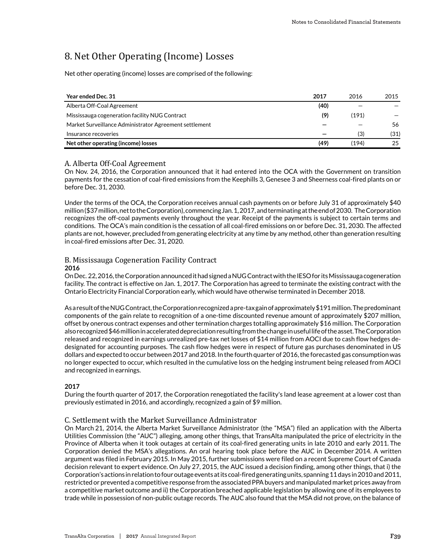# 8. Net Other Operating (Income) Losses

Net other operating (income) losses are comprised of the following:

| Year ended Dec. 31                                     | 2017 | 2016  | 2015 |
|--------------------------------------------------------|------|-------|------|
| Alberta Off-Coal Agreement                             | (40) |       |      |
| Mississauga cogeneration facility NUG Contract         | (9)  | (191) |      |
| Market Surveillance Administrator Agreement settlement |      |       | 56   |
| Insurance recoveries                                   |      | (3)   | (31) |
| Net other operating (income) losses                    | (49) | (194) | 25   |

### A. Alberta Off-Coal Agreement

On Nov. 24, 2016, the Corporation announced that it had entered into the OCA with the Government on transition payments for the cessation of coal-fired emissions from the Keephills 3, Genesee 3 and Sheerness coal-fired plants on or before Dec. 31, 2030.

Under the terms of the OCA, the Corporation receives annual cash payments on or before July 31 of approximately \$40 million (\$37 million, net to the Corporation), commencing Jan. 1, 2017, and terminating at the end of 2030. The Corporation recognizes the off-coal payments evenly throughout the year. Receipt of the payments is subject to certain terms and conditions. The OCA's main condition is the cessation of all coal-fired emissions on or before Dec. 31, 2030. The affected plants are not, however, precluded from generating electricity at any time by any method, other than generation resulting in coal-fired emissions after Dec. 31, 2020.

### B. Mississauga Cogeneration Facility Contract **2016**

On Dec. 22, 2016, the Corporation announced it had signed a NUG Contract with the IESO for its Mississauga cogeneration facility. The contract is effective on Jan. 1, 2017. The Corporation has agreed to terminate the existing contract with the Ontario Electricity Financial Corporation early, which would have otherwise terminated in December 2018.

As a result of the NUG Contract, the Corporation recognized a pre-tax gain of approximately \$191 million. The predominant components of the gain relate to recognition of a one-time discounted revenue amount of approximately \$207 million, offset by onerous contract expenses and other termination charges totalling approximately \$16 million. The Corporation also recognized \$46 million in accelerated depreciation resulting from the change in useful life of the asset. The Corporation released and recognized in earnings unrealized pre-tax net losses of \$14 million from AOCI due to cash flow hedges dedesignated for accounting purposes. The cash flow hedges were in respect of future gas purchases denominated in US dollars and expected to occur between 2017 and 2018. In the fourth quarter of 2016, the forecasted gas consumption was no longer expected to occur, which resulted in the cumulative loss on the hedging instrument being released from AOCI and recognized in earnings.

#### **2017**

During the fourth quarter of 2017, the Corporation renegotiated the facility's land lease agreement at a lower cost than previously estimated in 2016, and accordingly, recognized a gain of \$9 million.

# C. Settlement with the Market Surveillance Administrator

On March 21, 2014, the Alberta Market Surveillance Administrator (the "MSA") filed an application with the Alberta Utilities Commission (the "AUC") alleging, among other things, that TransAlta manipulated the price of electricity in the Province of Alberta when it took outages at certain of its coal-fired generating units in late 2010 and early 2011. The Corporation denied the MSA's allegations. An oral hearing took place before the AUC in December 2014. A written argument was filed in February 2015. In May 2015, further submissions were filed on a recent Supreme Court of Canada decision relevant to expert evidence. On July 27, 2015, the AUC issued a decision finding, among other things, that i) the Corporation's actions in relation to four outage events at its coal-fired generating units, spanning 11 days in 2010 and 2011, restricted or prevented a competitive response from the associated PPA buyers and manipulated market prices away from a competitive market outcome and ii) the Corporation breached applicable legislation by allowing one of its employees to trade while in possession of non-public outage records. The AUC also found that the MSA did not prove, on the balance of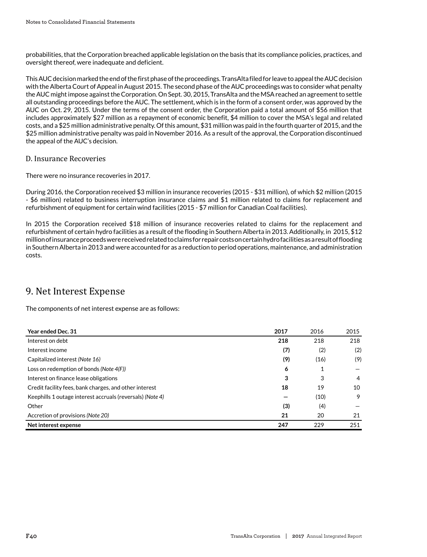probabilities, that the Corporation breached applicable legislation on the basis that its compliance policies, practices, and oversight thereof, were inadequate and deficient.

This AUC decision marked the end of the first phase of the proceedings. TransAlta filed for leave to appeal the AUC decision with the Alberta Court of Appeal in August 2015. The second phase of the AUC proceedings was to consider what penalty the AUC might impose against the Corporation. On Sept. 30, 2015, TransAlta and the MSA reached an agreement to settle all outstanding proceedings before the AUC. The settlement, which is in the form of a consent order, was approved by the AUC on Oct. 29, 2015. Under the terms of the consent order, the Corporation paid a total amount of \$56 million that includes approximately \$27 million as a repayment of economic benefit, \$4 million to cover the MSA's legal and related costs, and a \$25 million administrative penalty. Of this amount, \$31 million was paid in the fourth quarter of 2015, and the \$25 million administrative penalty was paid in November 2016. As a result of the approval, the Corporation discontinued the appeal of the AUC's decision.

# D. Insurance Recoveries

There were no insurance recoveries in 2017.

During 2016, the Corporation received \$3 million in insurance recoveries (2015 - \$31 million), of which \$2 million (2015 - \$6 million) related to business interruption insurance claims and \$1 million related to claims for replacement and refurbishment of equipment for certain wind facilities (2015 - \$7 million for Canadian Coal facilities).

In 2015 the Corporation received \$18 million of insurance recoveries related to claims for the replacement and refurbishment of certain hydro facilities as a result of the flooding in Southern Alberta in 2013. Additionally, in 2015, \$12 million of insurance proceeds were received related to claims for repair costs on certain hydro facilities as a result of flooding in Southern Alberta in 2013 and were accounted for as a reduction to period operations, maintenance, and administration costs.

# 9. Net Interest Expense

The components of net interest expense are as follows:

| Year ended Dec. 31                                        | 2017 | 2016 | 2015 |
|-----------------------------------------------------------|------|------|------|
| Interest on debt                                          | 218  | 218  | 218  |
| Interest income                                           | (7)  | (2)  | (2)  |
| Capitalized interest (Note 16)                            | (9)  | (16) | (9)  |
| Loss on redemption of bonds (Note $4(F)$ )                | 6    | 1    |      |
| Interest on finance lease obligations                     | 3    | 3    | 4    |
| Credit facility fees, bank charges, and other interest    | 18   | 19   | 10   |
| Keephills 1 outage interest accruals (reversals) (Note 4) |      | (10) | 9    |
| Other                                                     | (3)  | (4)  |      |
| Accretion of provisions (Note 20)                         | 21   | 20   | 21   |
| Net interest expense                                      | 247  | 229  | 251  |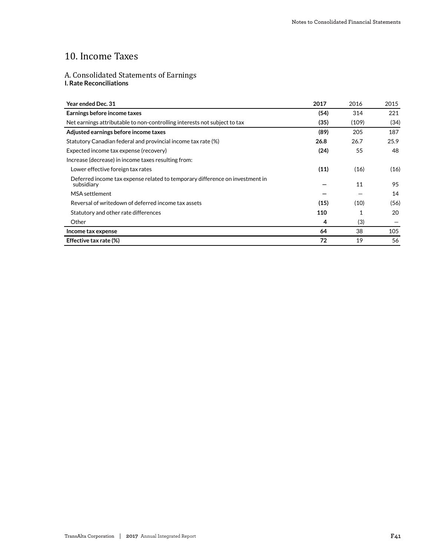# 10. Income Taxes

# A. Consolidated Statements of Earnings **I. Rate Reconciliations**

| Year ended Dec. 31                                                                         | 2017 | 2016  | 2015 |
|--------------------------------------------------------------------------------------------|------|-------|------|
| Earnings before income taxes                                                               | (54) | 314   | 221  |
| Net earnings attributable to non-controlling interests not subject to tax                  | (35) | (109) | (34) |
| Adjusted earnings before income taxes                                                      | (89) | 205   | 187  |
| Statutory Canadian federal and provincial income tax rate (%)                              | 26.8 | 26.7  | 25.9 |
| Expected income tax expense (recovery)                                                     | (24) | 55    | 48   |
| Increase (decrease) in income taxes resulting from:                                        |      |       |      |
| Lower effective foreign tax rates                                                          | (11) | (16)  | (16) |
| Deferred income tax expense related to temporary difference on investment in<br>subsidiary |      | 11    | 95   |
| MSA settlement                                                                             |      |       | 14   |
| Reversal of writedown of deferred income tax assets                                        | (15) | (10)  | (56) |
| Statutory and other rate differences                                                       | 110  |       | 20   |
| Other                                                                                      | 4    | (3)   |      |
| Income tax expense                                                                         | 64   | 38    | 105  |
| Effective tax rate (%)                                                                     | 72   | 19    | 56   |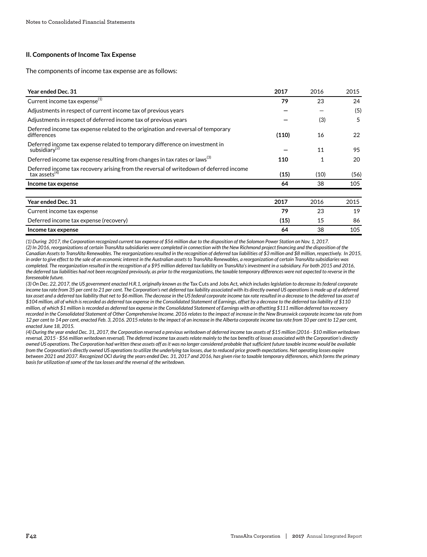#### **II. Components of Income Tax Expense**

The components of income tax expense are as follows:

| Year ended Dec. 31                                                                                            | 2017  | 2016         | 2015 |
|---------------------------------------------------------------------------------------------------------------|-------|--------------|------|
| Current income tax expense <sup>(1)</sup>                                                                     | 79    | 23           | 24   |
| Adjustments in respect of current income tax of previous years                                                |       |              | (5)  |
| Adjustments in respect of deferred income tax of previous years                                               |       | (3)          | 5    |
| Deferred income tax expense related to the origination and reversal of temporary<br>differences               | (110) | 16           | 22   |
| Deferred income tax expense related to temporary difference on investment in<br>subsidiary <sup>(2)</sup>     |       | 11           | 95   |
| Deferred income tax expense resulting from changes in tax rates or laws <sup>(3)</sup>                        | 110   | $\mathbf{1}$ | 20   |
| Deferred income tax recovery arising from the reversal of writedown of deferred income<br>tax assets $^{(4)}$ | (15)  | (10)         | (56) |
| Income tax expense                                                                                            | 64    | 38           | 105  |
|                                                                                                               |       |              |      |
| Year ended Dec. 31                                                                                            | 2017  | 2016         | 2015 |
| Current income tax expense                                                                                    | 79    | 23           | 19   |
| Deferred income tax expense (recovery)                                                                        | (15)  | 15           | 86   |
| Income tax expense                                                                                            | 64    | 38           | 105  |

*(1) During 2017, the Corporation recognized current tax expense of \$56 million due to the disposition of the Solomon Power Station on Nov. 1, 2017.*

*(2) In 2016, reorganizations of certain TransAlta subsidiaries were completed in connection with the New Richmond project financing and the disposition of the Canadian Assets to TransAlta Renewables. The reorganizations resulted in the recognition of deferred tax liabilities of \$3 million and \$8 million, respectively. In 2015, in order to give effect to the sale of an economic interest in the Australian assets to TransAlta Renewables, a reorganization of certain TransAlta subsidiaries was completed. The reorganization resulted in the recognition of a \$95 million deferred tax liability on TransAlta's investment in a subsidiary. For both 2015 and 2016, the deferred tax liabilities had not been recognized previously, as prior to the reorganizations, the taxable temporary differences were not expected to reverse in the foreseeable future.*

*(3) On Dec. 22, 2017, the US government enacted H.R.1, originally known as the* Tax Cuts and Jobs Act*, which includes legislation to decrease its federal corporate income tax rate from 35 per cent to 21 per cent. The Corporation's net deferred tax liability associated with its directly owned US operations is made up of a deferred tax asset and a deferred tax liability that net to \$6 million. The decrease in the US federal corporate income tax rate resulted in a decrease to the deferred tax asset of \$104 million, all of which is recorded as deferred tax expense in the Consolidated Statement of Earnings, offset by a decrease to the deferred tax liability of \$110 million, of which \$1 million is recorded as deferred tax expense in the Consolidated Statement of Earnings with an offsetting \$111 million deferred tax recovery recorded in the Consolidated Statement of Other Comprehensive Income. 2016 relates to the impact of increase in the New Brunswick corporate income tax rate from 12 per cent to 14 per cent, enacted Feb. 3, 2016. 2015 relates to the impact of an increase in the Alberta corporate income tax rate from 10 per cent to 12 per cent, enacted June 18, 2015.*

*(4) During the year ended Dec. 31, 2017, the Corporation reversed a previous writedown of deferred income tax assets of \$15 million (2016 - \$10 million writedown reversal, 2015 - \$56 million writedown reversal). The deferred income tax assets relate mainly to the tax benefits of losses associated with the Corporation's directly owned US operations. The Corporation had written these assets off as it was no longer considered probable that sufficient future taxable income would be available from the Corporation's directly owned US operations to utilize the underlying tax losses, due to reduced price growth expectations. Net operating losses expire between 2021 and 2037. Recognized OCI during the years ended Dec. 31, 2017 and 2016, has given rise to taxable temporary differences, which forms the primary basis for utilization of some of the tax losses and the reversal of the writedown.*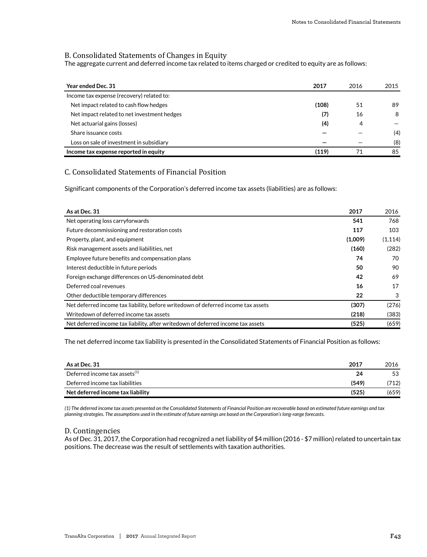# B. Consolidated Statements of Changes in Equity

The aggregate current and deferred income tax related to items charged or credited to equity are as follows:

| Year ended Dec. 31                          | 2017  | 2016 | 2015 |
|---------------------------------------------|-------|------|------|
| Income tax expense (recovery) related to:   |       |      |      |
| Net impact related to cash flow hedges      | (108) | 51   | 89   |
| Net impact related to net investment hedges | (7)   | 16   | 8    |
| Net actuarial gains (losses)                | (4)   | 4    |      |
| Share issuance costs                        |       |      | (4)  |
| Loss on sale of investment in subsidiary    |       |      | (8)  |
| Income tax expense reported in equity       | (119) |      | 85   |

# C. Consolidated Statements of Financial Position

Significant components of the Corporation's deferred income tax assets (liabilities) are as follows:

| As at Dec. 31                                                                     | 2017    | 2016     |
|-----------------------------------------------------------------------------------|---------|----------|
| Net operating loss carryforwards                                                  | 541     | 768      |
| Future decommissioning and restoration costs                                      | 117     | 103      |
| Property, plant, and equipment                                                    | (1,009) | (1, 114) |
| Risk management assets and liabilities, net                                       | (160)   | (282)    |
| Employee future benefits and compensation plans                                   | 74      | 70       |
| Interest deductible in future periods                                             | 50      | 90       |
| Foreign exchange differences on US-denominated debt                               | 42      | 69       |
| Deferred coal revenues                                                            | 16      | 17       |
| Other deductible temporary differences                                            | 22      | 3        |
| Net deferred income tax liability, before writedown of deferred income tax assets | (307)   | (276)    |
| Writedown of deferred income tax assets                                           | (218)   | (383)    |
| Net deferred income tax liability, after writedown of deferred income tax assets  | (525)   | (659)    |

The net deferred income tax liability is presented in the Consolidated Statements of Financial Position as follows:

| As at Dec. 31                                  | 2017  | 2016  |
|------------------------------------------------|-------|-------|
| Deferred income $\textsf{tax}$ assets $^{(1)}$ | 24    | 53    |
| Deferred income tax liabilities                | (549) | (712) |
| Net deferred income tax liability              | (525) | (659) |

*(1) The deferred income tax assets presented on the Consolidated Statements of Financial Position are recoverable based on estimated future earnings and tax planning strategies. The assumptions used in the estimate of future earnings are based on the Corporation's long-range forecasts.*

# D. Contingencies

As of Dec. 31, 2017, the Corporation had recognized a net liability of \$4 million (2016 - \$7 million) related to uncertain tax positions. The decrease was the result of settlements with taxation authorities.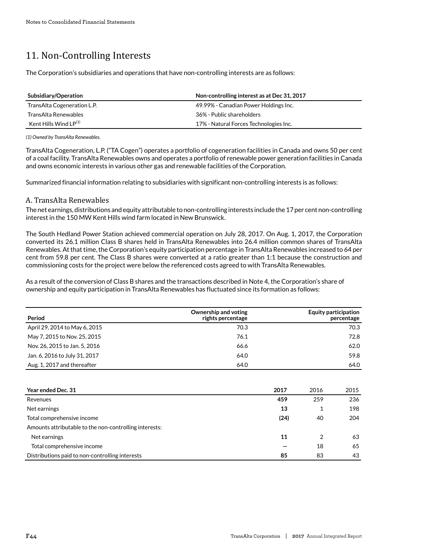# 11. Non-Controlling Interests

The Corporation's subsidiaries and operations that have non-controlling interests are as follows:

| Subsidiary/Operation        | Non-controlling interest as at Dec 31, 2017 |
|-----------------------------|---------------------------------------------|
| TransAlta Cogeneration L.P. | 49.99% - Canadian Power Holdings Inc.       |
| TransAlta Renewables        | 36% - Public shareholders                   |
| Kent Hills Wind $LP^{(1)}$  | 17% - Natural Forces Technologies Inc.      |

*(1) Owned by TransAlta Renewables.*

TransAlta Cogeneration, L.P. ("TA Cogen") operates a portfolio of cogeneration facilities in Canada and owns 50 per cent of a coal facility. TransAlta Renewables owns and operates a portfolio of renewable power generation facilities in Canada and owns economic interests in various other gas and renewable facilities of the Corporation.

Summarized financial information relating to subsidiaries with significant non-controlling interests is as follows:

# A. TransAlta Renewables

The net earnings, distributions and equity attributable to non-controlling interests include the 17 per cent non-controlling interest in the 150 MW Kent Hills wind farm located in New Brunswick.

The South Hedland Power Station achieved commercial operation on July 28, 2017. On Aug. 1, 2017, the Corporation converted its 26.1 million Class B shares held in TransAlta Renewables into 26.4 million common shares of TransAlta Renewables. At that time, the Corporation's equity participation percentage in TransAlta Renewables increased to 64 per cent from 59.8 per cent. The Class B shares were converted at a ratio greater than 1:1 because the construction and commissioning costs for the project were below the referenced costs agreed to with TransAlta Renewables.

As a result of the conversion of Class B shares and the transactions described in Note 4, the Corporation's share of ownership and equity participation in TransAlta Renewables has fluctuated since its formation as follows:

| Period                        | Ownership and voting<br>rights percentage | <b>Equity participation</b><br>percentage |
|-------------------------------|-------------------------------------------|-------------------------------------------|
| April 29, 2014 to May 6, 2015 | 70.3                                      | 70.3                                      |
| May 7, 2015 to Nov. 25, 2015  | 76.1                                      | 72.8                                      |
| Nov. 26, 2015 to Jan. 5, 2016 | 66.6                                      | 62.0                                      |
| Jan. 6, 2016 to July 31, 2017 | 64.0                                      | 59.8                                      |
| Aug. 1, 2017 and thereafter   | 64.0                                      | 64.0                                      |

| <b>Year ended Dec. 31</b>                              | 2017 | 2016 | 2015 |
|--------------------------------------------------------|------|------|------|
| Revenues                                               | 459  | 259  | 236  |
| Net earnings                                           | 13   |      | 198  |
| Total comprehensive income                             | (24) | 40   | 204  |
| Amounts attributable to the non-controlling interests: |      |      |      |
| Net earnings                                           | 11   | 2    | 63   |
| Total comprehensive income                             |      | 18   | 65   |
| Distributions paid to non-controlling interests        | 85   | 83   | 43   |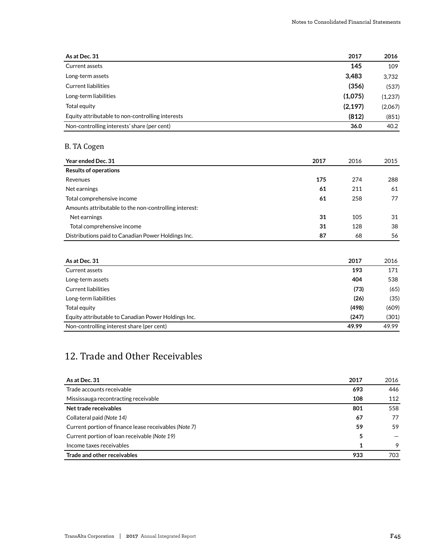| As at Dec. 31                                    | 2017     | 2016    |
|--------------------------------------------------|----------|---------|
| Current assets                                   | 145      | 109     |
| Long-term assets                                 | 3.483    | 3,732   |
| Current liabilities                              | (356)    | (537)   |
| Long-term liabilities                            | (1,075)  | (1,237) |
| Total equity                                     | (2, 197) | (2,067) |
| Equity attributable to non-controlling interests | (812)    | (851)   |
| Non-controlling interests' share (per cent)      | 36.0     | 40.2    |

# B. TA Cogen

| Year ended Dec. 31                                    | 2017 | 2016 | 2015 |
|-------------------------------------------------------|------|------|------|
| <b>Results of operations</b>                          |      |      |      |
| Revenues                                              | 175  | 274  | 288  |
| Net earnings                                          | 61   | 211  | 61   |
| Total comprehensive income                            | 61   | 258  | 77   |
| Amounts attributable to the non-controlling interest: |      |      |      |
| Net earnings                                          | 31   | 105  | 31   |
| Total comprehensive income                            | 31   | 128  | 38   |
| Distributions paid to Canadian Power Holdings Inc.    | 87   | 68   | 56   |

| As at Dec. 31                                       | 2017  | 2016  |
|-----------------------------------------------------|-------|-------|
| Current assets                                      | 193   | 171   |
| Long-term assets                                    | 404   | 538   |
| <b>Current liabilities</b>                          | (73)  | (65)  |
| Long-term liabilities                               | (26)  | (35)  |
| Total equity                                        | (498) | (609) |
| Equity attributable to Canadian Power Holdings Inc. | (247) | (301) |
| Non-controlling interest share (per cent)           | 49.99 | 49.99 |

# 12. Trade and Other Receivables

| As at Dec. 31                                         | 2017 | 2016 |
|-------------------------------------------------------|------|------|
| Trade accounts receivable                             | 693  | 446  |
| Mississauga recontracting receivable                  | 108  | 112  |
| Net trade receivables                                 | 801  | 558  |
| Collateral paid (Note 14)                             | 67   | 77   |
| Current portion of finance lease receivables (Note 7) | 59   | 59   |
| Current portion of loan receivable (Note 19)          | 5    |      |
| Income taxes receivables                              | 1    | 9    |
| Trade and other receivables                           | 933  | 703  |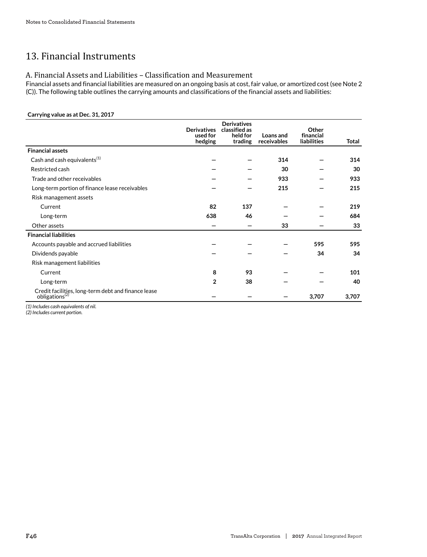# 13. Financial Instruments

# A. Financial Assets and Liabilities – Classification and Measurement

Financial assets and financial liabilities are measured on an ongoing basis at cost, fair value, or amortized cost (see Note 2 (C)). The following table outlines the carrying amounts and classifications of the financial assets and liabilities:

### **Carrying value as at Dec. 31, 2017**

|                                                                                   | <b>Derivatives</b><br>used for<br>hedging | <b>Derivatives</b><br>classified as<br>held for<br>trading | Loans and<br>receivables | Other<br>financial<br>liabilities | <b>Total</b> |
|-----------------------------------------------------------------------------------|-------------------------------------------|------------------------------------------------------------|--------------------------|-----------------------------------|--------------|
| <b>Financial assets</b>                                                           |                                           |                                                            |                          |                                   |              |
| Cash and cash equivalents <sup>(1)</sup>                                          |                                           |                                                            | 314                      |                                   | 314          |
| Restricted cash                                                                   |                                           |                                                            | 30                       |                                   | 30           |
| Trade and other receivables                                                       |                                           |                                                            | 933                      |                                   | 933          |
| Long-term portion of finance lease receivables                                    |                                           |                                                            | 215                      |                                   | 215          |
| Risk management assets                                                            |                                           |                                                            |                          |                                   |              |
| Current                                                                           | 82                                        | 137                                                        |                          |                                   | 219          |
| Long-term                                                                         | 638                                       | 46                                                         |                          |                                   | 684          |
| Other assets                                                                      |                                           |                                                            | 33                       |                                   | 33           |
| <b>Financial liabilities</b>                                                      |                                           |                                                            |                          |                                   |              |
| Accounts payable and accrued liabilities                                          |                                           |                                                            |                          | 595                               | 595          |
| Dividends payable                                                                 |                                           |                                                            |                          | 34                                | 34           |
| Risk management liabilities                                                       |                                           |                                                            |                          |                                   |              |
| Current                                                                           | 8                                         | 93                                                         |                          |                                   | 101          |
| Long-term                                                                         | 2                                         | 38                                                         |                          |                                   | 40           |
| Credit facilities, long-term debt and finance lease<br>obligations <sup>(2)</sup> |                                           |                                                            |                          | 3,707                             | 3,707        |

*(1) Includes cash equivalents of nil.*

*(2) Includes current portion.*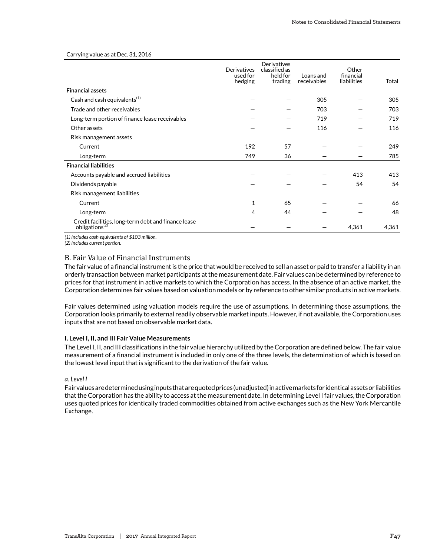Carrying value as at Dec. 31, 2016

|                                                                            | Derivatives<br>used for<br>hedging | Derivatives<br>classified as<br>held for<br>trading | Loans and<br>receivables | Other<br>financial<br>liabilities | Total |
|----------------------------------------------------------------------------|------------------------------------|-----------------------------------------------------|--------------------------|-----------------------------------|-------|
| <b>Financial assets</b>                                                    |                                    |                                                     |                          |                                   |       |
| Cash and cash equivalents <sup>(1)</sup>                                   |                                    |                                                     | 305                      |                                   | 305   |
| Trade and other receivables                                                |                                    |                                                     | 703                      |                                   | 703   |
| Long-term portion of finance lease receivables                             |                                    |                                                     | 719                      |                                   | 719   |
| Other assets                                                               |                                    |                                                     | 116                      |                                   | 116   |
| Risk management assets                                                     |                                    |                                                     |                          |                                   |       |
| Current                                                                    | 192                                | 57                                                  |                          |                                   | 249   |
| Long-term                                                                  | 749                                | 36                                                  |                          |                                   | 785   |
| <b>Financial liabilities</b>                                               |                                    |                                                     |                          |                                   |       |
| Accounts payable and accrued liabilities                                   |                                    |                                                     |                          | 413                               | 413   |
| Dividends payable                                                          |                                    |                                                     |                          | 54                                | 54    |
| Risk management liabilities                                                |                                    |                                                     |                          |                                   |       |
| Current                                                                    | 1                                  | 65                                                  |                          |                                   | 66    |
| Long-term                                                                  | 4                                  | 44                                                  |                          |                                   | 48    |
| Credit facilities, long-term debt and finance lease obligations ${}^{(2)}$ |                                    |                                                     |                          | 4,361                             | 4,361 |

*(1) Includes cash equivalents of \$103 million.*

*(2) Includes current portion.*

# B. Fair Value of Financial Instruments

The fair value of a financial instrument is the price that would be received to sell an asset or paid to transfer a liability in an orderly transaction between market participants at the measurement date. Fair values can be determined by reference to prices for that instrument in active markets to which the Corporation has access. In the absence of an active market, the Corporation determines fair values based on valuation models or by reference to other similar products in active markets.

Fair values determined using valuation models require the use of assumptions. In determining those assumptions, the Corporation looks primarily to external readily observable market inputs. However, if not available, the Corporation uses inputs that are not based on observable market data.

#### **I. Level I, II, and III Fair Value Measurements**

The Level I, II, and III classifications in the fair value hierarchy utilized by the Corporation are defined below. The fair value measurement of a financial instrument is included in only one of the three levels, the determination of which is based on the lowest level input that is significant to the derivation of the fair value.

#### *a. Level I*

Fair values are determined using inputs that are quoted prices (unadjusted) in active markets for identical assets or liabilities that the Corporation has the ability to access at the measurement date. In determining Level I fair values, the Corporation uses quoted prices for identically traded commodities obtained from active exchanges such as the New York Mercantile Exchange.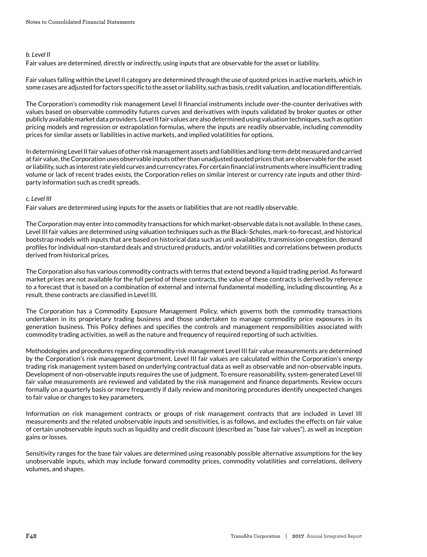### *b. Level II*

Fair values are determined, directly or indirectly, using inputs that are observable for the asset or liability.

Fair values falling within the Level II category are determined through the use of quoted prices in active markets, which in some cases are adjusted for factors specific to the asset or liability, such as basis, credit valuation, and location differentials.

The Corporation's commodity risk management Level II financial instruments include over-the-counter derivatives with values based on observable commodity futures curves and derivatives with inputs validated by broker quotes or other publicly available market data providers. Level II fair values are also determined using valuation techniques, such as option pricing models and regression or extrapolation formulas, where the inputs are readily observable, including commodity prices for similar assets or liabilities in active markets, and implied volatilities for options.

In determining Level II fair values of other risk management assets and liabilities and long-term debt measured and carried at fair value, the Corporation uses observable inputs other than unadjusted quoted prices that are observable for the asset or liability, such as interest rate yield curves and currency rates. For certain financial instruments where insufficient trading volume or lack of recent trades exists, the Corporation relies on similar interest or currency rate inputs and other thirdparty information such as credit spreads.

### *c. Level III*

Fair values are determined using inputs for the assets or liabilities that are not readily observable.

The Corporation may enter into commodity transactions for which market-observable data is not available. In these cases, Level III fair values are determined using valuation techniques such as the Black-Scholes, mark-to-forecast, and historical bootstrap models with inputs that are based on historical data such as unit availability, transmission congestion, demand profiles for individual non-standard deals and structured products, and/or volatilities and correlations between products derived from historical prices.

The Corporation also has various commodity contracts with terms that extend beyond a liquid trading period. As forward market prices are not available for the full period of these contracts, the value of these contracts is derived by reference to a forecast that is based on a combination of external and internal fundamental modelling, including discounting. As a result, these contracts are classified in Level III.

The Corporation has a Commodity Exposure Management Policy, which governs both the commodity transactions undertaken in its proprietary trading business and those undertaken to manage commodity price exposures in its generation business. This Policy defines and specifies the controls and management responsibilities associated with commodity trading activities, as well as the nature and frequency of required reporting of such activities.

Methodologies and procedures regarding commodity risk management Level III fair value measurements are determined by the Corporation's risk management department. Level III fair values are calculated within the Corporation's energy trading risk management system based on underlying contractual data as well as observable and non-observable inputs. Development of non-observable inputs requires the use of judgment. To ensure reasonability, system-generated Level III fair value measurements are reviewed and validated by the risk management and finance departments. Review occurs formally on a quarterly basis or more frequently if daily review and monitoring procedures identify unexpected changes to fair value or changes to key parameters.

Information on risk management contracts or groups of risk management contracts that are included in Level III measurements and the related unobservable inputs and sensitivities, is as follows, and excludes the effects on fair value of certain unobservable inputs such as liquidity and credit discount (described as "base fair values"), as well as inception gains or losses.

Sensitivity ranges for the base fair values are determined using reasonably possible alternative assumptions for the key unobservable inputs, which may include forward commodity prices, commodity volatilities and correlations, delivery volumes, and shapes.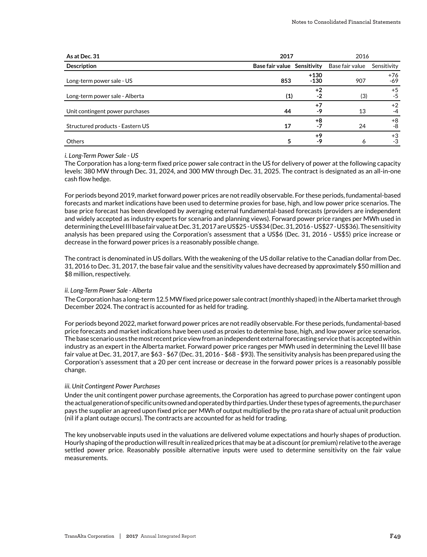| As at Dec. 31                    | 2017                        |                  | 2016            |                |
|----------------------------------|-----------------------------|------------------|-----------------|----------------|
| <b>Description</b>               | Base fair value Sensitivity |                  | Base fair value | Sensitivity    |
| Long-term power sale - US        | 853                         | $+130$<br>$-130$ | 907             | $+76$<br>$-69$ |
| Long-term power sale - Alberta   | (1)                         | $+2$<br>$-2$     | (3)             | $+5$<br>$-5$   |
| Unit contingent power purchases  | 44                          | $+7$<br>-9       | 13              | $+2$<br>-4     |
| Structured products - Eastern US | 17                          | +8<br>$-7$       | 24              | $+8$<br>-8     |
| <b>Others</b>                    | 5                           | $+9$<br>-9       | Ô               | $+3$<br>-3     |

#### *i. Long-Term Power Sale - US*

The Corporation has a long-term fixed price power sale contract in the US for delivery of power at the following capacity levels: 380 MW through Dec. 31, 2024, and 300 MW through Dec. 31, 2025. The contract is designated as an all-in-one cash flow hedge.

For periods beyond 2019, market forward power prices are not readily observable. For these periods, fundamental-based forecasts and market indications have been used to determine proxies for base, high, and low power price scenarios. The base price forecast has been developed by averaging external fundamental-based forecasts (providers are independent and widely accepted as industry experts for scenario and planning views). Forward power price ranges per MWh used in determining the Level III base fair value at Dec. 31, 2017 are US\$25 - US\$34 (Dec. 31, 2016 - US\$27 - US\$36). The sensitivity analysis has been prepared using the Corporation's assessment that a US\$6 (Dec. 31, 2016 - US\$5) price increase or decrease in the forward power prices is a reasonably possible change.

The contract is denominated in US dollars. With the weakening of the US dollar relative to the Canadian dollar from Dec. 31, 2016 to Dec. 31, 2017, the base fair value and the sensitivity values have decreased by approximately \$50 million and \$8 million, respectively.

#### *ii. Long-Term Power Sale - Alberta*

The Corporation has a long-term 12.5 MW fixed price power sale contract (monthly shaped) in the Alberta market through December 2024. The contract is accounted for as held for trading.

For periods beyond 2022, market forward power prices are not readily observable. For these periods, fundamental-based price forecasts and market indications have been used as proxies to determine base, high, and low power price scenarios. The base scenario uses the most recent price view from an independent external forecasting service that is accepted within industry as an expert in the Alberta market. Forward power price ranges per MWh used in determining the Level III base fair value at Dec. 31, 2017, are \$63 - \$67 (Dec. 31, 2016 - \$68 - \$93). The sensitivity analysis has been prepared using the Corporation's assessment that a 20 per cent increase or decrease in the forward power prices is a reasonably possible change.

#### *iii. Unit Contingent Power Purchases*

Under the unit contingent power purchase agreements, the Corporation has agreed to purchase power contingent upon the actual generation of specific units owned and operated by third parties. Under these types of agreements, the purchaser pays the supplier an agreed upon fixed price per MWh of output multiplied by the pro rata share of actual unit production (nil if a plant outage occurs). The contracts are accounted for as held for trading.

The key unobservable inputs used in the valuations are delivered volume expectations and hourly shapes of production. Hourly shaping of the production will result in realized prices that may be at a discount (or premium) relative to the average settled power price. Reasonably possible alternative inputs were used to determine sensitivity on the fair value measurements.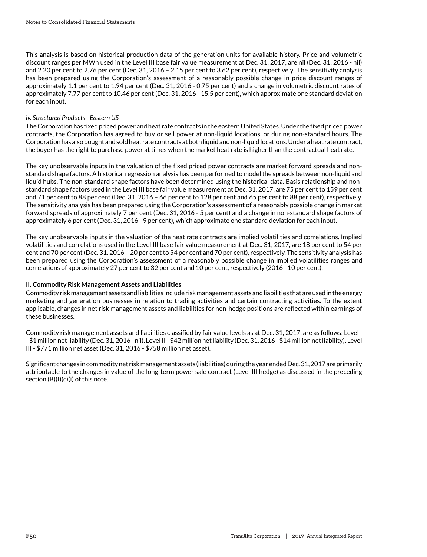This analysis is based on historical production data of the generation units for available history. Price and volumetric discount ranges per MWh used in the Level III base fair value measurement at Dec. 31, 2017, are nil (Dec. 31, 2016 - nil) and 2.20 per cent to 2.76 per cent (Dec. 31, 2016 – 2.15 per cent to 3.62 per cent), respectively. The sensitivity analysis has been prepared using the Corporation's assessment of a reasonably possible change in price discount ranges of approximately 1.1 per cent to 1.94 per cent (Dec. 31, 2016 - 0.75 per cent) and a change in volumetric discount rates of approximately 7.77 per cent to 10.46 per cent (Dec. 31, 2016 - 15.5 per cent), which approximate one standard deviation for each input.

# *iv. Structured Products - Eastern US*

The Corporation has fixed priced power and heat rate contracts in the eastern United States. Under the fixed priced power contracts, the Corporation has agreed to buy or sell power at non-liquid locations, or during non-standard hours. The Corporation has also bought and sold heat rate contracts at both liquid and non-liquid locations. Under a heat rate contract, the buyer has the right to purchase power at times when the market heat rate is higher than the contractual heat rate.

The key unobservable inputs in the valuation of the fixed priced power contracts are market forward spreads and nonstandard shape factors. A historical regression analysis has been performed to model the spreads between non-liquid and liquid hubs. The non-standard shape factors have been determined using the historical data. Basis relationship and nonstandard shape factors used in the Level III base fair value measurement at Dec. 31, 2017, are 75 per cent to 159 per cent and 71 per cent to 88 per cent (Dec. 31, 2016 – 66 per cent to 128 per cent and 65 per cent to 88 per cent), respectively. The sensitivity analysis has been prepared using the Corporation's assessment of a reasonably possible change in market forward spreads of approximately 7 per cent (Dec. 31, 2016 - 5 per cent) and a change in non-standard shape factors of approximately 6 per cent (Dec. 31, 2016 - 9 per cent), which approximate one standard deviation for each input.

The key unobservable inputs in the valuation of the heat rate contracts are implied volatilities and correlations. Implied volatilities and correlations used in the Level III base fair value measurement at Dec. 31, 2017, are 18 per cent to 54 per cent and 70 per cent (Dec. 31, 2016 – 20 per cent to 54 per cent and 70 per cent), respectively. The sensitivity analysis has been prepared using the Corporation's assessment of a reasonably possible change in implied volatilities ranges and correlations of approximately 27 per cent to 32 per cent and 10 per cent, respectively (2016 - 10 per cent).

# **II. Commodity Risk Management Assets and Liabilities**

Commodity risk management assets and liabilities include risk management assets and liabilities that are used in the energy marketing and generation businesses in relation to trading activities and certain contracting activities. To the extent applicable, changes in net risk management assets and liabilities for non-hedge positions are reflected within earnings of these businesses.

Commodity risk management assets and liabilities classified by fair value levels as at Dec. 31, 2017, are as follows: Level I - \$1 million net liability (Dec. 31, 2016 - nil), Level II - \$42 million net liability (Dec. 31, 2016 - \$14 million net liability), Level III - \$771 million net asset (Dec. 31, 2016 - \$758 million net asset).

Significant changes in commodity net risk management assets (liabilities) during the year ended Dec. 31, 2017 are primarily attributable to the changes in value of the long-term power sale contract (Level III hedge) as discussed in the preceding section (B)(I)(c)(i) of this note.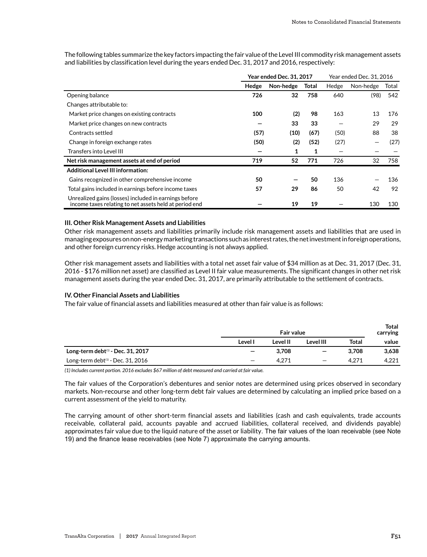|                                                                                                                 | <b>Year ended Dec. 31, 2017</b> |           |              |       | Year ended Dec. 31, 2016 |       |
|-----------------------------------------------------------------------------------------------------------------|---------------------------------|-----------|--------------|-------|--------------------------|-------|
|                                                                                                                 | Hedge                           | Non-hedge | <b>Total</b> | Hedge | Non-hedge                | Total |
| Opening balance                                                                                                 | 726                             | 32        | 758          | 640   | (98)                     | 542   |
| Changes attributable to:                                                                                        |                                 |           |              |       |                          |       |
| Market price changes on existing contracts                                                                      | 100                             | (2)       | 98           | 163   | 13                       | 176   |
| Market price changes on new contracts                                                                           |                                 | 33        | 33           |       | 29                       | 29    |
| Contracts settled                                                                                               | (57)                            | (10)      | (67)         | (50)  | 88                       | 38    |
| Change in foreign exchange rates                                                                                | (50)                            | (2)       | (52)         | (27)  |                          | (27)  |
| <b>Transfers into Level III</b>                                                                                 |                                 | 1         | 1            |       |                          |       |
| Net risk management assets at end of period                                                                     | 719                             | 52        | 771          | 726   | 32                       | 758   |
| <b>Additional Level III information:</b>                                                                        |                                 |           |              |       |                          |       |
| Gains recognized in other comprehensive income                                                                  | 50                              |           | 50           | 136   |                          | 136   |
| Total gains included in earnings before income taxes                                                            | 57                              | 29        | 86           | 50    | 42                       | 92    |
| Unrealized gains (losses) included in earnings before<br>income taxes relating to net assets held at period end |                                 | 19        | 19           |       | 130                      | 130   |

The following tables summarize the key factors impacting the fair value of the Level III commodity risk management assets and liabilities by classification level during the years ended Dec. 31, 2017 and 2016, respectively:

#### **III. Other Risk Management Assets and Liabilities**

Other risk management assets and liabilities primarily include risk management assets and liabilities that are used in managing exposures on non-energy marketing transactions such as interest rates, the net investment in foreign operations, and other foreign currency risks. Hedge accounting is not always applied.

Other risk management assets and liabilities with a total net asset fair value of \$34 million as at Dec. 31, 2017 (Dec. 31, 2016 - \$176 million net asset) are classified as Level II fair value measurements. The significant changes in other net risk management assets during the year ended Dec. 31, 2017, are primarily attributable to the settlement of contracts.

#### **IV. Other Financial Assets and Liabilities**

The fair value of financial assets and liabilities measured at other than fair value is as follows:

|                                      | <b>Fair value</b> |          |                   | <b>Total</b><br>carrying |       |
|--------------------------------------|-------------------|----------|-------------------|--------------------------|-------|
|                                      | Level I           | Level II | Level III         | Total                    | value |
| Long-term debt $(1)$ - Dec. 31, 2017 | $\qquad \qquad$   | 3.708    | $\qquad \qquad -$ | 3.708                    | 3,638 |
| Long-term debt $(1)$ - Dec. 31, 2016 | -                 | 4,271    | -                 | 4,271                    | 4,221 |

*(1) Includes current portion. 2016 excludes \$67 million of debt measured and carried at fair value.*

The fair values of the Corporation's debentures and senior notes are determined using prices observed in secondary markets. Non-recourse and other long-term debt fair values are determined by calculating an implied price based on a current assessment of the yield to maturity.

The carrying amount of other short-term financial assets and liabilities (cash and cash equivalents, trade accounts receivable, collateral paid, accounts payable and accrued liabilities, collateral received, and dividends payable) approximates fair value due to the liquid nature of the asset or liability. The fair values of the loan receivable (see Note 19) and the finance lease receivables (see Note 7) approximate the carrying amounts.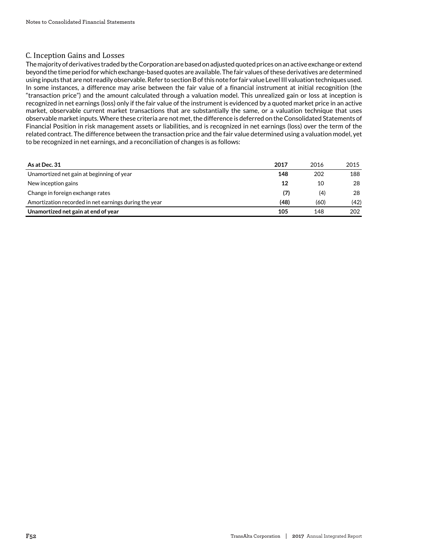# C. Inception Gains and Losses

The majority of derivatives traded by the Corporation are based on adjusted quoted prices on an active exchange or extend beyond the time period for which exchange-based quotes are available. The fair values of these derivatives are determined using inputs that are not readily observable. Refer to section B of this note for fair value Level III valuation techniques used. In some instances, a difference may arise between the fair value of a financial instrument at initial recognition (the "transaction price") and the amount calculated through a valuation model. This unrealized gain or loss at inception is recognized in net earnings (loss) only if the fair value of the instrument is evidenced by a quoted market price in an active market, observable current market transactions that are substantially the same, or a valuation technique that uses observable market inputs. Where these criteria are not met, the difference is deferred on the Consolidated Statements of Financial Position in risk management assets or liabilities, and is recognized in net earnings (loss) over the term of the related contract. The difference between the transaction price and the fair value determined using a valuation model, yet to be recognized in net earnings, and a reconciliation of changes is as follows:

| As at Dec. 31                                         | 2017 | 2016 | 2015 |
|-------------------------------------------------------|------|------|------|
| Unamortized net gain at beginning of year             | 148  | 202  | 188  |
| New inception gains                                   | 12   | 10   | 28   |
| Change in foreign exchange rates                      | (7)  | (4)  | 28   |
| Amortization recorded in net earnings during the year | (48) | (60) | (42) |
| Unamortized net gain at end of year                   | 105  | 148  | 202  |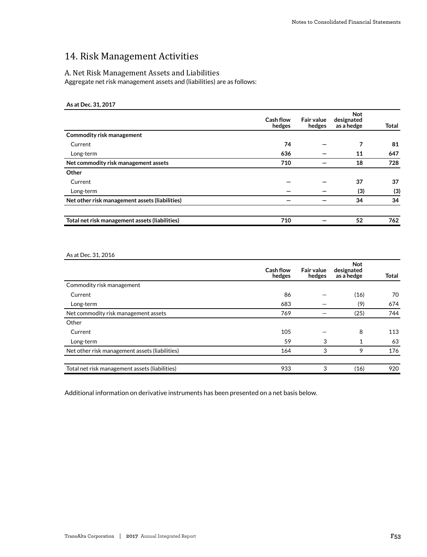# 14. Risk Management Activities

### A. Net Risk Management Assets and Liabilities

Aggregate net risk management assets and (liabilities) are as follows:

# **As at Dec. 31, 2017**

|                                                | Cash flow<br>hedges | <b>Fair value</b><br>hedges | <b>Not</b><br>designated<br>as a hedge | Total |
|------------------------------------------------|---------------------|-----------------------------|----------------------------------------|-------|
| <b>Commodity risk management</b>               |                     |                             |                                        |       |
| Current                                        | 74                  |                             | 7                                      | 81    |
| Long-term                                      | 636                 |                             | 11                                     | 647   |
| Net commodity risk management assets           | 710                 |                             | 18                                     | 728   |
| Other                                          |                     |                             |                                        |       |
| Current                                        |                     |                             | 37                                     | 37    |
| Long-term                                      |                     |                             | (3)                                    | (3)   |
| Net other risk management assets (liabilities) |                     |                             | 34                                     | 34    |
| Total net risk management assets (liabilities) | 710                 |                             | 52                                     | 762   |

#### As at Dec. 31, 2016

|                                                | Cash flow<br>hedges | <b>Fair value</b><br>hedges | <b>Not</b><br>designated<br>as a hedge | Total |
|------------------------------------------------|---------------------|-----------------------------|----------------------------------------|-------|
| Commodity risk management                      |                     |                             |                                        |       |
| Current                                        | 86                  |                             | (16)                                   | 70    |
| Long-term                                      | 683                 |                             | (9)                                    | 674   |
| Net commodity risk management assets           | 769                 |                             | (25)                                   | 744   |
| Other                                          |                     |                             |                                        |       |
| Current                                        | 105                 |                             | 8                                      | 113   |
| Long-term                                      | 59                  | 3                           |                                        | 63    |
| Net other risk management assets (liabilities) | 164                 | 3                           | 9                                      | 176   |
| Total net risk management assets (liabilities) | 933                 | 3                           | (16)                                   | 920   |

Additional information on derivative instruments has been presented on a net basis below.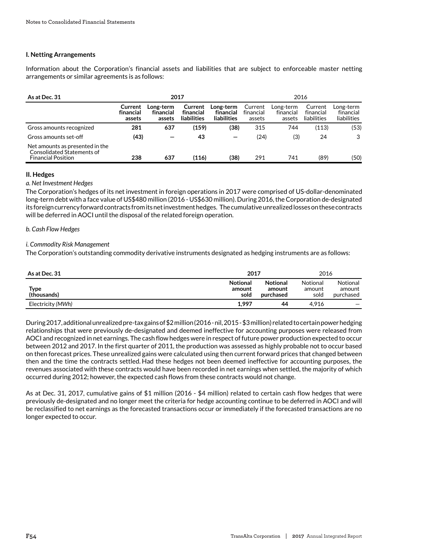# **I. Netting Arrangements**

Information about the Corporation's financial assets and liabilities that are subject to enforceable master netting arrangements or similar agreements is as follows:

| As at Dec. 31                                                                              | 2017                           |                                  |                                     |                                              |                                |                                  | 2016                                |                                       |
|--------------------------------------------------------------------------------------------|--------------------------------|----------------------------------|-------------------------------------|----------------------------------------------|--------------------------------|----------------------------------|-------------------------------------|---------------------------------------|
|                                                                                            | Current<br>financial<br>assets | Long-term<br>financial<br>assets | Current<br>financial<br>liabilities | Long-term<br>financial<br><b>liabilities</b> | Current<br>financial<br>assets | Long-term<br>financial<br>assets | Current<br>financial<br>liabilities | Long-term<br>financial<br>liabilities |
| Gross amounts recognized                                                                   | 281                            | 637                              | (159)                               | (38)                                         | 315                            | 744                              | (113)                               | (53)                                  |
| Gross amounts set-off                                                                      | (43)                           | -                                | 43                                  |                                              | (24)                           | (3)                              | 24                                  | 3                                     |
| Net amounts as presented in the<br>Consolidated Statements of<br><b>Financial Position</b> | 238                            | 637                              | (116)                               | (38)                                         | 291                            | 741                              | (89)                                | (50)                                  |

#### **II. Hedges**

#### *a. Net Investment Hedges*

The Corporation's hedges of its net investment in foreign operations in 2017 were comprised of US-dollar-denominated long-term debt with a face value of US\$480 million (2016 - US\$630 million). During 2016, the Corporation de-designated its foreign currency forward contracts from its net investment hedges. The cumulative unrealized losses on these contracts will be deferred in AOCI until the disposal of the related foreign operation.

#### *b. Cash Flow Hedges*

### *i. Commodity Risk Management*

The Corporation's outstanding commodity derivative instruments designated as hedging instruments are as follows:

| As at Dec. 31       | 2017                              |                                        | 2016                       |                                 |
|---------------------|-----------------------------------|----------------------------------------|----------------------------|---------------------------------|
| Type<br>(thousands) | <b>Notional</b><br>amount<br>sold | <b>Notional</b><br>amount<br>purchased | Notional<br>amount<br>sold | Notional<br>amount<br>purchased |
| Electricity (MWh)   | 1,997                             | 44                                     | 4.916                      |                                 |

During 2017, additional unrealized pre-tax gains of \$2 million (2016 - nil, 2015 - \$3 million) related to certain power hedging relationships that were previously de-designated and deemed ineffective for accounting purposes were released from AOCI and recognized in net earnings. The cash flow hedges were in respect of future power production expected to occur between 2012 and 2017. In the first quarter of 2011, the production was assessed as highly probable not to occur based on then forecast prices. These unrealized gains were calculated using then current forward prices that changed between then and the time the contracts settled. Had these hedges not been deemed ineffective for accounting purposes, the revenues associated with these contracts would have been recorded in net earnings when settled, the majority of which occurred during 2012; however, the expected cash flows from these contracts would not change.

As at Dec. 31, 2017, cumulative gains of \$1 million (2016 - \$4 million) related to certain cash flow hedges that were previously de-designated and no longer meet the criteria for hedge accounting continue to be deferred in AOCI and will be reclassified to net earnings as the forecasted transactions occur or immediately if the forecasted transactions are no longer expected to occur.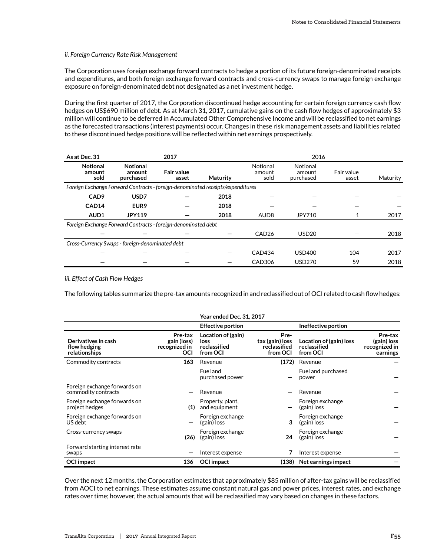#### *ii. Foreign Currency Rate Risk Management*

The Corporation uses foreign exchange forward contracts to hedge a portion of its future foreign-denominated receipts and expenditures, and both foreign exchange forward contracts and cross-currency swaps to manage foreign exchange exposure on foreign-denominated debt not designated as a net investment hedge.

During the first quarter of 2017, the Corporation discontinued hedge accounting for certain foreign currency cash flow hedges on US\$690 million of debt. As at March 31, 2017, cumulative gains on the cash flow hedges of approximately \$3 million will continue to be deferred in Accumulated Other Comprehensive Income and will be reclassified to net earnings as the forecasted transactions (interest payments) occur. Changes in these risk management assets and liabilities related to these discontinued hedge positions will be reflected within net earnings prospectively.

| As at Dec. 31                                                                  | 2017                                   |                            |          | 2016                       |                                 |                     |          |  |
|--------------------------------------------------------------------------------|----------------------------------------|----------------------------|----------|----------------------------|---------------------------------|---------------------|----------|--|
| <b>Notional</b><br>amount<br>sold                                              | <b>Notional</b><br>amount<br>purchased | <b>Fair value</b><br>asset | Maturity | Notional<br>amount<br>sold | Notional<br>amount<br>purchased | Fair value<br>asset | Maturity |  |
| Foreign Exchange Forward Contracts - foreign-denominated receipts/expenditures |                                        |                            |          |                            |                                 |                     |          |  |
| CAD <sub>9</sub>                                                               | USD7                                   |                            | 2018     |                            |                                 |                     |          |  |
| CAD <sub>14</sub>                                                              | EUR <sub>9</sub>                       |                            | 2018     |                            |                                 |                     |          |  |
| AUD <sub>1</sub>                                                               | <b>JPY119</b>                          |                            | 2018     | AUD <sub>8</sub>           | JPY710                          |                     | 2017     |  |
| Foreign Exchange Forward Contracts - foreign-denominated debt                  |                                        |                            |          |                            |                                 |                     |          |  |
|                                                                                |                                        |                            |          | CAD <sub>26</sub>          | <b>USD20</b>                    |                     | 2018     |  |
| Cross-Currency Swaps - foreign-denominated debt                                |                                        |                            |          |                            |                                 |                     |          |  |
|                                                                                |                                        |                            |          | CAD434                     | <b>USD400</b>                   | 104                 | 2017     |  |
|                                                                                |                                        |                            |          | CAD306                     | <b>USD270</b>                   | 59                  | 2018     |  |

#### *iii. Effect of Cash Flow Hedges*

The following tables summarize the pre-tax amounts recognized in and reclassified out of OCI related to cash flow hedges:

|                                                      |                                                       | <b>Year ended Dec. 31, 2017</b>                        |                                                     |                                                     |                                                     |
|------------------------------------------------------|-------------------------------------------------------|--------------------------------------------------------|-----------------------------------------------------|-----------------------------------------------------|-----------------------------------------------------|
|                                                      |                                                       | <b>Effective portion</b>                               |                                                     | Ineffective portion                                 |                                                     |
| Derivatives in cash<br>flow hedging<br>relationships | Pre-tax<br>gain (loss)<br>recognized in<br><b>OCI</b> | Location of (gain)<br>loss<br>reclassified<br>from OCI | Pre-<br>tax (gain) loss<br>reclassified<br>from OCI | Location of (gain) loss<br>reclassified<br>from OCI | Pre-tax<br>(gain) loss<br>recognized in<br>earnings |
| Commodity contracts                                  | 163                                                   | Revenue                                                | (172)                                               | Revenue                                             |                                                     |
|                                                      |                                                       | Fuel and<br>purchased power                            |                                                     | Fuel and purchased<br>power                         |                                                     |
| Foreign exchange forwards on<br>commodity contracts  |                                                       | Revenue                                                |                                                     | Revenue                                             |                                                     |
| Foreign exchange forwards on<br>project hedges       | (1)                                                   | Property, plant,<br>and equipment                      |                                                     | Foreign exchange<br>(gain) loss                     |                                                     |
| Foreign exchange forwards on<br>US debt              |                                                       | Foreign exchange<br>(gain) loss                        | 3                                                   | Foreign exchange<br>(gain) loss                     |                                                     |
| Cross-currency swaps                                 | (26)                                                  | Foreign exchange<br>(gain) loss                        | 24                                                  | Foreign exchange<br>(gain) loss                     |                                                     |
| Forward starting interest rate<br>swaps              |                                                       | Interest expense                                       |                                                     | Interest expense                                    |                                                     |
| <b>OCI</b> impact                                    | 136                                                   | <b>OCI</b> impact                                      | (138)                                               | Net earnings impact                                 |                                                     |

Over the next 12 months, the Corporation estimates that approximately \$85 million of after-tax gains will be reclassified from AOCI to net earnings. These estimates assume constant natural gas and power prices, interest rates, and exchange rates over time; however, the actual amounts that will be reclassified may vary based on changes in these factors.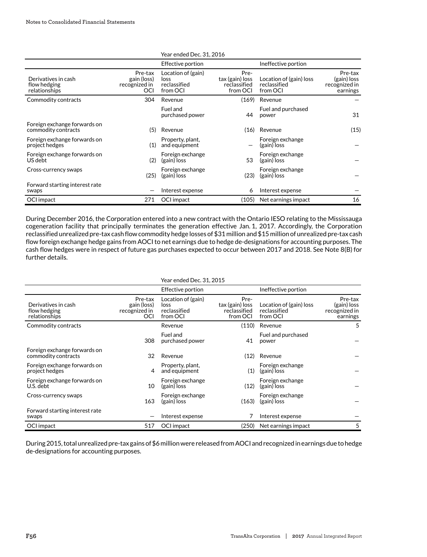|                                                      |                                                | Year ended Dec. 31, 2016                               |                                                     |                                                     |                                                     |
|------------------------------------------------------|------------------------------------------------|--------------------------------------------------------|-----------------------------------------------------|-----------------------------------------------------|-----------------------------------------------------|
|                                                      |                                                | Effective portion                                      |                                                     | Ineffective portion                                 |                                                     |
| Derivatives in cash<br>flow hedging<br>relationships | Pre-tax<br>gain (loss)<br>recognized in<br>OCI | Location of (gain)<br>loss<br>reclassified<br>from OCI | Pre-<br>tax (gain) loss<br>reclassified<br>from OCI | Location of (gain) loss<br>reclassified<br>from OCI | Pre-tax<br>(gain) loss<br>recognized in<br>earnings |
| Commodity contracts                                  | 304                                            | Revenue                                                | (169)                                               | Revenue                                             |                                                     |
|                                                      |                                                | Fuel and<br>purchased power                            | 44                                                  | Fuel and purchased<br>power                         | 31                                                  |
| Foreign exchange forwards on<br>commodity contracts  | (5)                                            | Revenue                                                | (16)                                                | Revenue                                             | (15)                                                |
| Foreign exchange forwards on<br>project hedges       | (1)                                            | Property, plant,<br>and equipment                      |                                                     | Foreign exchange<br>(gain) loss                     |                                                     |
| Foreign exchange forwards on<br>US debt              | (2)                                            | Foreign exchange<br>(gain) loss                        | 53                                                  | Foreign exchange<br>(gain) loss                     |                                                     |
| Cross-currency swaps                                 | (25)                                           | Foreign exchange<br>(gain) loss                        | (23)                                                | Foreign exchange<br>(gain) loss                     |                                                     |
| Forward starting interest rate<br>swaps              |                                                | Interest expense                                       | 6                                                   | Interest expense                                    |                                                     |
| OCI impact                                           | 271                                            | OCI impact                                             | (105)                                               | Net earnings impact                                 | 16                                                  |

During December 2016, the Corporation entered into a new contract with the Ontario IESO relating to the Mississauga cogeneration facility that principally terminates the generation effective Jan. 1, 2017. Accordingly, the Corporation reclassified unrealized pre-tax cash flow commodity hedge losses of \$31 million and \$15 million of unrealized pre-tax cash flow foreign exchange hedge gains from AOCI to net earnings due to hedge de-designations for accounting purposes. The cash flow hedges were in respect of future gas purchases expected to occur between 2017 and 2018. See Note 8(B) for further details.

|                                                      |                                                | Year ended Dec. 31, 2015                               |                                                     |                                                     |                                                     |
|------------------------------------------------------|------------------------------------------------|--------------------------------------------------------|-----------------------------------------------------|-----------------------------------------------------|-----------------------------------------------------|
|                                                      |                                                | Effective portion                                      |                                                     | Ineffective portion                                 |                                                     |
| Derivatives in cash<br>flow hedging<br>relationships | Pre-tax<br>gain (loss)<br>recognized in<br>OCI | Location of (gain)<br>loss<br>reclassified<br>from OCI | Pre-<br>tax (gain) loss<br>reclassified<br>from OCI | Location of (gain) loss<br>reclassified<br>from OCI | Pre-tax<br>(gain) loss<br>recognized in<br>earnings |
| Commodity contracts                                  |                                                | Revenue                                                | (110)                                               | Revenue                                             | 5                                                   |
|                                                      | 308                                            | Fuel and<br>purchased power                            | 41                                                  | Fuel and purchased<br>power                         |                                                     |
| Foreign exchange forwards on<br>commodity contracts  | 32                                             | Revenue                                                | (12)                                                | Revenue                                             |                                                     |
| Foreign exchange forwards on<br>project hedges       | 4                                              | Property, plant,<br>and equipment                      | (1)                                                 | Foreign exchange<br>(gain) loss                     |                                                     |
| Foreign exchange forwards on<br>U.S. debt            | 10                                             | Foreign exchange<br>(gain) loss                        | (12)                                                | Foreign exchange<br>(gain) loss                     |                                                     |
| Cross-currency swaps                                 | 163                                            | Foreign exchange<br>(gain) loss                        | (163)                                               | Foreign exchange<br>(gain) loss                     |                                                     |
| Forward starting interest rate<br>swaps              |                                                | Interest expense                                       | 7                                                   | Interest expense                                    |                                                     |
| OCI impact                                           | 517                                            | OCI impact                                             | (250)                                               | Net earnings impact                                 | 5                                                   |

During 2015, total unrealized pre-tax gains of \$6 million were released from AOCI and recognized in earnings due to hedge de-designations for accounting purposes.

#### **F56 TransAlta Corporation | 2017** Annual Integrated Report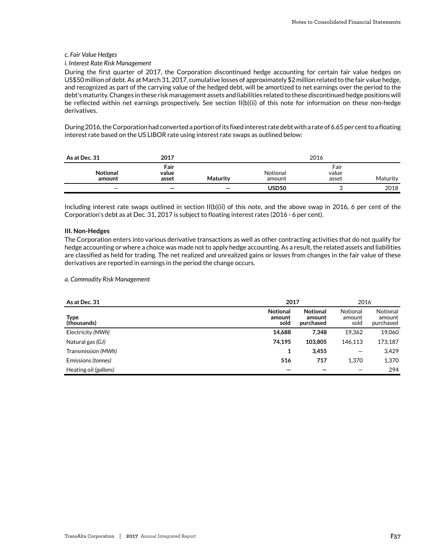#### *c. Fair Value Hedges*

#### *i. Interest Rate Risk Management*

During the first quarter of 2017, the Corporation discontinued hedge accounting for certain fair value hedges on US\$50 million of debt. As at March 31, 2017, cumulative losses of approximately \$2 million related to the fair value hedge, and recognized as part of the carrying value of the hedged debt, will be amortized to net earnings over the period to the debt's maturity. Changes in these risk management assets and liabilities related to these discontinued hedge positions will be reflected within net earnings prospectively. See section II(b)(ii) of this note for information on these non-hedge derivatives.

During 2016, the Corporation had converted a portion of its fixed interest rate debt with a rate of 6.65 per cent to a floating interest rate based on the US LIBOR rate using interest rate swaps as outlined below:

| As at Dec. 31             | 2017                     |                          |                    | 2016                   |          |
|---------------------------|--------------------------|--------------------------|--------------------|------------------------|----------|
| <b>Notional</b><br>amount | Fair<br>value<br>asset   | <b>Maturity</b>          | Notional<br>amount | Fair<br>value<br>asset | Maturity |
| $\overline{\phantom{0}}$  | $\overline{\phantom{0}}$ | $\overline{\phantom{0}}$ | USD <sub>50</sub>  |                        | 2018     |

Including interest rate swaps outlined in section II(b)(ii) of this note, and the above swap in 2016, 6 per cent of the Corporation's debt as at Dec. 31, 2017 is subject to floating interest rates (2016 - 6 per cent).

#### **III. Non-Hedges**

The Corporation enters into various derivative transactions as well as other contracting activities that do not qualify for hedge accounting or where a choice was made not to apply hedge accounting. As a result, the related assets and liabilities are classified as held for trading. The net realized and unrealized gains or losses from changes in the fair value of these derivatives are reported in earnings in the period the change occurs.

#### *a. Commodity Risk Management*

| As at Dec. 31              | 2017                              |                                        | 2016                       |                                 |  |
|----------------------------|-----------------------------------|----------------------------------------|----------------------------|---------------------------------|--|
| <b>Type</b><br>(thousands) | <b>Notional</b><br>amount<br>sold | <b>Notional</b><br>amount<br>purchased | Notional<br>amount<br>sold | Notional<br>amount<br>purchased |  |
| Electricity (MWh)          | 14,688                            | 7,348                                  | 19,362                     | 19,060                          |  |
| Natural gas (GJ)           | 74,195                            | 103,805                                | 146,113                    | 173,187                         |  |
| Transmission (MWh)         | 1                                 | 3,455                                  |                            | 3,429                           |  |
| Emissions (tonnes)         | 516                               | 717                                    | 1.370                      | 1,370                           |  |
| Heating oil (gallons)      |                                   |                                        |                            | 294                             |  |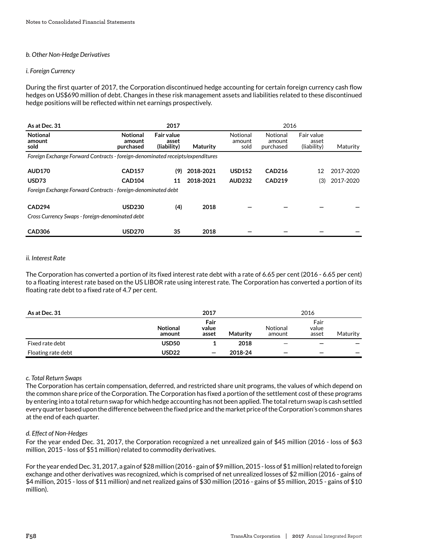### *b. Other Non-Hedge Derivatives*

#### *i. Foreign Currency*

During the first quarter of 2017, the Corporation discontinued hedge accounting for certain foreign currency cash flow hedges on US\$690 million of debt. Changes in these risk management assets and liabilities related to these discontinued hedge positions will be reflected within net earnings prospectively.

| As at Dec. 31                                                                  |                                        | 2017                                      |           |                            | 2016                            |                                    |           |
|--------------------------------------------------------------------------------|----------------------------------------|-------------------------------------------|-----------|----------------------------|---------------------------------|------------------------------------|-----------|
| <b>Notional</b><br>amount<br>sold                                              | <b>Notional</b><br>amount<br>purchased | <b>Fair value</b><br>asset<br>(liability) | Maturity  | Notional<br>amount<br>sold | Notional<br>amount<br>purchased | Fair value<br>asset<br>(liability) | Maturity  |
| Foreign Exchange Forward Contracts - foreign-denominated receipts/expenditures |                                        |                                           |           |                            |                                 |                                    |           |
| <b>AUD170</b>                                                                  | <b>CAD157</b>                          | (9)                                       | 2018-2021 | <b>USD152</b>              | <b>CAD216</b>                   | 12                                 | 2017-2020 |
| USD73                                                                          | <b>CAD104</b>                          | 11                                        | 2018-2021 | <b>AUD232</b>              | <b>CAD219</b>                   | (3)                                | 2017-2020 |
| Foreign Exchange Forward Contracts - foreign-denominated debt                  |                                        |                                           |           |                            |                                 |                                    |           |
| <b>CAD294</b><br>Cross Currency Swaps - foreign-denominated debt               | <b>USD230</b>                          | (4)                                       | 2018      |                            |                                 |                                    |           |
| <b>CAD306</b>                                                                  | <b>USD270</b>                          | 35                                        | 2018      |                            |                                 |                                    |           |

#### *ii. Interest Rate*

The Corporation has converted a portion of its fixed interest rate debt with a rate of 6.65 per cent (2016 - 6.65 per cent) to a floating interest rate based on the US LIBOR rate using interest rate. The Corporation has converted a portion of its floating rate debt to a fixed rate of 4.7 per cent.

| As at Dec. 31      |                           | 2017                   |          | 2016               |                        |                          |
|--------------------|---------------------------|------------------------|----------|--------------------|------------------------|--------------------------|
|                    | <b>Notional</b><br>amount | Fair<br>value<br>asset | Maturity | Notional<br>amount | Fair<br>value<br>asset | Maturity                 |
| Fixed rate debt    | USD50                     |                        | 2018     | -                  |                        |                          |
| Floating rate debt | USD22                     | $\qquad \qquad$        | 2018-24  | -                  | -                      | $\overline{\phantom{m}}$ |

#### *c. Total Return Swaps*

The Corporation has certain compensation, deferred, and restricted share unit programs, the values of which depend on the common share price of the Corporation. The Corporation has fixed a portion of the settlement cost of these programs by entering into a total return swap for which hedge accounting has not been applied. The total return swap is cash settled every quarter based upon the difference between the fixed price and the market price of the Corporation's common shares at the end of each quarter.

#### *d. Effect of Non-Hedges*

For the year ended Dec. 31, 2017, the Corporation recognized a net unrealized gain of \$45 million (2016 - loss of \$63 million, 2015 - loss of \$51 million) related to commodity derivatives.

For the year ended Dec. 31, 2017, a gain of \$28 million (2016 - gain of \$9 million, 2015 - loss of \$1 million) related to foreign exchange and other derivatives was recognized, which is comprised of net unrealized losses of \$2 million (2016 - gains of \$4 million, 2015 - loss of \$11 million) and net realized gains of \$30 million (2016 - gains of \$5 million, 2015 - gains of \$10 million).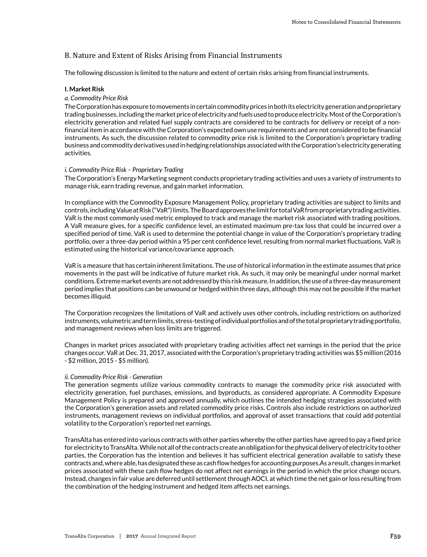# B. Nature and Extent of Risks Arising from Financial Instruments

The following discussion is limited to the nature and extent of certain risks arising from financial instruments.

#### **I. Market Risk**

#### *a. Commodity Price Risk*

The Corporation has exposure to movements in certain commodity prices in both its electricity generation and proprietary trading businesses, including the market price of electricity and fuels used to produce electricity. Most of the Corporation's electricity generation and related fuel supply contracts are considered to be contracts for delivery or receipt of a nonfinancial item in accordance with the Corporation's expected own use requirements and are not considered to be financial instruments. As such, the discussion related to commodity price risk is limited to the Corporation's proprietary trading business and commodity derivatives used in hedging relationships associated with the Corporation's electricity generating activities.

#### *i. Commodity Price Risk – Proprietary Trading*

The Corporation's Energy Marketing segment conducts proprietary trading activities and uses a variety of instruments to manage risk, earn trading revenue, and gain market information.

In compliance with the Commodity Exposure Management Policy, proprietary trading activities are subject to limits and controls, including Value at Risk ("VaR") limits. The Board approves the limit for total VaR from proprietary trading activities. VaR is the most commonly used metric employed to track and manage the market risk associated with trading positions. A VaR measure gives, for a specific confidence level, an estimated maximum pre-tax loss that could be incurred over a specified period of time. VaR is used to determine the potential change in value of the Corporation's proprietary trading portfolio, over a three-day period within a 95 per cent confidence level, resulting from normal market fluctuations. VaR is estimated using the historical variance/covariance approach.

VaR is a measure that has certain inherent limitations. The use of historical information in the estimate assumes that price movements in the past will be indicative of future market risk. As such, it may only be meaningful under normal market conditions. Extreme market events are not addressed by this risk measure. In addition, the use of a three-day measurement period implies that positions can be unwound or hedged within three days, although this may not be possible if the market becomes illiquid.

The Corporation recognizes the limitations of VaR and actively uses other controls, including restrictions on authorized instruments, volumetric and term limits, stress-testing of individual portfolios and of the total proprietary trading portfolio, and management reviews when loss limits are triggered.

Changes in market prices associated with proprietary trading activities affect net earnings in the period that the price changes occur. VaR at Dec. 31, 2017, associated with the Corporation's proprietary trading activities was \$5 million (2016 - \$2 million, 2015 - \$5 million).

#### *ii. Commodity Price Risk - Generation*

The generation segments utilize various commodity contracts to manage the commodity price risk associated with electricity generation, fuel purchases, emissions, and byproducts, as considered appropriate. A Commodity Exposure Management Policy is prepared and approved annually, which outlines the intended hedging strategies associated with the Corporation's generation assets and related commodity price risks. Controls also include restrictions on authorized instruments, management reviews on individual portfolios, and approval of asset transactions that could add potential volatility to the Corporation's reported net earnings.

TransAlta has entered into various contracts with other parties whereby the other parties have agreed to pay a fixed price for electricity to TransAlta. While not all of the contracts create an obligation for the physical delivery of electricity to other parties, the Corporation has the intention and believes it has sufficient electrical generation available to satisfy these contracts and, where able, has designated these as cash flow hedges for accounting purposes.As a result, changes in market prices associated with these cash flow hedges do not affect net earnings in the period in which the price change occurs. Instead, changes in fair value are deferred until settlement through AOCI, at which time the net gain or loss resulting from the combination of the hedging instrument and hedged item affects net earnings.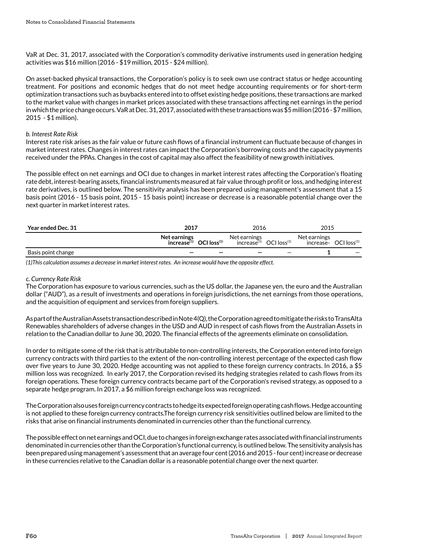VaR at Dec. 31, 2017, associated with the Corporation's commodity derivative instruments used in generation hedging activities was \$16 million (2016 - \$19 million, 2015 - \$24 million).

On asset-backed physical transactions, the Corporation's policy is to seek own use contract status or hedge accounting treatment. For positions and economic hedges that do not meet hedge accounting requirements or for short-term optimization transactions such as buybacks entered into to offset existing hedge positions, these transactions are marked to the market value with changes in market prices associated with these transactions affecting net earnings in the period in which the price change occurs. VaR at Dec. 31, 2017, associated with these transactions was \$5 million (2016 - \$7 million, 2015 - \$1 million).

#### *b. Interest Rate Risk*

Interest rate risk arises as the fair value or future cash flows of a financial instrument can fluctuate because of changes in market interest rates. Changes in interest rates can impact the Corporation's borrowing costs and the capacity payments received under the PPAs. Changes in the cost of capital may also affect the feasibility of new growth initiatives.

The possible effect on net earnings and OCI due to changes in market interest rates affecting the Corporation's floating rate debt, interest-bearing assets, financial instruments measured at fair value through profit or loss, and hedging interest rate derivatives, is outlined below. The sensitivity analysis has been prepared using management's assessment that a 15 basis point (2016 - 15 basis point, 2015 - 15 basis point) increase or decrease is a reasonable potential change over the next quarter in market interest rates.

| Year ended Dec. 31 | 2017                                                        | 2016                                    |                     | 2015                                              |  |
|--------------------|-------------------------------------------------------------|-----------------------------------------|---------------------|---------------------------------------------------|--|
|                    | Net earnings<br>$OCI$ loss $(1)$<br>increase <sup>(1)</sup> | Net earnings<br>increase <sup>(1)</sup> | $OCI$ loss $^{(1)}$ | Net earnings<br>$increase^{(1)}$ OCI $loss^{(1)}$ |  |
| Basis point change |                                                             |                                         |                     |                                                   |  |

*(1)This calculation assumes a decrease in market interest rates. An increase would have the opposite effect.*

#### *c. Currency Rate Risk*

The Corporation has exposure to various currencies, such as the US dollar, the Japanese yen, the euro and the Australian dollar ("AUD"), as a result of investments and operations in foreign jurisdictions, the net earnings from those operations, and the acquisition of equipment and services from foreign suppliers.

As part of the Australian Assets transaction described in Note 4(Q), the Corporation agreed to mitigate the risks to TransAlta Renewables shareholders of adverse changes in the USD and AUD in respect of cash flows from the Australian Assets in relation to the Canadian dollar to June 30, 2020. The financial effects of the agreements eliminate on consolidation.

In order to mitigate some of the risk that is attributable to non-controlling interests, the Corporation entered into foreign currency contracts with third parties to the extent of the non-controlling interest percentage of the expected cash flow over five years to June 30, 2020. Hedge accounting was not applied to these foreign currency contracts. In 2016, a \$5 million loss was recognized. In early 2017, the Corporation revised its hedging strategies related to cash flows from its foreign operations. These foreign currency contracts became part of the Corporation's revised strategy, as opposed to a separate hedge program. In 2017, a \$6 million foreign exchange loss was recognized.

The Corporation also uses foreign currency contracts to hedge its expected foreign operating cash flows. Hedge accounting is not applied to these foreign currency contracts.The foreign currency risk sensitivities outlined below are limited to the risks that arise on financial instruments denominated in currencies other than the functional currency.

The possible effect on net earnings and OCI, due to changes in foreign exchange rates associated with financial instruments denominated in currencies other than the Corporation's functional currency, is outlined below. The sensitivity analysis has been prepared using management's assessment that an average four cent (2016 and 2015 - four cent) increase or decrease in these currencies relative to the Canadian dollar is a reasonable potential change over the next quarter.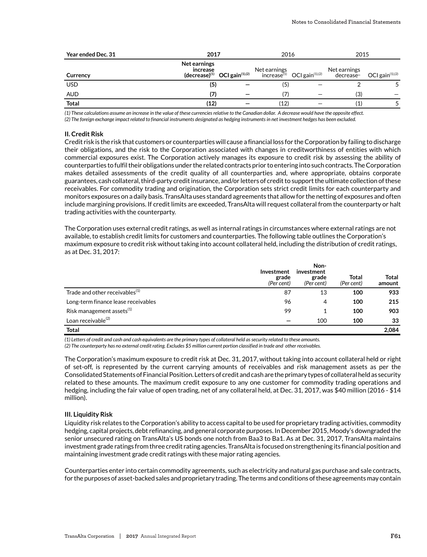| Year ended Dec. 31 | 2017                            |                                                 | 2016         |                                              | 2015                      |                    |
|--------------------|---------------------------------|-------------------------------------------------|--------------|----------------------------------------------|---------------------------|--------------------|
| Currency           | <b>Net earnings</b><br>increase | $(\text{decrease})^{(1)}$ OCI gain $^{(1),(2)}$ | Net earnings | $increase^{(1)}$ OCI gain <sup>(1),(2)</sup> | Net earnings<br>decrease® | OCI gain $(1),(2)$ |
| <b>USD</b>         | (5)                             |                                                 | (5)          |                                              |                           |                    |
| AUD                | (7)                             |                                                 | 7)           |                                              | (3)                       |                    |
| <b>Total</b>       | (12)                            |                                                 | (12)         |                                              | (1)                       |                    |

*(1) These calculations assume an increase in the value of these currencies relative to the Canadian dollar. A decrease would have the opposite effect.*

*(2) The foreign exchange impact related to financial instruments designated as hedging instruments in net investment hedges has been excluded.*

#### **II. Credit Risk**

Credit risk is the risk that customers or counterparties will cause a financial loss for the Corporation by failing to discharge their obligations, and the risk to the Corporation associated with changes in creditworthiness of entities with which commercial exposures exist. The Corporation actively manages its exposure to credit risk by assessing the ability of counterparties to fulfil their obligations under the related contracts prior to entering into such contracts. The Corporation makes detailed assessments of the credit quality of all counterparties and, where appropriate, obtains corporate guarantees, cash collateral, third-party credit insurance, and/or letters of credit to support the ultimate collection of these receivables. For commodity trading and origination, the Corporation sets strict credit limits for each counterparty and monitors exposures on a daily basis. TransAlta uses standard agreements that allow for the netting of exposures and often include margining provisions. If credit limits are exceeded, TransAlta will request collateral from the counterparty or halt trading activities with the counterparty.

The Corporation uses external credit ratings, as well as internal ratings in circumstances where external ratings are not available, to establish credit limits for customers and counterparties. The following table outlines the Corporation's maximum exposure to credit risk without taking into account collateral held, including the distribution of credit ratings, as at Dec. 31, 2017:

|                                            | Investment<br>grade<br>(Per cent) | Non-<br>investment<br>grade<br>(Per cent) | Total<br>(Per cent) | <b>Total</b><br>amount |
|--------------------------------------------|-----------------------------------|-------------------------------------------|---------------------|------------------------|
| Trade and other receivables <sup>(1)</sup> | 87                                | 13                                        | 100                 | 933                    |
| Long-term finance lease receivables        | 96                                | 4                                         | 100                 | 215                    |
| Risk management assets <sup>(1)</sup>      | 99                                |                                           | 100                 | 903                    |
| Loan receivable <sup>(2)</sup>             |                                   | 100                                       | 100                 | 33                     |
| <b>Total</b>                               |                                   |                                           |                     | 2,084                  |

*(1) Letters of credit and cash and cash equivalents are the primary types of collateral held as security related to these amounts.* 

*(2) The counterparty has no external credit rating. Excludes \$5 million current portion classified in trade and other receivables.* 

The Corporation's maximum exposure to credit risk at Dec. 31, 2017, without taking into account collateral held or right of set-off, is represented by the current carrying amounts of receivables and risk management assets as per the Consolidated Statements of Financial Position. Letters of credit and cash are the primary types of collateral held as security related to these amounts. The maximum credit exposure to any one customer for commodity trading operations and hedging, including the fair value of open trading, net of any collateral held, at Dec. 31, 2017, was \$40 million (2016 - \$14 million).

#### **III. Liquidity Risk**

Liquidity risk relates to the Corporation's ability to access capital to be used for proprietary trading activities, commodity hedging, capital projects, debt refinancing, and general corporate purposes. In December 2015, Moody's downgraded the senior unsecured rating on TransAlta's US bonds one notch from Baa3 to Ba1. As at Dec. 31, 2017, TransAlta maintains investment grade ratings from three credit rating agencies. TransAlta is focused on strengthening its financial position and maintaining investment grade credit ratings with these major rating agencies.

Counterparties enter into certain commodity agreements, such as electricity and natural gas purchase and sale contracts, for the purposes of asset-backed sales and proprietary trading. The terms and conditions of these agreements may contain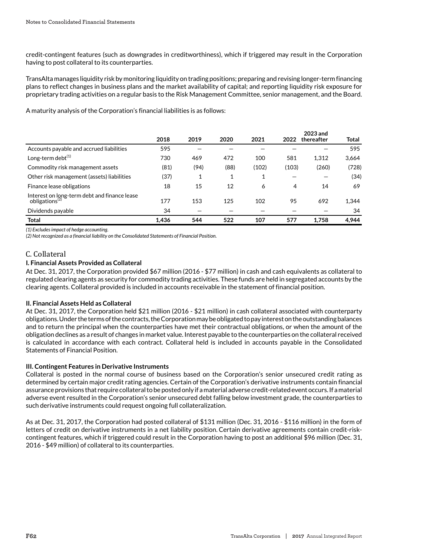credit-contingent features (such as downgrades in creditworthiness), which if triggered may result in the Corporation having to post collateral to its counterparties.

TransAlta manages liquidity risk by monitoring liquidity on trading positions; preparing and revising longer-term financing plans to reflect changes in business plans and the market availability of capital; and reporting liquidity risk exposure for proprietary trading activities on a regular basis to the Risk Management Committee, senior management, and the Board.

A maturity analysis of the Corporation's financial liabilities is as follows:

|                                                                            | 2018  | 2019 | 2020 | 2021  | 2022  | 2023 and<br>thereafter | Total |
|----------------------------------------------------------------------------|-------|------|------|-------|-------|------------------------|-------|
| Accounts payable and accrued liabilities                                   | 595   |      |      |       |       |                        | 595   |
| Long-term debt $(1)$                                                       | 730   | 469  | 472  | 100   | 581   | 1.312                  | 3,664 |
| Commodity risk management assets                                           | (81)  | (94) | (88) | (102) | (103) | (260)                  | (728) |
| Other risk management (assets) liabilities                                 | (37)  | 1    | 1    | 1     |       |                        | (34)  |
| Finance lease obligations                                                  | 18    | 15   | 12   | 6     | 4     | 14                     | 69    |
| Interest on long-term debt and finance lease<br>obligations <sup>(2)</sup> | 177   | 153  | 125  | 102   | 95    | 692                    | 1,344 |
| Dividends payable                                                          | 34    |      |      |       |       |                        | 34    |
| <b>Total</b>                                                               | 1.436 | 544  | 522  | 107   | 577   | 1.758                  | 4.944 |

*(1) Excludes impact of hedge accounting.*

*(2) Not recognized as a financial liability on the Consolidated Statements of Financial Position.*

# C. Collateral

# **I. Financial Assets Provided as Collateral**

At Dec. 31, 2017, the Corporation provided \$67 million (2016 - \$77 million) in cash and cash equivalents as collateral to regulated clearing agents as security for commodity trading activities. These funds are held in segregated accounts by the clearing agents. Collateral provided is included in accounts receivable in the statement of financial position.

# **II. Financial Assets Held as Collateral**

At Dec. 31, 2017, the Corporation held \$21 million (2016 - \$21 million) in cash collateral associated with counterparty obligations. Under the terms of the contracts, the Corporation may be obligated to pay interest on the outstanding balances and to return the principal when the counterparties have met their contractual obligations, or when the amount of the obligation declines as a result of changes in market value. Interest payable to the counterparties on the collateral received is calculated in accordance with each contract. Collateral held is included in accounts payable in the Consolidated Statements of Financial Position.

# **III. Contingent Features in Derivative Instruments**

Collateral is posted in the normal course of business based on the Corporation's senior unsecured credit rating as determined by certain major credit rating agencies. Certain of the Corporation's derivative instruments contain financial assurance provisions that require collateral to be posted only if a material adverse credit-related event occurs. If a material adverse event resulted in the Corporation's senior unsecured debt falling below investment grade, the counterparties to such derivative instruments could request ongoing full collateralization.

As at Dec. 31, 2017, the Corporation had posted collateral of \$131 million (Dec. 31, 2016 - \$116 million) in the form of letters of credit on derivative instruments in a net liability position. Certain derivative agreements contain credit-riskcontingent features, which if triggered could result in the Corporation having to post an additional \$96 million (Dec. 31, 2016 - \$49 million) of collateral to its counterparties.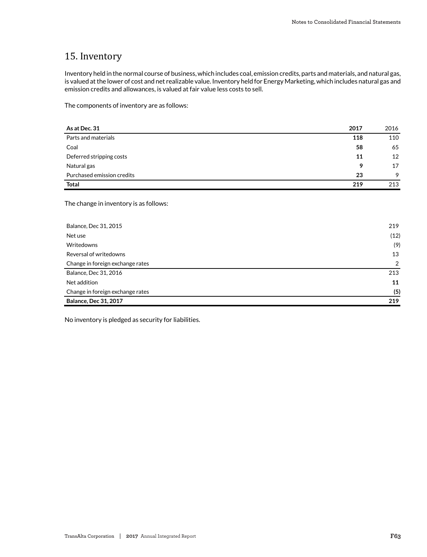# 15. Inventory

Inventory held in the normal course of business, which includes coal, emission credits, parts and materials, and natural gas, is valued at the lower of cost and net realizable value. Inventory held for Energy Marketing, which includes natural gas and emission credits and allowances, is valued at fair value less costs to sell.

The components of inventory are as follows:

| As at Dec. 31              | 2017 | 2016 |
|----------------------------|------|------|
| Parts and materials        | 118  | 110  |
| Coal                       | 58   | 65   |
| Deferred stripping costs   | 11   | 12   |
| Natural gas                | 9    | 17   |
| Purchased emission credits | 23   | 9    |
| <b>Total</b>               | 219  | 213  |

The change in inventory is as follows:

| Balance, Dec 31, 2015            | 219  |
|----------------------------------|------|
| Net use                          | (12) |
| Writedowns                       | (9)  |
| Reversal of writedowns           | 13   |
| Change in foreign exchange rates | 2    |
| Balance, Dec 31, 2016            | 213  |
| Net addition                     | 11   |
| Change in foreign exchange rates | (5)  |
| <b>Balance, Dec 31, 2017</b>     | 219  |

No inventory is pledged as security for liabilities.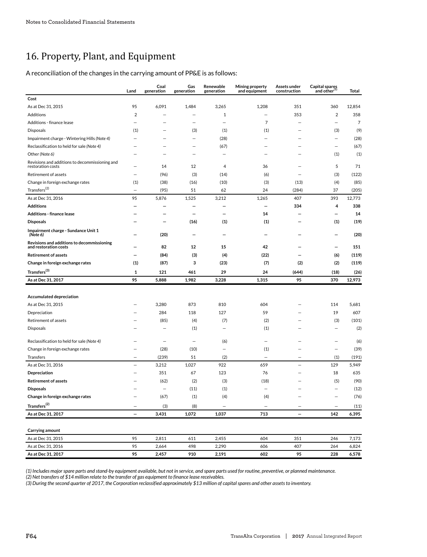# 16. Property, Plant, and Equipment

A reconciliation of the changes in the carrying amount of PP&E is as follows:

|                                                                     | Land                     | Coal<br>generation               | Gas<br>generation        | Renewable<br>generation  | Mining property<br>and equipment | Assets under<br>construction | Capital spares<br>and other(1) | Total  |
|---------------------------------------------------------------------|--------------------------|----------------------------------|--------------------------|--------------------------|----------------------------------|------------------------------|--------------------------------|--------|
| Cost                                                                |                          |                                  |                          |                          |                                  |                              |                                |        |
| As at Dec 31, 2015                                                  | 95                       | 6,091                            | 1,484                    | 3,265                    | 1,208                            | 351                          | 360                            | 12,854 |
| Additions                                                           | $\overline{2}$           |                                  | $\overline{\phantom{0}}$ | 1                        |                                  | 353                          | $\overline{2}$                 | 358    |
| Additions - finance lease                                           |                          |                                  |                          | -                        | $\overline{7}$                   |                              | $\overline{\phantom{0}}$       | 7      |
| Disposals                                                           | (1)                      |                                  | (3)                      | (1)                      | (1)                              |                              | (3)                            | (9)    |
| Impairment charge - Wintering Hills (Note 4)                        |                          |                                  | $\overline{\phantom{0}}$ | (28)                     |                                  |                              | $\overline{a}$                 | (28)   |
| Reclassification to held for sale (Note 4)                          |                          |                                  |                          | (67)                     | -                                |                              | $\overline{\phantom{a}}$       | (67)   |
| Other (Note 6)                                                      |                          |                                  |                          |                          |                                  |                              | (1)                            | (1)    |
| Revisions and additions to decommissioning and<br>restoration costs |                          | 14                               | 12                       | 4                        | 36                               |                              | 5                              | 71     |
| Retirement of assets                                                |                          | (96)                             | (3)                      | (14)                     | (6)                              |                              | (3)                            | (122)  |
| Change in foreign exchange rates                                    | (1)                      | (38)                             | (16)                     | (10)                     | (3)                              | (13)                         | (4)                            | (85)   |
| $\text{Transfers}^{(2)}$                                            | $\overline{\phantom{0}}$ | (95)                             | 51                       | 62                       | 24                               | (284)                        | 37                             | (205)  |
| As at Dec 31, 2016                                                  | 95                       | 5,876                            | 1,525                    | 3,212                    | 1,265                            | 407                          | 393                            | 12,773 |
| <b>Additions</b>                                                    |                          |                                  |                          |                          | $\overline{\phantom{0}}$         | 334                          | 4                              | 338    |
| <b>Additions - finance lease</b>                                    |                          |                                  | $\overline{\phantom{0}}$ |                          | 14                               |                              | $\overline{\phantom{0}}$       | 14     |
| <b>Disposals</b>                                                    |                          |                                  | (16)                     | (1)                      | (1)                              |                              | (1)                            | (19)   |
| Impairment charge - Sundance Unit 1<br>(Note 6)                     |                          | (20)                             |                          |                          |                                  |                              |                                | (20)   |
| Revisions and additions to decommissioning<br>and restoration costs |                          | 82                               | 12                       | 15                       | 42                               |                              |                                | 151    |
| <b>Retirement of assets</b>                                         |                          | (84)                             | (3)                      | (4)                      | (22)                             |                              | (6)                            | (119)  |
| Change in foreign exchange rates                                    | (1)                      | (87)                             | 3                        | (23)                     | (7)                              | (2)                          | (2)                            | (119)  |
| $\text{Transfers}^{(3)}$                                            | 1                        | 121                              | 461                      | 29                       | 24                               | (644)                        | (18)                           | (26)   |
| As at Dec 31, 2017                                                  | 95                       | 5,888                            | 1,982                    | 3,228                    | 1,315                            | 95                           | 370                            | 12,973 |
|                                                                     |                          |                                  |                          |                          |                                  |                              |                                |        |
| Accumulated depreciation                                            |                          |                                  |                          |                          |                                  |                              |                                |        |
| As at Dec 31, 2015                                                  |                          | 3,280                            | 873                      | 810                      | 604                              |                              | 114                            | 5,681  |
| Depreciation                                                        |                          | 284                              | 118                      | 127                      | 59                               |                              | 19                             | 607    |
| Retirement of assets                                                |                          | (85)                             | (4)                      | (7)                      | (2)                              |                              | (3)                            | (101)  |
| Disposals                                                           |                          |                                  | (1)                      |                          | (1)                              |                              |                                | (2)    |
|                                                                     |                          |                                  |                          |                          |                                  |                              |                                |        |
| Reclassification to held for sale (Note 4)                          |                          | $\overline{\phantom{0}}$         | $\overline{a}$           | (6)                      |                                  |                              |                                | (6)    |
| Change in foreign exchange rates                                    |                          | (28)                             | (10)                     | $\overline{\phantom{0}}$ | (1)<br>L.                        |                              | $\overline{\phantom{0}}$       | (39)   |
| Transfers                                                           |                          | (239)                            | 51                       | (2)                      |                                  |                              | (1)                            | (191)  |
| As at Dec 31, 2016                                                  |                          | 3,212                            | 1,027                    | 922                      | 659                              |                              | 129                            | 5,949  |
| Depreciation                                                        |                          | 351                              | 67                       | 123                      | 76                               |                              | 18                             | 635    |
| <b>Retirement of assets</b>                                         |                          | (62)<br>$\overline{\phantom{0}}$ | (2)                      | (3)                      | (18)<br>$\equiv$                 |                              | (5)<br>$\equiv$                | (90)   |
| <b>Disposals</b>                                                    |                          |                                  | (11)                     | (1)                      |                                  |                              |                                | (12)   |
| Change in foreign exchange rates                                    |                          | (67)                             | (1)                      | (4)                      | (4)                              |                              |                                | (76)   |
| $\mathsf{Transfers}^{(2)}$                                          | $\overline{\phantom{0}}$ | (3)                              | (8)                      | $\overline{\phantom{0}}$ |                                  | $\equiv$                     | $\overline{\phantom{0}}$       | (11)   |
| As at Dec 31, 2017                                                  |                          | 3,431                            | 1,072                    | 1,037                    | 713                              |                              | 142                            | 6,395  |
| Carrying amount                                                     |                          |                                  |                          |                          |                                  |                              |                                |        |
| As at Dec 31, 2015                                                  | 95                       | 2,811                            | 611                      | 2,455                    | 604                              | 351                          | 246                            | 7,173  |
| As at Dec 31, 2016                                                  | 95                       | 2,664                            | 498                      | 2,290                    | 606                              | 407                          | 264                            | 6,824  |
| As at Dec 31, 2017                                                  | 95                       | 2,457                            | 910                      | 2,191                    | 602                              | 95                           | 228                            | 6,578  |

*(1) Includes major spare parts and stand-by equipment available, but not in service, and spare parts used for routine, preventive, or planned maintenance.*

*(2) Net transfers of \$14 million relate to the transfer of gas equipment to finance lease receivables.*

*(3) During the second quarter of 2017, the Corporation reclassified approximately \$13 million of capital spares and other assets to inventory.*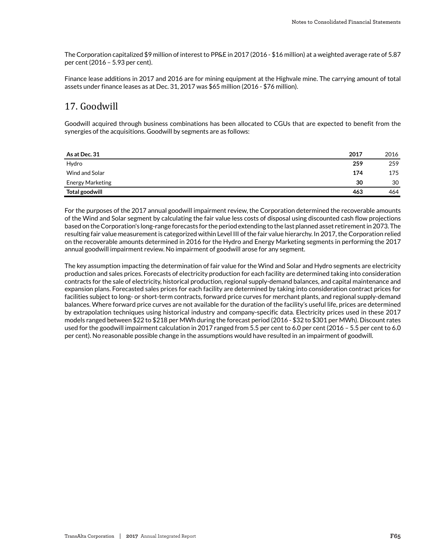The Corporation capitalized \$9 million of interest to PP&E in 2017 (2016 - \$16 million) at a weighted average rate of 5.87 per cent (2016 – 5.93 per cent).

Finance lease additions in 2017 and 2016 are for mining equipment at the Highvale mine. The carrying amount of total assets under finance leases as at Dec. 31, 2017 was \$65 million (2016 - \$76 million).

# 17. Goodwill

Goodwill acquired through business combinations has been allocated to CGUs that are expected to benefit from the synergies of the acquisitions. Goodwill by segments are as follows:

| As at Dec. 31    | 2017 | 2016 |
|------------------|------|------|
| Hydro            | 259  | 259  |
| Wind and Solar   | 174  | 175  |
| Energy Marketing | 30   | 30   |
| Total goodwill   | 463  | 464  |

For the purposes of the 2017 annual goodwill impairment review, the Corporation determined the recoverable amounts of the Wind and Solar segment by calculating the fair value less costs of disposal using discounted cash flow projections based on the Corporation's long-range forecasts for the period extending to the last planned asset retirement in 2073. The resulting fair value measurement is categorized within Level III of the fair value hierarchy. In 2017, the Corporation relied on the recoverable amounts determined in 2016 for the Hydro and Energy Marketing segments in performing the 2017 annual goodwill impairment review. No impairment of goodwill arose for any segment.

The key assumption impacting the determination of fair value for the Wind and Solar and Hydro segments are electricity production and sales prices. Forecasts of electricity production for each facility are determined taking into consideration contracts for the sale of electricity, historical production, regional supply-demand balances, and capital maintenance and expansion plans. Forecasted sales prices for each facility are determined by taking into consideration contract prices for facilities subject to long- or short-term contracts, forward price curves for merchant plants, and regional supply-demand balances. Where forward price curves are not available for the duration of the facility's useful life, prices are determined by extrapolation techniques using historical industry and company-specific data. Electricity prices used in these 2017 models ranged between \$22 to \$218 per MWh during the forecast period (2016 - \$32 to \$301 per MWh). Discount rates used for the goodwill impairment calculation in 2017 ranged from 5.5 per cent to 6.0 per cent (2016 – 5.5 per cent to 6.0 per cent). No reasonable possible change in the assumptions would have resulted in an impairment of goodwill.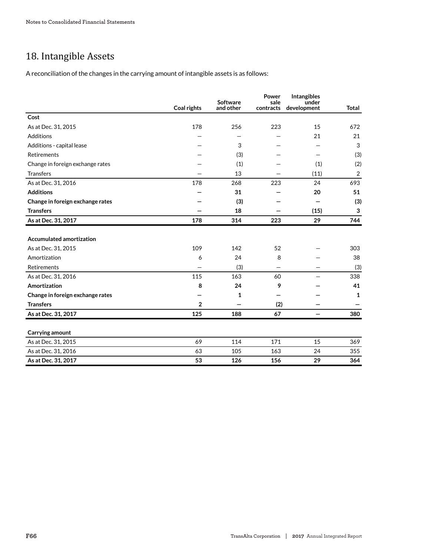# 18. Intangible Assets

A reconciliation of the changes in the carrying amount of intangible assets is as follows:

|                                  | <b>Coal rights</b> | Software<br>and other | Power<br>sale<br>contracts | <b>Intangibles</b><br>under<br>development | <b>Total</b>   |
|----------------------------------|--------------------|-----------------------|----------------------------|--------------------------------------------|----------------|
| Cost                             |                    |                       |                            |                                            |                |
| As at Dec. 31, 2015              | 178                | 256                   | 223                        | 15                                         | 672            |
| Additions                        |                    | —                     |                            | 21                                         | 21             |
| Additions - capital lease        |                    | 3                     |                            |                                            | 3              |
| Retirements                      |                    | (3)                   |                            |                                            | (3)            |
| Change in foreign exchange rates |                    | (1)                   |                            | (1)                                        | (2)            |
| <b>Transfers</b>                 |                    | 13                    |                            | (11)                                       | $\overline{2}$ |
| As at Dec. 31, 2016              | 178                | 268                   | 223                        | 24                                         | 693            |
| <b>Additions</b>                 |                    | 31                    |                            | 20                                         | 51             |
| Change in foreign exchange rates |                    | (3)                   |                            |                                            | (3)            |
| <b>Transfers</b>                 |                    | 18                    |                            | (15)                                       | 3              |
| As at Dec. 31, 2017              | 178                | 314                   | 223                        | 29                                         | 744            |
|                                  |                    |                       |                            |                                            |                |
| <b>Accumulated amortization</b>  |                    |                       |                            |                                            |                |
| As at Dec. 31, 2015              | 109                | 142                   | 52                         |                                            | 303            |
| Amortization                     | 6                  | 24                    | 8                          |                                            | 38             |
| Retirements                      |                    | (3)                   | —                          |                                            | (3)            |
| As at Dec. 31, 2016              | 115                | 163                   | 60                         |                                            | 338            |
| Amortization                     | 8                  | 24                    | 9                          |                                            | 41             |
| Change in foreign exchange rates |                    | 1                     |                            |                                            | 1              |
| <b>Transfers</b>                 | $\overline{2}$     |                       | (2)                        |                                            |                |
| As at Dec. 31, 2017              | 125                | 188                   | 67                         | —                                          | 380            |
| Carrying amount                  |                    |                       |                            |                                            |                |
| As at Dec. 31, 2015              | 69                 | 114                   | 171                        | 15                                         | 369            |
| As at Dec. 31, 2016              | 63                 | 105                   | 163                        | 24                                         | 355            |
| As at Dec. 31, 2017              | 53                 | 126                   | 156                        | 29                                         | 364            |
|                                  |                    |                       |                            |                                            |                |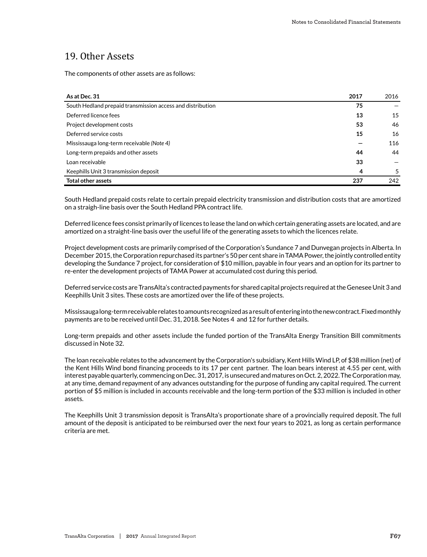# 19. Other Assets

The components of other assets are as follows:

| As at Dec. 31                                              | 2017 | 2016 |
|------------------------------------------------------------|------|------|
| South Hedland prepaid transmission access and distribution | 75   |      |
| Deferred licence fees                                      | 13   | 15   |
| Project development costs                                  | 53   | 46   |
| Deferred service costs                                     | 15   | 16   |
| Mississauga long-term receivable (Note 4)                  |      | 116  |
| Long-term prepaids and other assets                        | 44   | 44   |
| Loan receivable                                            | 33   |      |
| Keephills Unit 3 transmission deposit                      | 4    | 5    |
| <b>Total other assets</b>                                  | 237  | 242  |

South Hedland prepaid costs relate to certain prepaid electricity transmission and distribution costs that are amortized on a straigh-line basis over the South Hedland PPA contract life.

Deferred licence fees consist primarily of licences to lease the land on which certain generating assets are located, and are amortized on a straight-line basis over the useful life of the generating assets to which the licences relate.

Project development costs are primarily comprised of the Corporation's Sundance 7 and Dunvegan projects in Alberta. In December 2015, the Corporation repurchased its partner's 50 per cent share in TAMA Power, the jointly controlled entity developing the Sundance 7 project, for consideration of \$10 million, payable in four years and an option for its partner to re-enter the development projects of TAMA Power at accumulated cost during this period.

Deferred service costs are TransAlta's contracted payments for shared capital projects required at the Genesee Unit 3 and Keephills Unit 3 sites. These costs are amortized over the life of these projects.

Mississauga long-term receivable relates to amounts recognized as a result of entering into the new contract. Fixed monthly payments are to be received until Dec. 31, 2018. See Notes 4 and 12 for further details.

Long-term prepaids and other assets include the funded portion of the TransAlta Energy Transition Bill commitments discussed in Note 32.

The loan receivable relates to the advancement by the Corporation's subsidiary, Kent Hills Wind LP, of \$38 million (net) of the Kent Hills Wind bond financing proceeds to its 17 per cent partner. The loan bears interest at 4.55 per cent, with interest payable quarterly, commencing on Dec. 31, 2017, is unsecured and matures on Oct. 2, 2022. The Corporation may, at any time, demand repayment of any advances outstanding for the purpose of funding any capital required. The current portion of \$5 million is included in accounts receivable and the long-term portion of the \$33 million is included in other assets.

The Keephills Unit 3 transmission deposit is TransAlta's proportionate share of a provincially required deposit. The full amount of the deposit is anticipated to be reimbursed over the next four years to 2021, as long as certain performance criteria are met.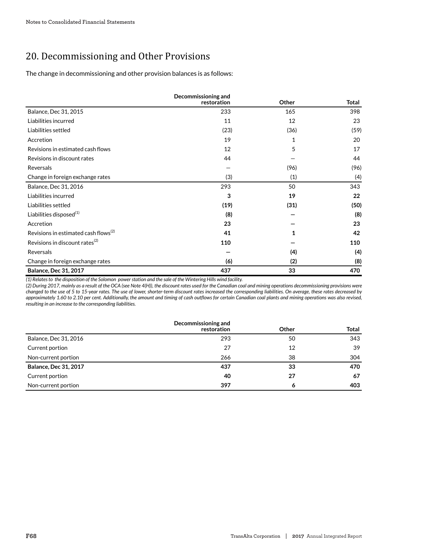# 20. Decommissioning and Other Provisions

The change in decommissioning and other provision balances is as follows:

|                                                  | Decommissioning and<br>restoration | Other | <b>Total</b> |
|--------------------------------------------------|------------------------------------|-------|--------------|
| Balance, Dec 31, 2015                            | 233                                | 165   | 398          |
| Liabilities incurred                             | 11                                 | 12    | 23           |
| Liabilities settled                              | (23)                               | (36)  | (59)         |
| Accretion                                        | 19                                 | 1     | 20           |
| Revisions in estimated cash flows                | 12                                 | 5     | 17           |
| Revisions in discount rates                      | 44                                 |       | 44           |
| Reversals                                        |                                    | (96)  | (96)         |
| Change in foreign exchange rates                 | (3)                                | (1)   | (4)          |
| Balance, Dec 31, 2016                            | 293                                | 50    | 343          |
| Liabilities incurred                             | 3                                  | 19    | 22           |
| Liabilities settled                              | (19)                               | (31)  | (50)         |
| Liabilities disposed <sup>(1)</sup>              | (8)                                |       | (8)          |
| Accretion                                        | 23                                 |       | 23           |
| Revisions in estimated cash flows <sup>(2)</sup> | 41                                 | 1     | 42           |
| Revisions in discount rates $^{(2)}$             | 110                                |       | 110          |
| Reversals                                        |                                    | (4)   | (4)          |
| Change in foreign exchange rates                 | (6)                                | (2)   | (8)          |
| <b>Balance, Dec 31, 2017</b>                     | 437                                | 33    | 470          |

*(1) Relates to the disposition of the Solomon power station and the sale of the Wintering Hills wind facility.*

*(2) During 2017, mainly as a result of the OCA (see Note 4(H)), the discount rates used for the Canadian coal and mining operations decommissioning provisions were changed to the use of 5 to 15-year rates. The use of lower, shorter-term discount rates increased the corresponding liabilities. On average, these rates decreased by approximately 1.60 to 2.10 per cent. Additionally, the amount and timing of cash outflows for certain Canadian coal plants and mining operations was also revised, resulting in an increase to the corresponding liabilities.*

|                              | Decommissioning and |              |              |
|------------------------------|---------------------|--------------|--------------|
|                              | restoration         | <b>Other</b> | <b>Total</b> |
| Balance, Dec 31, 2016        | 293                 | 50           | 343          |
| Current portion              | 27                  | 12           | 39           |
| Non-current portion          | 266                 | 38           | 304          |
| <b>Balance, Dec 31, 2017</b> | 437                 | 33           | 470          |
| Current portion              | 40                  | 27           | 67           |
| Non-current portion          | 397                 | o            | 403          |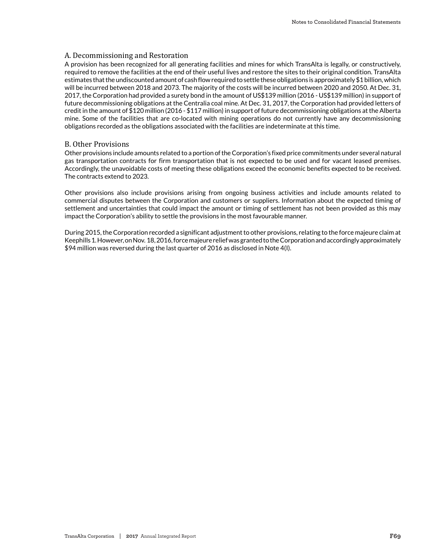# A. Decommissioning and Restoration

A provision has been recognized for all generating facilities and mines for which TransAlta is legally, or constructively, required to remove the facilities at the end of their useful lives and restore the sites to their original condition. TransAlta estimates that the undiscounted amount of cash flow required to settle these obligations is approximately \$1 billion, which will be incurred between 2018 and 2073. The majority of the costs will be incurred between 2020 and 2050. At Dec. 31, 2017, the Corporation had provided a surety bond in the amount of US\$139 million (2016 - US\$139 million) in support of future decommissioning obligations at the Centralia coal mine. At Dec. 31, 2017, the Corporation had provided letters of credit in the amount of \$120 million (2016 - \$117 million) in support of future decommissioning obligations at the Alberta mine. Some of the facilities that are co-located with mining operations do not currently have any decommissioning obligations recorded as the obligations associated with the facilities are indeterminate at this time.

# B. Other Provisions

Other provisions include amounts related to a portion of the Corporation's fixed price commitments under several natural gas transportation contracts for firm transportation that is not expected to be used and for vacant leased premises. Accordingly, the unavoidable costs of meeting these obligations exceed the economic benefits expected to be received. The contracts extend to 2023.

Other provisions also include provisions arising from ongoing business activities and include amounts related to commercial disputes between the Corporation and customers or suppliers. Information about the expected timing of settlement and uncertainties that could impact the amount or timing of settlement has not been provided as this may impact the Corporation's ability to settle the provisions in the most favourable manner.

During 2015, the Corporation recorded a significant adjustment to other provisions, relating to the force majeure claim at Keephills 1. However, on Nov. 18, 2016, force majeure relief was granted to the Corporation and accordingly approximately \$94 million was reversed during the last quarter of 2016 as disclosed in Note 4(I).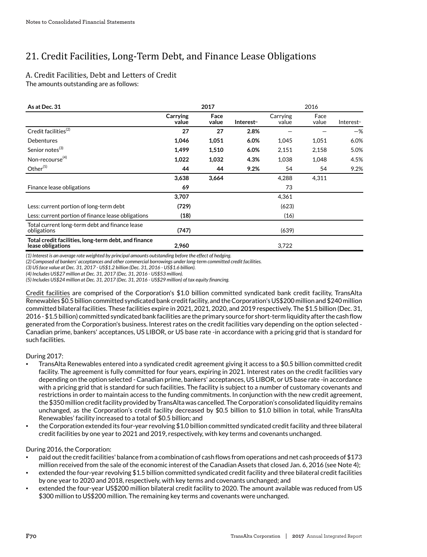# 21. Credit Facilities, Long-Term Debt, and Finance Lease Obligations

# A. Credit Facilities, Debt and Letters of Credit

The amounts outstanding are as follows:

| As at Dec. 31                                                             | 2017              |               |                         | 2016              |               |                         |
|---------------------------------------------------------------------------|-------------------|---------------|-------------------------|-------------------|---------------|-------------------------|
|                                                                           | Carrying<br>value | Face<br>value | Interest <sup>(1)</sup> | Carrying<br>value | Face<br>value | Interest <sup>(1)</sup> |
| Credit facilities <sup>(2)</sup>                                          | 27                | 27            | 2.8%                    |                   |               | $-$ %                   |
| <b>Debentures</b>                                                         | 1,046             | 1,051         | 6.0%                    | 1,045             | 1,051         | 6.0%                    |
| Senior notes <sup>(3)</sup>                                               | 1,499             | 1,510         | 6.0%                    | 2,151             | 2,158         | 5.0%                    |
| Non-recourse $(4)$                                                        | 1,022             | 1,032         | 4.3%                    | 1,038             | 1,048         | 4.5%                    |
| Other <sup>(5)</sup>                                                      | 44                | 44            | 9.2%                    | 54                | 54            | 9.2%                    |
|                                                                           | 3,638             | 3,664         |                         | 4,288             | 4,311         |                         |
| Finance lease obligations                                                 | 69                |               |                         | 73                |               |                         |
|                                                                           | 3,707             |               |                         | 4,361             |               |                         |
| Less: current portion of long-term debt                                   | (729)             |               |                         | (623)             |               |                         |
| Less: current portion of finance lease obligations                        | (18)              |               |                         | (16)              |               |                         |
| Total current long-term debt and finance lease<br>obligations             | (747)             |               |                         | (639)             |               |                         |
| Total credit facilities, long-term debt, and finance<br>lease obligations | 2,960             |               |                         | 3,722             |               |                         |

*(1) Interest is an average rate weighted by principal amounts outstanding before the effect of hedging.*

*(2) Composed of bankers' acceptances and other commercial borrowings under long-term committed credit facilities.*

*(3) US face value at Dec. 31, 2017 - US\$1.2 billion (Dec. 31, 2016 - US\$1.6 billion).*

*(4) Includes US\$27 million at Dec. 31, 2017 (Dec. 31, 2016 - US\$53 million).*

*(5) Includes US\$24 million at Dec. 31, 2017 (Dec. 31, 2016 - US\$29 million) of tax equity financing.*

Credit facilities are comprised of the Corporation's \$1.0 billion committed syndicated bank credit facility, TransAlta Renewables \$0.5 billion committed syndicated bank credit facility, and the Corporation's US\$200 million and \$240 million committed bilateral facilities. These facilities expire in 2021, 2021, 2020, and 2019 respectively. The \$1.5 billion (Dec. 31, 2016 - \$1.5 billion) committed syndicated bank facilities are the primary source for short-term liquidity after the cash flow generated from the Corporation's business. Interest rates on the credit facilities vary depending on the option selected - Canadian prime, bankers' acceptances, US LIBOR, or US base rate -in accordance with a pricing grid that is standard for such facilities.

# During 2017:

- TransAlta Renewables entered into a syndicated credit agreement giving it access to a \$0.5 billion committed credit facility. The agreement is fully committed for four years, expiring in 2021. Interest rates on the credit facilities vary depending on the option selected - Canadian prime, bankers' acceptances, US LIBOR, or US base rate -in accordance with a pricing grid that is standard for such facilities. The facility is subject to a number of customary covenants and restrictions in order to maintain access to the funding commitments. In conjunction with the new credit agreement, the \$350 million credit facility provided by TransAlta was cancelled. The Corporation's consolidated liquidity remains unchanged, as the Corporation's credit facility decreased by \$0.5 billion to \$1.0 billion in total, while TransAlta Renewables' facility increased to a total of \$0.5 billion; and
- the Corporation extended its four-year revolving \$1.0 billion committed syndicated credit facility and three bilateral credit facilities by one year to 2021 and 2019, respectively, with key terms and covenants unchanged.

During 2016, the Corporation:

- paid out the credit facilities' balance from a combination of cash flows from operations and net cash proceeds of \$173 million received from the sale of the economic interest of the Canadian Assets that closed Jan. 6, 2016 (see Note 4);
- extended the four-year revolving \$1.5 billion committed syndicated credit facility and three bilateral credit facilities by one year to 2020 and 2018, respectively, with key terms and covenants unchanged; and
- extended the four-year US\$200 million bilateral credit facility to 2020. The amount available was reduced from US \$300 million to US\$200 million. The remaining key terms and covenants were unchanged.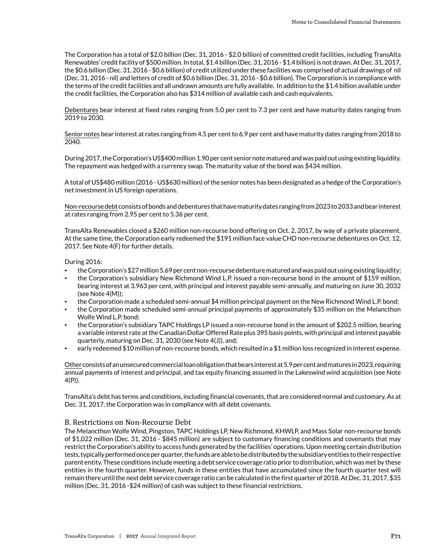The Corporation has a total of \$2.0 billion (Dec. 31, 2016 - \$2.0 billion) of committed credit facilities, including TransAlta Renewables' credit facility of \$500 million. In total, \$1.4 billion (Dec. 31, 2016 - \$1.4 billion) is not drawn. At Dec. 31, 2017, the \$0.6 billion (Dec. 31, 2016 - \$0.6 billion) of credit utilized under these facilities was comprised of actual drawings of nil (Dec. 31, 2016 - nil) and letters of credit of \$0.6 billion (Dec. 31, 2016 - \$0.6 billion). The Corporation is in compliance with the terms of the credit facilities and all undrawn amounts are fully available. In addition to the \$1.4 billion available under the credit facilities, the Corporation also has \$314 million of available cash and cash equivalents.

Debentures bear interest at fixed rates ranging from 5.0 per cent to 7.3 per cent and have maturity dates ranging from 2019 to 2030.

Senior notes bear interest at rates ranging from 4.5 per cent to 6.9 per cent and have maturity dates ranging from 2018 to 2040.

During 2017, the Corporation's US\$400 million 1.90 per cent senior note matured and was paid out using existing liquidity. The repayment was hedged with a currency swap. The maturity value of the bond was \$434 million.

A total of US\$480 million (2016 - US\$630 million) of the senior notes has been designated as a hedge of the Corporation's net investment in US foreign operations.

Non-recourse debt consists of bonds and debentures that have maturity dates ranging from 2023 to 2033 and bear interest at rates ranging from 2.95 per cent to 5.36 per cent.

TransAlta Renewables closed a \$260 million non-recourse bond offering on Oct. 2, 2017, by way of a private placement. At the same time, the Corporation early redeemed the \$191 million face value CHD non-recourse debentures on Oct. 12, 2017. See Note 4(F) for further details.

### During 2016:

- the Corporation's \$27 million 5.69 per cent non-recourse debenture matured and was paid out using existing liquidity;
- the Corporation's subsidiary New Richmond Wind L.P. issued a non-recourse bond in the amount of \$159 million, bearing interest at 3.963 per cent, with principal and interest payable semi-annually, and maturing on June 30, 2032 (see Note 4(M));
- the Corporation made a scheduled semi-annual \$4 million principal payment on the New Richmond Wind L.P. bond;
- the Corporation made scheduled semi-annual principal payments of approximately \$35 million on the Melancthon Wolfe Wind L.P. bond;
- the Corporation's subsidiary TAPC Holdings LP issued a non-recourse bond in the amount of \$202.5 million, bearing a variable interest rate at the Canadian Dollar Offered Rate plus 395 basis points, with principal and interest payable quarterly, maturing on Dec. 31, 2030 (see Note 4(J)), and;
- early redeemed \$10 million of non-recourse bonds, which resulted in a \$1 million loss recognized in interest expense.

Other consists of an unsecured commercial loan obligation that bears interest at 5.9 per cent and matures in 2023, requiring annual payments of interest and principal, and tax equity financing assumed in the Lakeswind wind acquisition (see Note 4(P)).

TransAlta's debt has terms and conditions, including financial covenants, that are considered normal and customary. As at Dec. 31, 2017, the Corporation was in compliance with all debt covenants.

# B. Restrictions on Non-Recourse Debt

The Melancthon Wolfe Wind, Pingston, TAPC Holdings LP, New Richmond, KHWLP, and Mass Solar non-recourse bonds of \$1,022 million (Dec. 31, 2016 - \$845 million) are subject to customary financing conditions and covenants that may restrict the Corporation's ability to access funds generated by the facilities' operations. Upon meeting certain distribution tests, typically performed once per quarter, the funds are able to be distributed by the subsidiary entities to their respective parent entity. These conditions include meeting a debt service coverage ratio prior to distribution, which was met by these entities in the fourth quarter. However, funds in these entities that have accumulated since the fourth quarter test will remain there until the next debt service coverage ratio can be calculated in the first quarter of 2018. At Dec. 31, 2017, \$35 million (Dec. 31, 2016 -\$24 million) of cash was subject to these financial restrictions.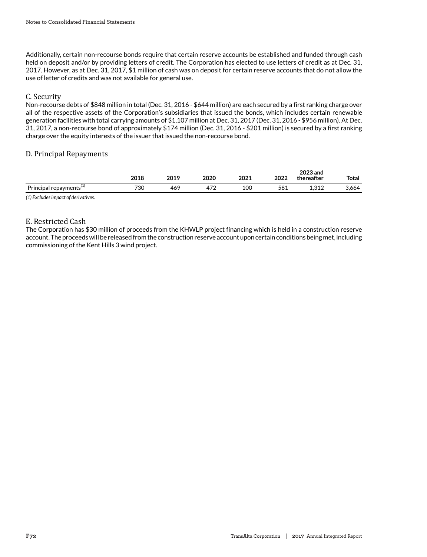Additionally, certain non-recourse bonds require that certain reserve accounts be established and funded through cash held on deposit and/or by providing letters of credit. The Corporation has elected to use letters of credit as at Dec. 31, 2017. However, as at Dec. 31, 2017, \$1 million of cash was on deposit for certain reserve accounts that do not allow the use of letter of credits and was not available for general use.

## C. Security

Non-recourse debts of \$848 million in total (Dec. 31, 2016 - \$644 million) are each secured by a first ranking charge over all of the respective assets of the Corporation's subsidiaries that issued the bonds, which includes certain renewable generation facilities with total carrying amounts of \$1,107 million at Dec. 31, 2017 (Dec. 31, 2016 - \$956 million). At Dec. 31, 2017, a non-recourse bond of approximately \$174 million (Dec. 31, 2016 - \$201 million) is secured by a first ranking charge over the equity interests of the issuer that issued the non-recourse bond.

## D. Principal Repayments

|                                        | 2018 | 2019               | 2020      | າດາ1<br>2021. | 2022 | 2023 and<br>thereafter | <b>Total</b> |
|----------------------------------------|------|--------------------|-----------|---------------|------|------------------------|--------------|
| Principal<br>repayments <sup>\+/</sup> | 730  | $46^\circ$<br>____ | ידו<br>ш. | 100           | 581  | 212<br>⊥,∪⊥∠           | -664،د       |

*(1) Excludes impact of derivatives.*

## E. Restricted Cash

The Corporation has \$30 million of proceeds from the KHWLP project financing which is held in a construction reserve account. The proceeds will be released from the construction reserve account upon certain conditions being met, including commissioning of the Kent Hills 3 wind project.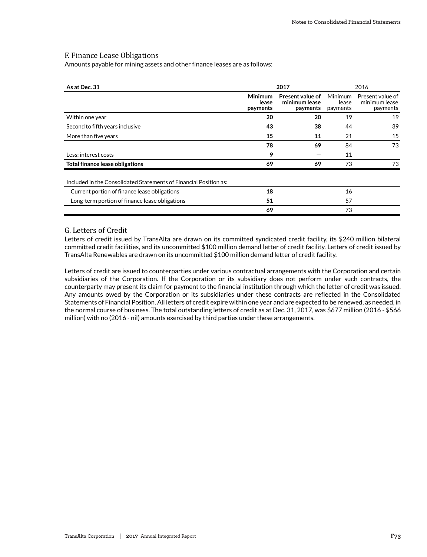### F. Finance Lease Obligations

Amounts payable for mining assets and other finance leases are as follows:

| As at Dec. 31                                                     |                              | 2017                                          |                              | 2016                                          |
|-------------------------------------------------------------------|------------------------------|-----------------------------------------------|------------------------------|-----------------------------------------------|
|                                                                   | Minimum<br>lease<br>payments | Present value of<br>minimum lease<br>payments | Minimum<br>lease<br>payments | Present value of<br>minimum lease<br>payments |
| Within one year                                                   | 20                           | 20                                            | 19                           | 19                                            |
| Second to fifth years inclusive                                   | 43                           | 38                                            | 44                           | 39                                            |
| More than five years                                              | 15                           | 11                                            | 21                           | 15                                            |
|                                                                   | 78                           | 69                                            | 84                           | 73                                            |
| Less: interest costs                                              | 9                            |                                               | 11                           |                                               |
| <b>Total finance lease obligations</b>                            | 69                           | 69                                            | 73                           | 73                                            |
| Included in the Consolidated Statements of Financial Position as: |                              |                                               |                              |                                               |
| Current portion of finance lease obligations                      | 18                           |                                               | 16                           |                                               |
| Long-term portion of finance lease obligations                    | 51                           |                                               | 57                           |                                               |
|                                                                   | 69                           |                                               | 73                           |                                               |

## G. Letters of Credit

Letters of credit issued by TransAlta are drawn on its committed syndicated credit facility, its \$240 million bilateral committed credit facilities, and its uncommitted \$100 million demand letter of credit facility. Letters of credit issued by TransAlta Renewables are drawn on its uncommitted \$100 million demand letter of credit facility.

Letters of credit are issued to counterparties under various contractual arrangements with the Corporation and certain subsidiaries of the Corporation. If the Corporation or its subsidiary does not perform under such contracts, the counterparty may present its claim for payment to the financial institution through which the letter of credit was issued. Any amounts owed by the Corporation or its subsidiaries under these contracts are reflected in the Consolidated Statements of Financial Position. All letters of credit expire within one year and are expected to be renewed, as needed, in the normal course of business. The total outstanding letters of credit as at Dec. 31, 2017, was \$677 million (2016 - \$566 million) with no (2016 - nil) amounts exercised by third parties under these arrangements.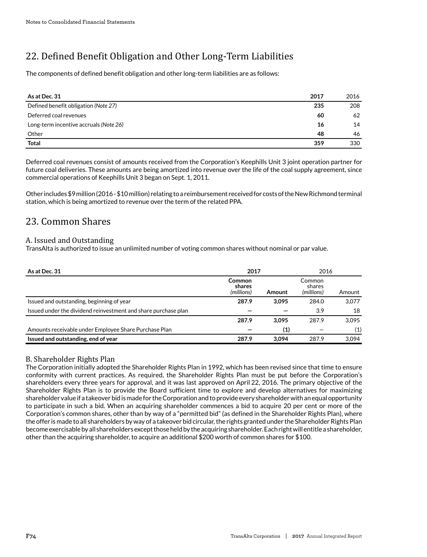# 22. Defined Benefit Obligation and Other Long-Term Liabilities

The components of defined benefit obligation and other long-term liabilities are as follows:

| As at Dec. 31                          | 2017 | 2016 |
|----------------------------------------|------|------|
| Defined benefit obligation (Note 27)   | 235  | 208  |
| Deferred coal revenues                 | 60   | 62   |
| Long-term incentive accruals (Note 26) | 16   | 14   |
| Other                                  | 48   | 46   |
| <b>Total</b>                           | 359  | 330  |

Deferred coal revenues consist of amounts received from the Corporation's Keephills Unit 3 joint operation partner for future coal deliveries. These amounts are being amortized into revenue over the life of the coal supply agreement, since commercial operations of Keephills Unit 3 began on Sept. 1, 2011.

Other includes \$9 million (2016 - \$10 million) relating to a reimbursement received for costs of the New Richmond terminal station, which is being amortized to revenue over the term of the related PPA.

## 23. Common Shares

## A. Issued and Outstanding

TransAlta is authorized to issue an unlimited number of voting common shares without nominal or par value.

| As at Dec. 31                                                  | 2017                           |        | 2016                           |        |
|----------------------------------------------------------------|--------------------------------|--------|--------------------------------|--------|
|                                                                | Common<br>shares<br>(millions) | Amount | Common<br>shares<br>(millions) | Amount |
| Issued and outstanding, beginning of year                      | 287.9                          | 3.095  | 284.0                          | 3,077  |
| Issued under the dividend reinvestment and share purchase plan |                                |        | 3.9                            | 18     |
|                                                                | 287.9                          | 3.095  | 287.9                          | 3.095  |
| Amounts receivable under Employee Share Purchase Plan          |                                | (1)    |                                | (1)    |
| Issued and outstanding, end of year                            | 287.9                          | 3.094  | 287.9                          | 3.094  |

## B. Shareholder Rights Plan

The Corporation initially adopted the Shareholder Rights Plan in 1992, which has been revised since that time to ensure conformity with current practices. As required, the Shareholder Rights Plan must be put before the Corporation's shareholders every three years for approval, and it was last approved on April 22, 2016. The primary objective of the Shareholder Rights Plan is to provide the Board sufficient time to explore and develop alternatives for maximizing shareholder value if a takeover bid is made for the Corporation and to provide every shareholder with an equal opportunity to participate in such a bid. When an acquiring shareholder commences a bid to acquire 20 per cent or more of the Corporation's common shares, other than by way of a "permitted bid" (as defined in the Shareholder Rights Plan), where the offer is made to all shareholders by way of a takeover bid circular, the rights granted under the Shareholder Rights Plan become exercisable by all shareholders except those held by the acquiring shareholder. Each right will entitle a shareholder, other than the acquiring shareholder, to acquire an additional \$200 worth of common shares for \$100.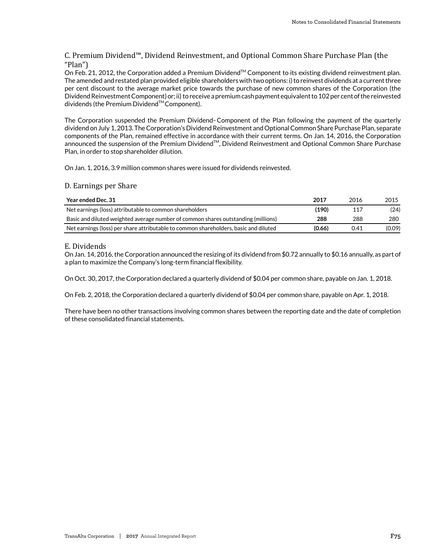## C. Premium Dividend™ , Dividend Reinvestment, and Optional Common Share Purchase Plan (the "Plan")

On Feb. 21, 2012, the Corporation added a Premium Dividend<sup>TM</sup> Component to its existing dividend reinvestment plan. The amended and restated plan provided eligible shareholders with two options: i) to reinvest dividends at a current three per cent discount to the average market price towards the purchase of new common shares of the Corporation (the Dividend Reinvestment Component) or; ii) to receive a premium cash payment equivalent to 102 per cent of the reinvested dividends (the Premium Dividend™ Component).

The Corporation suspended the Premium Dividend™ Component of the Plan following the payment of the quarterly dividend on July 1, 2013. The Corporation's Dividend Reinvestment and Optional Common Share Purchase Plan, separate components of the Plan, remained effective in accordance with their current terms. On Jan. 14, 2016, the Corporation announced the suspension of the Premium Dividend™, Dividend Reinvestment and Optional Common Share Purchase Plan, in order to stop shareholder dilution.

On Jan. 1, 2016, 3.9 million common shares were issued for dividends reinvested.

## D. Earnings per Share

| Year ended Dec. 31                                                                   | 2017   | 2016 | 2015   |
|--------------------------------------------------------------------------------------|--------|------|--------|
| Net earnings (loss) attributable to common shareholders                              | (190)  | 117  | (24)   |
| Basic and diluted weighted average number of common shares outstanding (millions)    | 288    | 288  | 280    |
| Net earnings (loss) per share attributable to common shareholders, basic and diluted | (0.66) | 0.41 | (0.09) |

## E. Dividends

On Jan. 14, 2016, the Corporation announced the resizing of its dividend from \$0.72 annually to \$0.16 annually, as part of a plan to maximize the Company's long-term financial flexibility.

On Oct. 30, 2017, the Corporation declared a quarterly dividend of \$0.04 per common share, payable on Jan. 1, 2018.

On Feb. 2, 2018, the Corporation declared a quarterly dividend of \$0.04 per common share, payable on Apr. 1, 2018.

There have been no other transactions involving common shares between the reporting date and the date of completion of these consolidated financial statements.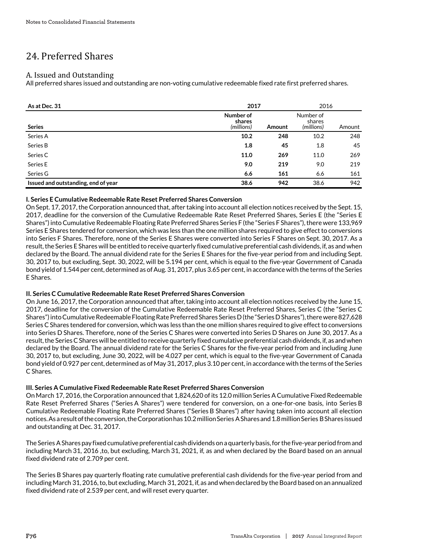# 24. Preferred Shares

## A. Issued and Outstanding

All preferred shares issued and outstanding are non-voting cumulative redeemable fixed rate first preferred shares.

| As at Dec. 31                       | 2017                              |        | 2016                              |        |  |
|-------------------------------------|-----------------------------------|--------|-----------------------------------|--------|--|
| <b>Series</b>                       | Number of<br>shares<br>(millions) | Amount | Number of<br>shares<br>(millions) | Amount |  |
| Series A                            | 10.2                              | 248    | 10.2                              | 248    |  |
| Series B                            | 1.8                               | 45     | 1.8                               | 45     |  |
| Series C                            | 11.0                              | 269    | 11.0                              | 269    |  |
| Series E                            | 9.0                               | 219    | 9.0                               | 219    |  |
| Series G                            | 6.6                               | 161    | 6.6                               | 161    |  |
| Issued and outstanding, end of year | 38.6                              | 942    | 38.6                              | 942    |  |

## **I. Series E Cumulative Redeemable Rate Reset Preferred Shares Conversion**

On Sept. 17, 2017, the Corporation announced that, after taking into account all election notices received by the Sept. 15, 2017, deadline for the conversion of the Cumulative Redeemable Rate Reset Preferred Shares, Series E (the "Series E Shares") into Cumulative Redeemable Floating Rate Preferred Shares Series F (the "Series F Shares"), there were 133,969 Series E Shares tendered for conversion, which was less than the one million shares required to give effect to conversions into Series F Shares. Therefore, none of the Series E Shares were converted into Series F Shares on Sept. 30, 2017. As a result, the Series E Shares will be entitled to receive quarterly fixed cumulative preferential cash dividends, if, as and when declared by the Board. The annual dividend rate for the Series E Shares for the five-year period from and including Sept. 30, 2017 to, but excluding, Sept. 30, 2022, will be 5.194 per cent, which is equal to the five-year Government of Canada bond yield of 1.544 per cent, determined as of Aug. 31, 2017, plus 3.65 per cent, in accordance with the terms of the Series E Shares.

## **II. Series C Cumulative Redeemable Rate Reset Preferred Shares Conversion**

On June 16, 2017, the Corporation announced that after, taking into account all election notices received by the June 15, 2017, deadline for the conversion of the Cumulative Redeemable Rate Reset Preferred Shares, Series C (the "Series C Shares") into Cumulative Redeemable Floating Rate Preferred Shares Series D (the "Series D Shares"), there were 827,628 Series C Shares tendered for conversion, which was less than the one million shares required to give effect to conversions into Series D Shares. Therefore, none of the Series C Shares were converted into Series D Shares on June 30, 2017. As a result, the Series C Shares will be entitled to receive quarterly fixed cumulative preferential cash dividends, if, as and when declared by the Board. The annual dividend rate for the Series C Shares for the five-year period from and including June 30, 2017 to, but excluding, June 30, 2022, will be 4.027 per cent, which is equal to the five-year Government of Canada bond yield of 0.927 per cent, determined as of May 31, 2017, plus 3.10 per cent, in accordance with the terms of the Series C Shares.

## **III. Series A Cumulative Fixed Redeemable Rate Reset Preferred Shares Conversion**

On March 17, 2016, the Corporation announced that 1,824,620 of its 12.0 million Series A Cumulative Fixed Redeemable Rate Reset Preferred Shares ("Series A Shares") were tendered for conversion, on a one-for-one basis, into Series B Cumulative Redeemable Floating Rate Preferred Shares ("Series B Shares") after having taken into account all election notices. As a result of the conversion, the Corporation has 10.2 million Series A Shares and 1.8 million Series B Shares issued and outstanding at Dec. 31, 2017.

The Series A Shares pay fixed cumulative preferential cash dividends on a quarterly basis, for the five-year period from and including March 31, 2016 ,to, but excluding, March 31, 2021, if, as and when declared by the Board based on an annual fixed dividend rate of 2.709 per cent.

The Series B Shares pay quarterly floating rate cumulative preferential cash dividends for the five-year period from and including March 31, 2016, to, but excluding, March 31, 2021, if, as and when declared by the Board based on an annualized fixed dividend rate of 2.539 per cent, and will reset every quarter.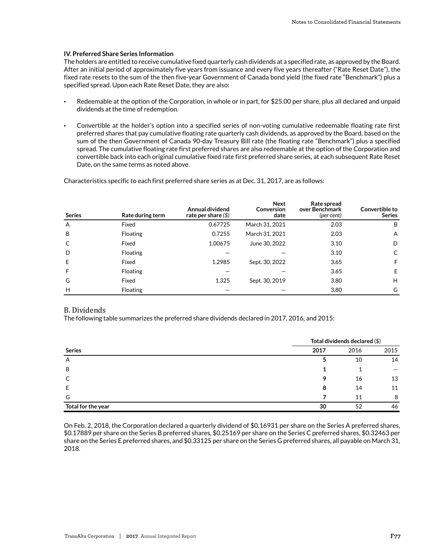#### **IV. Preferred Share Series Information**

The holders are entitled to receive cumulative fixed quarterly cash dividends at a specified rate, as approved by the Board. After an initial period of approximately five years from issuance and every five years thereafter ("Rate Reset Date"), the fixed rate resets to the sum of the then five-year Government of Canada bond yield (the fixed rate "Benchmark") plus a specified spread. Upon each Rate Reset Date, they are also:

- Redeemable at the option of the Corporation, in whole or in part, for \$25.00 per share, plus all declared and unpaid dividends at the time of redemption.
- Convertible at the holder's option into a specified series of non-voting cumulative redeemable floating rate first preferred shares that pay cumulative floating rate quarterly cash dividends, as approved by the Board, based on the sum of the then Government of Canada 90-day Treasury Bill rate (the floating rate "Benchmark") plus a specified spread. The cumulative floating rate first preferred shares are also redeemable at the option of the Corporation and convertible back into each original cumulative fixed rate first preferred share series, at each subsequent Rate Reset Date, on the same terms as noted above.

Characteristics specific to each first preferred share series as at Dec. 31, 2017, are as follows:

| <b>Series</b> | Rate during term | Annual dividend<br>rate per share $(\$)$ | <b>Next</b><br>Conversion<br>date | Rate spread<br>over Benchmark<br>(per cent) | Convertible to<br><b>Series</b> |
|---------------|------------------|------------------------------------------|-----------------------------------|---------------------------------------------|---------------------------------|
| A             | Fixed            | 0.67725                                  | March 31, 2021                    | 2.03                                        | B                               |
| B             | Floating         | 0.7255                                   | March 31, 2021                    | 2.03                                        | $\mathsf{A}$                    |
| C             | Fixed            | 1.00675                                  | June 30, 2022                     | 3.10                                        | D                               |
| D             | Floating         |                                          |                                   | 3.10                                        | C                               |
| E             | Fixed            | 1.2985                                   | Sept. 30, 2022                    | 3.65                                        | F                               |
| F             | <b>Floating</b>  |                                          |                                   | 3.65                                        | E                               |
| G             | Fixed            | 1.325                                    | Sept. 30, 2019                    | 3.80                                        | H                               |
| H             | <b>Floating</b>  |                                          |                                   | 3.80                                        | G                               |

#### B. Dividends

The following table summarizes the preferred share dividends declared in 2017, 2016, and 2015:

|                    | Total dividends declared (\$) |      |      |  |
|--------------------|-------------------------------|------|------|--|
| <b>Series</b>      | 2017                          | 2016 | 2015 |  |
| A                  |                               | 10   | 14   |  |
| B                  |                               |      |      |  |
| C                  | Q                             | 16   | 13   |  |
| E                  | 8                             | 14   | 11   |  |
| G                  |                               | 11   | 8    |  |
| Total for the year | 30                            | 52   | 46   |  |

On Feb. 2, 2018, the Corporation declared a quarterly dividend of \$0.16931 per share on the Series A preferred shares, \$0.17889 per share on the Series B preferred shares, \$0.25169 per share on the Series C preferred shares, \$0.32463 per share on the Series E preferred shares, and \$0.33125 per share on the Series G preferred shares, all payable on March 31, 2018.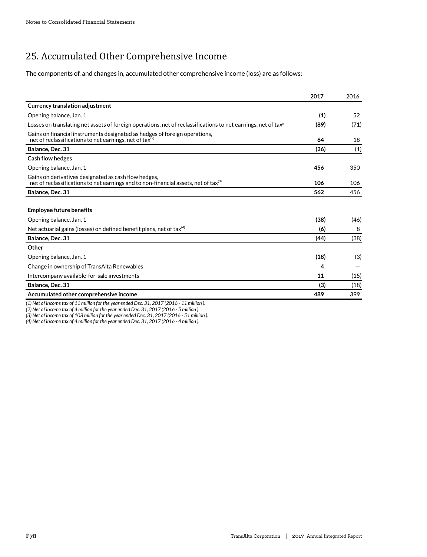# 25. Accumulated Other Comprehensive Income

The components of, and changes in, accumulated other comprehensive income (loss) are as follows:

|                                                                                                                                                         | 2017 | 2016 |
|---------------------------------------------------------------------------------------------------------------------------------------------------------|------|------|
| <b>Currency translation adjustment</b>                                                                                                                  |      |      |
| Opening balance, Jan. 1                                                                                                                                 | (1)  | 52   |
| Losses on translating net assets of foreign operations, net of reclassifications to net earnings, net of tax <sup>(1)</sup>                             | (89) | (71) |
| Gains on financial instruments designated as hedges of foreign operations,<br>net of reclassifications to net earnings, net of tax $(2)$                | 64   | 18   |
| Balance, Dec. 31                                                                                                                                        | (26) | (1)  |
| <b>Cash flow hedges</b>                                                                                                                                 |      |      |
| Opening balance, Jan. 1                                                                                                                                 | 456  | 350  |
| Gains on derivatives designated as cash flow hedges,<br>net of reclassifications to net earnings and to non-financial assets, net of tax $\mathbb{S}^3$ | 106  | 106  |
| Balance, Dec. 31                                                                                                                                        | 562  | 456  |
| <b>Employee future benefits</b>                                                                                                                         |      |      |
| Opening balance, Jan. 1                                                                                                                                 | (38) | (46) |
| Net actuarial gains (losses) on defined benefit plans, net of tax $^{(4)}$                                                                              | (6)  | 8    |
| Balance, Dec. 31                                                                                                                                        | (44) | (38) |
| Other                                                                                                                                                   |      |      |
| Opening balance, Jan. 1                                                                                                                                 | (18) | (3)  |
| Change in ownership of TransAlta Renewables                                                                                                             | 4    |      |
| Intercompany available-for-sale investments                                                                                                             | 11   | (15) |
| Balance, Dec. 31                                                                                                                                        | (3)  | (18) |
| Accumulated other comprehensive income                                                                                                                  | 489  | 399  |

*(1) Net of income tax of 11 million for the year ended Dec. 31, 2017 (2016 - 11 million ).*

*(2) Net of income tax of 4 million for the year ended Dec. 31, 2017 (2016 - 5 million ).*

*(3) Net of income tax of 108 million for the year ended Dec. 31, 2017 (2016 - 51 million ).*

*(4) Net of income tax of 4 million for the year ended Dec. 31, 2017 (2016 - 4 million ).*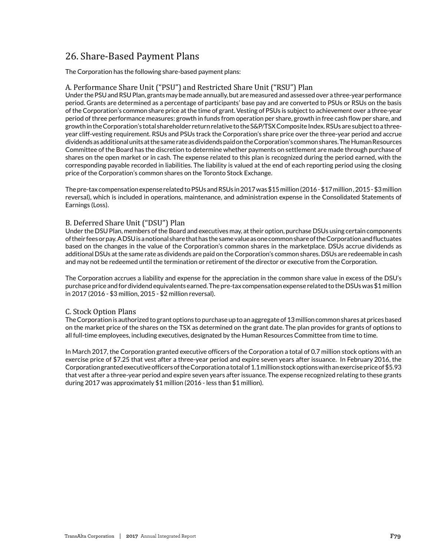## 26. Share-Based Payment Plans

The Corporation has the following share-based payment plans:

## A. Performance Share Unit ("PSU") and Restricted Share Unit ("RSU") Plan

Under the PSU and RSU Plan, grants may be made annually, but are measured and assessed over a three-year performance period. Grants are determined as a percentage of participants' base pay and are converted to PSUs or RSUs on the basis of the Corporation's common share price at the time of grant. Vesting of PSUs is subject to achievement over a three-year period of three performance measures: growth in funds from operation per share, growth in free cash flow per share, and growth in the Corporation's total shareholder return relative to the S&P/TSX Composite Index. RSUs are subject to a threeyear cliff-vesting requirement. RSUs and PSUs track the Corporation's share price over the three-year period and accrue dividends as additional units at the same rate as dividends paid on the Corporation's common shares. The Human Resources Committee of the Board has the discretion to determine whether payments on settlement are made through purchase of shares on the open market or in cash. The expense related to this plan is recognized during the period earned, with the corresponding payable recorded in liabilities. The liability is valued at the end of each reporting period using the closing price of the Corporation's common shares on the Toronto Stock Exchange.

The pre-tax compensation expense related to PSUs and RSUs in 2017 was \$15 million (2016 - \$17 million , 2015 - \$3 million reversal), which is included in operations, maintenance, and administration expense in the Consolidated Statements of Earnings (Loss).

## B. Deferred Share Unit ("DSU") Plan

Under the DSU Plan, members of the Board and executives may, at their option, purchase DSUs using certain components of their fees or pay. A DSU is a notional share that has the same value as one common share of the Corporation and fluctuates based on the changes in the value of the Corporation's common shares in the marketplace. DSUs accrue dividends as additional DSUs at the same rate as dividends are paid on the Corporation's common shares. DSUs are redeemable in cash and may not be redeemed until the termination or retirement of the director or executive from the Corporation.

The Corporation accrues a liability and expense for the appreciation in the common share value in excess of the DSU's purchase price and for dividend equivalents earned. The pre-tax compensation expense related to the DSUs was \$1 million in 2017 (2016 - \$3 million, 2015 - \$2 million reversal).

## C. Stock Option Plans

The Corporation is authorized to grant options to purchase up to an aggregate of 13 million common shares at prices based on the market price of the shares on the TSX as determined on the grant date. The plan provides for grants of options to all full-time employees, including executives, designated by the Human Resources Committee from time to time.

In March 2017, the Corporation granted executive officers of the Corporation a total of 0.7 million stock options with an exercise price of \$7.25 that vest after a three-year period and expire seven years after issuance. In February 2016, the Corporation granted executive officers of the Corporation a total of 1.1 million stock options with an exercise price of \$5.93 that vest after a three-year period and expire seven years after issuance. The expense recognized relating to these grants during 2017 was approximately \$1 million (2016 - less than \$1 million).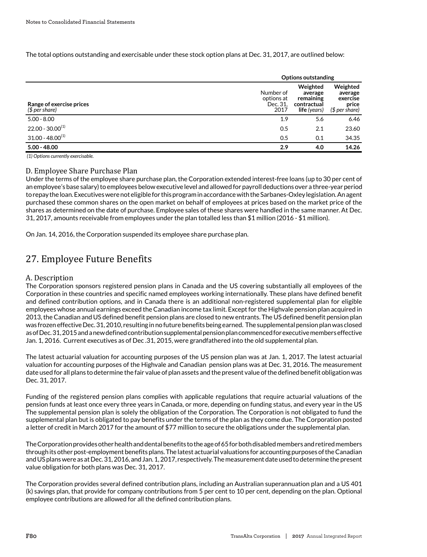The total options outstanding and exercisable under these stock option plans at Dec. 31, 2017, are outlined below:

|                                            | <b>Options outstanding</b>                  |                                                                 |                                                            |
|--------------------------------------------|---------------------------------------------|-----------------------------------------------------------------|------------------------------------------------------------|
| Range of exercise prices<br>$$$ per share) | Number of<br>options at<br>Dec. 31.<br>2017 | Weighted<br>average<br>remaining<br>contractual<br>life (years) | Weighted<br>average<br>exercise<br>price<br>$$$ per share) |
| $5.00 - 8.00$                              | 1.9                                         | 5.6                                                             | 6.46                                                       |
| $22.00 - 30.00^{(1)}$                      | 0.5                                         | 2.1                                                             | 23.60                                                      |
| $31.00 - 48.00^{(1)}$                      | 0.5                                         | 0.1                                                             | 34.35                                                      |
| $5.00 - 48.00$                             | 2.9                                         | 4.0                                                             | 14.26                                                      |

 *(1) Options currently exercisable.*

## D. Employee Share Purchase Plan

Under the terms of the employee share purchase plan, the Corporation extended interest-free loans (up to 30 per cent of an employee's base salary) to employees below executive level and allowed for payroll deductions over a three-year period to repay the loan. Executives were not eligible for this program in accordance with the Sarbanes-Oxley legislation. An agent purchased these common shares on the open market on behalf of employees at prices based on the market price of the shares as determined on the date of purchase. Employee sales of these shares were handled in the same manner. At Dec. 31, 2017, amounts receivable from employees under the plan totalled less than \$1 million (2016 - \$1 million).

On Jan. 14, 2016, the Corporation suspended its employee share purchase plan.

## 27. Employee Future Benefits

## A. Description

The Corporation sponsors registered pension plans in Canada and the US covering substantially all employees of the Corporation in these countries and specific named employees working internationally. These plans have defined benefit and defined contribution options, and in Canada there is an additional non-registered supplemental plan for eligible employees whose annual earnings exceed the Canadian income tax limit. Except for the Highvale pension plan acquired in 2013, the Canadian and US defined benefit pension plans are closed to new entrants. The US defined benefit pension plan was frozen effective Dec. 31, 2010, resulting in no future benefits being earned. The supplemental pension plan was closed as of Dec. 31, 2015 and a new defined contribution supplemental pension plan commenced for executive members effective Jan. 1, 2016. Current executives as of Dec .31, 2015, were grandfathered into the old supplemental plan.

The latest actuarial valuation for accounting purposes of the US pension plan was at Jan. 1, 2017. The latest actuarial valuation for accounting purposes of the Highvale and Canadian pension plans was at Dec. 31, 2016. The measurement date used for all plans to determine the fair value of plan assets and the present value of the defined benefit obligation was Dec. 31, 2017.

Funding of the registered pension plans complies with applicable regulations that require actuarial valuations of the pension funds at least once every three years in Canada, or more, depending on funding status, and every year in the US The supplemental pension plan is solely the obligation of the Corporation. The Corporation is not obligated to fund the supplemental plan but is obligated to pay benefits under the terms of the plan as they come due. The Corporation posted a letter of credit in March 2017 for the amount of \$77 million to secure the obligations under the supplemental plan.

The Corporation provides other health and dental benefits to the age of 65 for both disabled members and retired members through its other post-employment benefits plans. The latest actuarial valuations for accounting purposes of the Canadian and US plans were as at Dec. 31, 2016, and Jan. 1, 2017, respectively. The measurement date used to determine the present value obligation for both plans was Dec. 31, 2017.

The Corporation provides several defined contribution plans, including an Australian superannuation plan and a US 401 (k) savings plan, that provide for company contributions from 5 per cent to 10 per cent, depending on the plan. Optional employee contributions are allowed for all the defined contribution plans.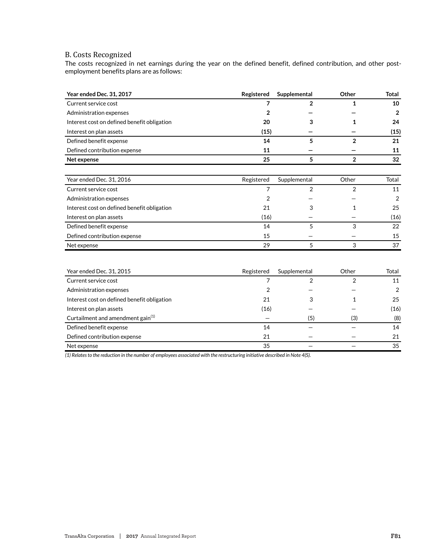## B. Costs Recognized

The costs recognized in net earnings during the year on the defined benefit, defined contribution, and other postemployment benefits plans are as follows:

| Year ended Dec. 31, 2017                      | Registered | Supplemental   | Other          | <b>Total</b>   |
|-----------------------------------------------|------------|----------------|----------------|----------------|
| Current service cost                          | 7          | $\overline{2}$ | 1              | 10             |
| Administration expenses                       | 2          |                |                | $\overline{2}$ |
| Interest cost on defined benefit obligation   | 20         | 3              | 1              | 24             |
| Interest on plan assets                       | (15)       |                |                | (15)           |
| Defined benefit expense                       | 14         | 5              | $\mathbf{2}$   | 21             |
| Defined contribution expense                  | 11         |                |                | 11             |
| Net expense                                   | 25         | 5              | $\overline{2}$ | 32             |
|                                               |            |                |                |                |
| Year ended Dec. 31, 2016                      | Registered | Supplemental   | Other          | Total          |
| Current service cost                          | 7          | $\overline{2}$ | 2              | 11             |
| Administration expenses                       | 2          |                |                | 2              |
| Interest cost on defined benefit obligation   | 21         | 3              | 1              | 25             |
| Interest on plan assets                       | (16)       |                |                | (16)           |
| Defined benefit expense                       | 14         | 5              | 3              | 22             |
| Defined contribution expense                  | 15         |                |                | 15             |
| Net expense                                   | 29         | 5              | 3              | 37             |
|                                               |            |                |                |                |
| Year ended Dec. 31, 2015                      | Registered | Supplemental   | Other          | Total          |
| Current service cost                          | 7          | 2              | 2              | 11             |
| Administration expenses                       | 2          |                |                | 2              |
| Interest cost on defined benefit obligation   | 21         | 3              | 1              | 25             |
| Interest on plan assets                       | (16)       |                |                | (16)           |
| Curtailment and amendment gain <sup>(1)</sup> |            | (5)            | (3)            | (8)            |
| Defined benefit expense                       | 14         |                |                | 14             |
| Defined contribution expense                  | 21         |                |                | 21             |
| Net expense                                   | 35         |                |                | 35             |

*(1) Relates to the reduction in the number of employees associated with the restructuring initiative described in Note 4(S).*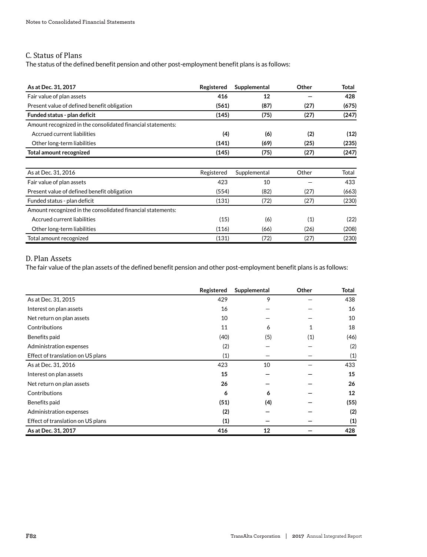## C. Status of Plans

The status of the defined benefit pension and other post-employment benefit plans is as follows:

| As at Dec. 31, 2017                                         | Registered | Supplemental | Other | Total |
|-------------------------------------------------------------|------------|--------------|-------|-------|
| Fair value of plan assets                                   | 416        | 12           |       | 428   |
| Present value of defined benefit obligation                 | (561)      | (87)         | (27)  | (675) |
| Funded status - plan deficit                                | (145)      | (75)         | (27)  | (247) |
| Amount recognized in the consolidated financial statements: |            |              |       |       |
| Accrued current liabilities                                 | (4)        | (6)          | (2)   | (12)  |
| Other long-term liabilities                                 | (141)      | (69)         | (25)  | (235) |
| Total amount recognized                                     | (145)      | (75)         | (27)  | (247) |
|                                                             |            |              |       |       |
| As at Dec. 31, 2016                                         | Registered | Supplemental | Other | Total |
| Fair value of plan assets                                   | 423        | 10           |       | 433   |
| Present value of defined benefit obligation                 | (554)      | (82)         | (27)  | (663) |
| Funded status - plan deficit                                | (131)      | (72)         | (27)  | (230) |
| Amount recognized in the consolidated financial statements: |            |              |       |       |
| Accrued current liabilities                                 | (15)       | (6)          | (1)   | (22)  |
| Other long-term liabilities                                 | (116)      | (66)         | (26)  | (208) |
| Total amount recognized                                     | (131)      | (72)         | (27)  | (230) |

## D. Plan Assets

The fair value of the plan assets of the defined benefit pension and other post-employment benefit plans is as follows:

|                                   | Registered | Supplemental | Other | Total |
|-----------------------------------|------------|--------------|-------|-------|
| As at Dec. 31, 2015               | 429        | 9            |       | 438   |
| Interest on plan assets           | 16         |              |       | 16    |
| Net return on plan assets         | 10         |              |       | 10    |
| Contributions                     | 11         | 6            | 1     | 18    |
| Benefits paid                     | (40)       | (5)          | (1)   | (46)  |
| Administration expenses           | (2)        |              |       | (2)   |
| Effect of translation on US plans | (1)        |              |       | (1)   |
| As at Dec. 31, 2016               | 423        | 10           |       | 433   |
| Interest on plan assets           | 15         |              |       | 15    |
| Net return on plan assets         | 26         |              |       | 26    |
| Contributions                     | 6          | 6            |       | 12    |
| Benefits paid                     | (51)       | (4)          |       | (55)  |
| Administration expenses           | (2)        |              |       | (2)   |
| Effect of translation on US plans | (1)        |              |       | (1)   |
| As at Dec. 31, 2017               | 416        | 12           |       | 428   |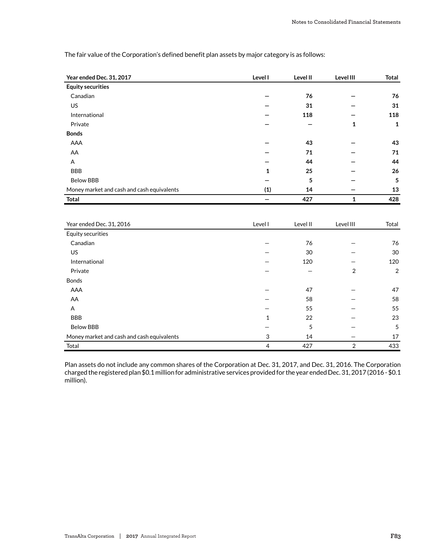| Year ended Dec. 31, 2017                   | Level I | Level II | Level III | Total |
|--------------------------------------------|---------|----------|-----------|-------|
| <b>Equity securities</b>                   |         |          |           |       |
| Canadian                                   |         | 76       |           | 76    |
| <b>US</b>                                  |         | 31       |           | 31    |
| International                              |         | 118      |           | 118   |
| Private                                    |         |          | 1         | 1     |
| <b>Bonds</b>                               |         |          |           |       |
| AAA                                        |         | 43       |           | 43    |
| AA                                         |         | 71       |           | 71    |
| Α                                          |         | 44       |           | 44    |
| <b>BBB</b>                                 | 1       | 25       |           | 26    |
| <b>Below BBB</b>                           |         | 5        |           | 5     |
| Money market and cash and cash equivalents | (1)     | 14       |           | 13    |
| <b>Total</b>                               |         | 427      | 1         | 428   |

The fair value of the Corporation's defined benefit plan assets by major category is as follows:

| Year ended Dec. 31, 2016                   | Level I      | Level II | Level III      | Total          |
|--------------------------------------------|--------------|----------|----------------|----------------|
| Equity securities                          |              |          |                |                |
| Canadian                                   |              | 76       |                | 76             |
| US                                         |              | 30       |                | 30             |
| International                              |              | 120      |                | 120            |
| Private                                    |              |          | $\overline{2}$ | $\overline{2}$ |
| <b>Bonds</b>                               |              |          |                |                |
| AAA                                        |              | 47       |                | 47             |
| AA                                         |              | 58       |                | 58             |
| A                                          |              | 55       |                | 55             |
| <b>BBB</b>                                 | $\mathbf{1}$ | 22       |                | 23             |
| <b>Below BBB</b>                           |              | 5        |                | 5              |
| Money market and cash and cash equivalents | 3            | 14       |                | 17             |
| Total                                      | 4            | 427      | $\overline{2}$ | 433            |

Plan assets do not include any common shares of the Corporation at Dec. 31, 2017, and Dec. 31, 2016. The Corporation charged the registered plan \$0.1 million for administrative services provided for the year ended Dec. 31, 2017 (2016 - \$0.1 million).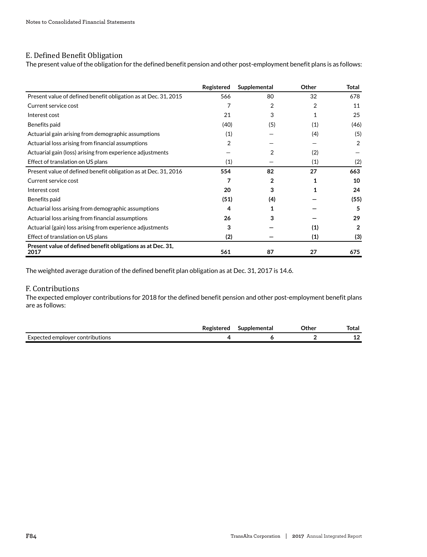## E. Defined Benefit Obligation

The present value of the obligation for the defined benefit pension and other post-employment benefit plans is as follows:

|                                                                     | Registered | Supplemental | Other | Total          |
|---------------------------------------------------------------------|------------|--------------|-------|----------------|
| Present value of defined benefit obligation as at Dec. 31, 2015     | 566        | 80           | 32    | 678            |
| Current service cost                                                | 7          | 2            | 2     | 11             |
| Interest cost                                                       | 21         | 3            | 1     | 25             |
| Benefits paid                                                       | (40)       | (5)          | (1)   | (46)           |
| Actuarial gain arising from demographic assumptions                 | (1)        |              | (4)   | (5)            |
| Actuarial loss arising from financial assumptions                   | 2          |              |       | 2              |
| Actuarial gain (loss) arising from experience adjustments           |            | 2            | (2)   |                |
| Effect of translation on US plans                                   | (1)        |              | (1)   | (2)            |
| Present value of defined benefit obligation as at Dec. 31, 2016     | 554        | 82           | 27    | 663            |
| Current service cost                                                |            | 2            |       | 10             |
| Interest cost                                                       | 20         | 3            |       | 24             |
| Benefits paid                                                       | (51)       | (4)          |       | (55)           |
| Actuarial loss arising from demographic assumptions                 | 4          |              |       | 5              |
| Actuarial loss arising from financial assumptions                   | 26         | 3            |       | 29             |
| Actuarial (gain) loss arising from experience adjustments           | 3          |              | (1)   | $\overline{2}$ |
| Effect of translation on US plans                                   | (2)        |              | (1)   | (3)            |
| Present value of defined benefit obligations as at Dec. 31,<br>2017 | 561        | 87           | 27    | 675            |

The weighted average duration of the defined benefit plan obligation as at Dec. 31, 2017 is 14.6.

## F. Contributions

The expected employer contributions for 2018 for the defined benefit pension and other post-employment benefit plans are as follows:

|                                 | Registered | Supplemental | つther | Total                          |
|---------------------------------|------------|--------------|-------|--------------------------------|
| Expected employer contributions |            |              |       | $\overline{\phantom{a}}$<br>-- |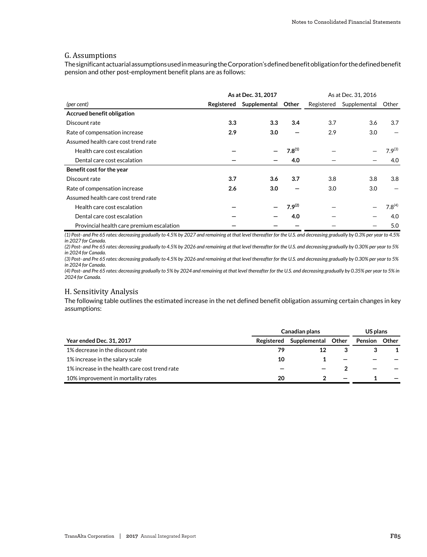## G. Assumptions

The significant actuarial assumptions used in measuring the Corporation's defined benefit obligation for the defined benefit pension and other post-employment benefit plans are as follows:

|                                           | As at Dec. 31, 2017 |              |             |            | As at Dec. 31, 2016 |             |
|-------------------------------------------|---------------------|--------------|-------------|------------|---------------------|-------------|
| (per cent)                                | Registered          | Supplemental | Other       | Registered | Supplemental        | Other       |
| Accrued benefit obligation                |                     |              |             |            |                     |             |
| Discount rate                             | 3.3                 | 3.3          | 3.4         | 3.7        | 3.6                 | 3.7         |
| Rate of compensation increase             | 2.9                 | 3.0          |             | 2.9        | 3.0                 |             |
| Assumed health care cost trend rate       |                     |              |             |            |                     |             |
| Health care cost escalation               |                     |              | $7.8^{(1)}$ |            |                     | $7.9^{(3)}$ |
| Dental care cost escalation               |                     |              | 4.0         |            |                     | 4.0         |
| Benefit cost for the year                 |                     |              |             |            |                     |             |
| Discount rate                             | 3.7                 | 3.6          | 3.7         | 3.8        | 3.8                 | 3.8         |
| Rate of compensation increase             | 2.6                 | 3.0          |             | 3.0        | 3.0                 |             |
| Assumed health care cost trend rate       |                     |              |             |            |                     |             |
| Health care cost escalation               |                     |              | $7.9^{(2)}$ |            |                     | $7.8^{(4)}$ |
| Dental care cost escalation               |                     |              | 4.0         |            |                     | 4.0         |
| Provincial health care premium escalation |                     |              |             |            |                     | 5.0         |

*(1) Post- and Pre 65 rates: decreasing gradually to 4.5% by 2027 and remaining at that level thereafter for the U.S. and decreasing gradually by 0.3% per year to 4.5% in 2027 for Canada.*

*(2) Post- and Pre 65 rates: decreasing gradually to 4.5% by 2026 and remaining at that level thereafter for the U.S. and decreasing gradually by 0.30% per year to 5% in 2024 for Canada.*

*(3) Post- and Pre 65 rates: decreasing gradually to 4.5% by 2026 and remaining at that level thereafter for the U.S. and decreasing gradually by 0.30% per year to 5% in 2024 for Canada.*

*(4) Post- and Pre 65 rates: decreasing gradually to 5% by 2024 and remaining at that level thereafter for the U.S. and decreasing gradually by 0.35% per year to 5% in 2024 for Canada.*

### H. Sensitivity Analysis

The following table outlines the estimated increase in the net defined benefit obligation assuming certain changes in key assumptions:

|                                                | Canadian plans |                    |                          |         |       |
|------------------------------------------------|----------------|--------------------|--------------------------|---------|-------|
| <b>Year ended Dec. 31, 2017</b>                | Registered     | Supplemental Other |                          | Pension | Other |
| 1% decrease in the discount rate               | 79             |                    |                          |         |       |
| 1% increase in the salary scale                | 10             |                    |                          |         |       |
| 1% increase in the health care cost trend rate |                |                    |                          |         |       |
| 10% improvement in mortality rates             | 20             |                    | $\overline{\phantom{0}}$ |         |       |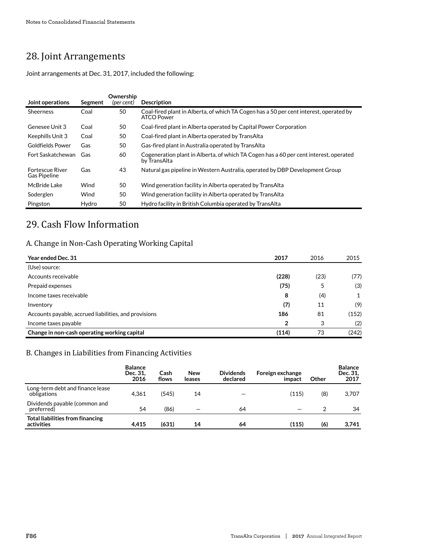# 28. Joint Arrangements

Joint arrangements at Dec. 31, 2017, included the following:

| Joint operations                              | Segment | Ownership<br>(per cent) | <b>Description</b>                                                                                    |
|-----------------------------------------------|---------|-------------------------|-------------------------------------------------------------------------------------------------------|
| <b>Sheerness</b>                              | Coal    | 50                      | Coal-fired plant in Alberta, of which TA Cogen has a 50 per cent interest, operated by<br>ATCO Power  |
| Genesee Unit 3                                | Coal    | 50                      | Coal-fired plant in Alberta operated by Capital Power Corporation                                     |
| Keephills Unit 3                              | Coal    | 50                      | Coal-fired plant in Alberta operated by TransAlta                                                     |
| Goldfields Power                              | Gas     | 50                      | Gas-fired plant in Australia operated by TransAlta                                                    |
| Fort Saskatchewan                             | Gas     | 60                      | Cogeneration plant in Alberta, of which TA Cogen has a 60 per cent interest, operated<br>by TransAlta |
| <b>Fortescue River</b><br><b>Gas Pipeline</b> | Gas     | 43                      | Natural gas pipeline in Western Australia, operated by DBP Development Group                          |
| McBride Lake                                  | Wind    | 50                      | Wind generation facility in Alberta operated by TransAlta                                             |
| Soderglen                                     | Wind    | 50                      | Wind generation facility in Alberta operated by TransAlta                                             |
| Pingston                                      | Hydro   | 50                      | Hydro facility in British Columbia operated by TransAlta                                              |

## 29. Cash Flow Information

## A. Change in Non-Cash Operating Working Capital

| Year ended Dec. 31                                    | 2017           | 2016 | 2015  |
|-------------------------------------------------------|----------------|------|-------|
| (Use) source:                                         |                |      |       |
| Accounts receivable                                   | (228)          | (23) | (77)  |
| Prepaid expenses                                      | (75)           | 5    | (3)   |
| Income taxes receivable                               | 8              | (4)  | 1     |
| Inventory                                             | (7)            | 11   | (9)   |
| Accounts payable, accrued liabilities, and provisions | 186            | 81   | (152) |
| Income taxes payable                                  | $\overline{2}$ | 3    | (2)   |
| Change in non-cash operating working capital          | (114)          | 73   | (242) |

## B. Changes in Liabilities from Financing Activities

|                                                       | <b>Balance</b><br>Dec. 31.<br>2016 | Cash<br>flows | <b>New</b><br>leases | <b>Dividends</b><br>declared | Foreign exchange<br>impact | Other | <b>Balance</b><br>Dec. 31.<br>2017 |
|-------------------------------------------------------|------------------------------------|---------------|----------------------|------------------------------|----------------------------|-------|------------------------------------|
| Long-term debt and finance lease<br>obligations       | 4.361                              | (545)         | 14                   |                              | (115)                      | (8)   | 3,707                              |
| Dividends payable (common and<br>preferred)           | 54                                 | (86)          |                      | 64                           |                            |       | 34                                 |
| <b>Total liabilities from financing</b><br>activities | 4,415                              | (631)         | 14                   | 64                           | (115)                      | (6)   | 3,741                              |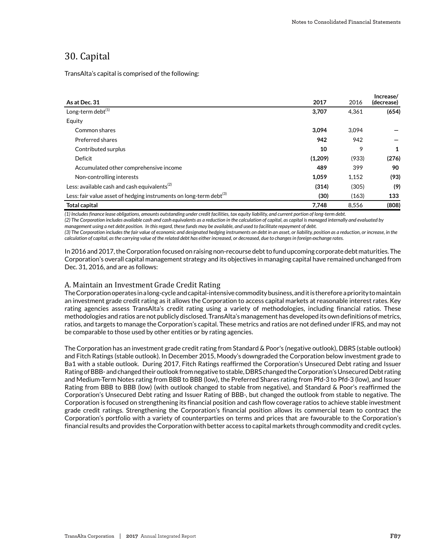## 30. Capital

TransAlta's capital is comprised of the following:

| As at Dec. 31                                                                  | 2017    | 2016  | Increase/<br>(decrease) |
|--------------------------------------------------------------------------------|---------|-------|-------------------------|
| Long-term debt <sup>(1)</sup>                                                  | 3,707   | 4.361 | (654)                   |
| Equity                                                                         |         |       |                         |
| Common shares                                                                  | 3,094   | 3.094 |                         |
| Preferred shares                                                               | 942     | 942   |                         |
| Contributed surplus                                                            | 10      | 9     | 1                       |
| Deficit                                                                        | (1,209) | (933) | (276)                   |
| Accumulated other comprehensive income                                         | 489     | 399   | 90                      |
| Non-controlling interests                                                      | 1,059   | 1.152 | (93)                    |
| Less: available cash and cash equivalents <sup>(2)</sup>                       | (314)   | (305) | (9)                     |
| Less: fair value asset of hedging instruments on long-term debt <sup>(3)</sup> | (30)    | (163) | 133                     |
| <b>Total capital</b>                                                           | 7,748   | 8.556 | (808)                   |
|                                                                                |         |       |                         |

*(1) Includes finance lease obligations, amounts outstanding under credit facilities, tax equity liability, and current portion of long-term debt.*

*(2) The Corporation includes available cash and cash equivalents as a reduction in the calculation of capital, as capital is managed internally and evaluated by management using a net debt position. In this regard, these funds may be available, and used to facilitate repayment of debt.*

*(3) The Corporation includes the fair value of economic and designated hedging instruments on debt in an asset, or liability, position as a reduction, or increase, in the*

*calculation of capital, as the carrying value of the related debt has either increased, or decreased, due to changes in foreign exchange rates.*

In 2016 and 2017, the Corporation focused on raising non-recourse debt to fund upcoming corporate debt maturities. The Corporation's overall capital management strategy and its objectives in managing capital have remained unchanged from Dec. 31, 2016, and are as follows:

## A. Maintain an Investment Grade Credit Rating

The Corporation operates in a long-cycle and capital-intensive commodity business, and it is therefore a priority to maintain an investment grade credit rating as it allows the Corporation to access capital markets at reasonable interest rates. Key rating agencies assess TransAlta's credit rating using a variety of methodologies, including financial ratios. These methodologies and ratios are not publicly disclosed. TransAlta's management has developed its own definitions of metrics, ratios, and targets to manage the Corporation's capital. These metrics and ratios are not defined under IFRS, and may not be comparable to those used by other entities or by rating agencies.

The Corporation has an investment grade credit rating from Standard & Poor's (negative outlook), DBRS (stable outlook) and Fitch Ratings (stable outlook). In December 2015, Moody's downgraded the Corporation below investment grade to Ba1 with a stable outlook. During 2017, Fitch Ratings reaffirmed the Corporation's Unsecured Debt rating and Issuer Rating of BBB- and changed their outlook from negative to stable, DBRS changed the Corporation's Unsecured Debt rating and Medium-Term Notes rating from BBB to BBB (low), the Preferred Shares rating from Pfd-3 to Pfd-3 (low), and Issuer Rating from BBB to BBB (low) (with outlook changed to stable from negative), and Standard & Poor's reaffirmed the Corporation's Unsecured Debt rating and Issuer Rating of BBB-, but changed the outlook from stable to negative. The Corporation is focused on strengthening its financial position and cash flow coverage ratios to achieve stable investment grade credit ratings. Strengthening the Corporation's financial position allows its commercial team to contract the Corporation's portfolio with a variety of counterparties on terms and prices that are favourable to the Corporation's financial results and provides the Corporation with better access to capital markets through commodity and credit cycles.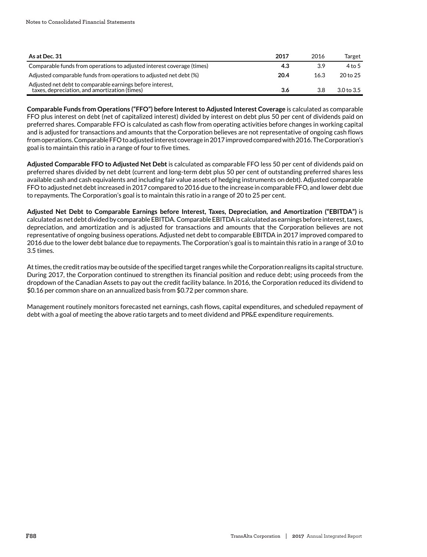| As at Dec. 31                                                                                              | 2017 | 2016 | Target                |
|------------------------------------------------------------------------------------------------------------|------|------|-----------------------|
| Comparable funds from operations to adjusted interest coverage (times)                                     | 4.3  | 3.9  | 4 to 5                |
| Adjusted comparable funds from operations to adjusted net debt (%)                                         | 20.4 | 16.3 | 20 to 25              |
| Adjusted net debt to comparable earnings before interest,<br>taxes, depreciation, and amortization (times) | 3.6  | 3.8  | 3.0 <sub>to</sub> 3.5 |

**Comparable Funds from Operations (" FFO" ) before Interest to Adjusted Interest Coverage** is calculated as comparable FFO plus interest on debt (net of capitalized interest) divided by interest on debt plus 50 per cent of dividends paid on preferred shares. Comparable FFO is calculated as cash flow from operating activities before changes in working capital and is adjusted for transactions and amounts that the Corporation believes are not representative of ongoing cash flows from operations. Comparable FFO to adjusted interest coverage in 2017 improved compared with 2016. The Corporation's goal is to maintain this ratio in a range of four to five times.

**Adjusted Comparable FFO to Adjusted Net Debt** is calculated as comparable FFO less 50 per cent of dividends paid on preferred shares divided by net debt (current and long-term debt plus 50 per cent of outstanding preferred shares less available cash and cash equivalents and including fair value assets of hedging instruments on debt). Adjusted comparable FFO to adjusted net debt increased in 2017 compared to 2016 due to the increase in comparable FFO, and lower debt due to repayments. The Corporation's goal is to maintain this ratio in a range of 20 to 25 per cent.

Adjusted Net Debt to Comparable Earnings before Interest, Taxes, Depreciation, and Amortization ("EBITDA") is calculated as net debt divided by comparable EBITDA. Comparable EBITDA is calculated as earnings before interest, taxes, depreciation, and amortization and is adjusted for transactions and amounts that the Corporation believes are not representative of ongoing business operations. Adjusted net debt to comparable EBITDA in 2017 improved compared to 2016 due to the lower debt balance due to repayments. The Corporation's goal is to maintain this ratio in a range of 3.0 to 3.5 times.

At times, the credit ratios may be outside of the specified target ranges while the Corporation realigns its capital structure. During 2017, the Corporation continued to strengthen its financial position and reduce debt; using proceeds from the dropdown of the Canadian Assets to pay out the credit facility balance. In 2016, the Corporation reduced its dividend to \$0.16 per common share on an annualized basis from \$0.72 per common share.

Management routinely monitors forecasted net earnings, cash flows, capital expenditures, and scheduled repayment of debt with a goal of meeting the above ratio targets and to meet dividend and PP&E expenditure requirements.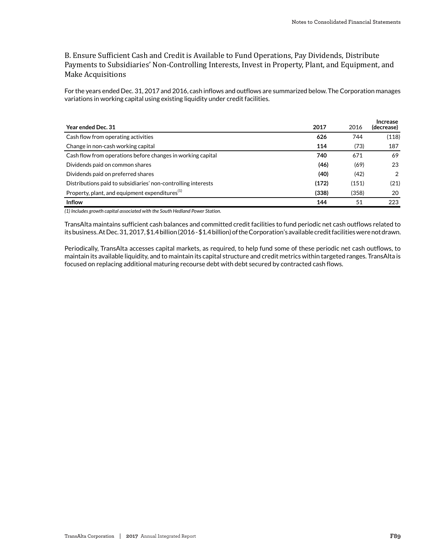## B. Ensure Sufficient Cash and Credit is Available to Fund Operations, Pay Dividends, Distribute Payments to Subsidiaries' Non-Controlling Interests, Invest in Property, Plant, and Equipment, and Make Acquisitions

For the years ended Dec. 31, 2017 and 2016, cash inflows and outflows are summarized below. The Corporation manages variations in working capital using existing liquidity under credit facilities.

| Year ended Dec. 31                                            | 2017  | 2016  | Increase<br>(decrease) |
|---------------------------------------------------------------|-------|-------|------------------------|
| Cash flow from operating activities                           | 626   | 744   | (118)                  |
| Change in non-cash working capital                            | 114   | (73)  | 187                    |
| Cash flow from operations before changes in working capital   | 740   | 671   | 69                     |
| Dividends paid on common shares                               | (46)  | (69)  | 23                     |
| Dividends paid on preferred shares                            | (40)  | (42)  | 2                      |
| Distributions paid to subsidiaries' non-controlling interests | (172) | (151) | (21)                   |
| Property, plant, and equipment expenditures <sup>(1)</sup>    | (338) | (358) | 20                     |
| <b>Inflow</b>                                                 | 144   | 51    | 223                    |

*(1) Includes growth capital associated with the South Hedland Power Station.*

TransAlta maintains sufficient cash balances and committed credit facilities to fund periodic net cash outflows related to its business. At Dec. 31, 2017, \$1.4 billion (2016 - \$1.4 billion) of the Corporation's available credit facilities were not drawn.

Periodically, TransAlta accesses capital markets, as required, to help fund some of these periodic net cash outflows, to maintain its available liquidity, and to maintain its capital structure and credit metrics within targeted ranges. TransAlta is focused on replacing additional maturing recourse debt with debt secured by contracted cash flows.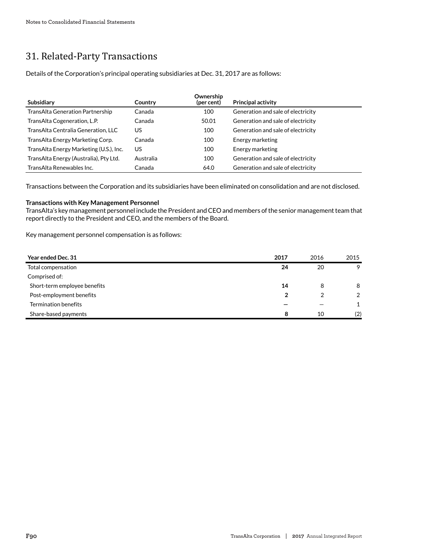# 31. Related-Party Transactions

Details of the Corporation's principal operating subsidiaries at Dec. 31, 2017 are as follows:

| <b>Subsidiary</b>                       | Country   | Ownership<br>(per cent) | <b>Principal activity</b>          |
|-----------------------------------------|-----------|-------------------------|------------------------------------|
| TransAlta Generation Partnership        | Canada    | 100                     | Generation and sale of electricity |
| TransAlta Cogeneration, L.P.            | Canada    | 50.01                   | Generation and sale of electricity |
| TransAlta Centralia Generation, LLC     | US        | 100                     | Generation and sale of electricity |
| TransAlta Energy Marketing Corp.        | Canada    | 100                     | Energy marketing                   |
| TransAlta Energy Marketing (U.S.), Inc. | US        | 100                     | Energy marketing                   |
| TransAlta Energy (Australia), Pty Ltd.  | Australia | 100                     | Generation and sale of electricity |
| TransAlta Renewables Inc.               | Canada    | 64.0                    | Generation and sale of electricity |

Transactions between the Corporation and its subsidiaries have been eliminated on consolidation and are not disclosed.

## **Transactions with Key Management Personnel**

TransAlta's key management personnel include the President and CEO and members of the senior management team that report directly to the President and CEO, and the members of the Board.

Key management personnel compensation is as follows:

| Year ended Dec. 31           | 2017 | 2016 | 2015           |
|------------------------------|------|------|----------------|
| Total compensation           | 24   | 20   | 9              |
| Comprised of:                |      |      |                |
| Short-term employee benefits | 14   | 8    | 8              |
| Post-employment benefits     | 2    |      | $\overline{2}$ |
| Termination benefits         |      |      |                |
| Share-based payments         | 8    | 10   | (2)            |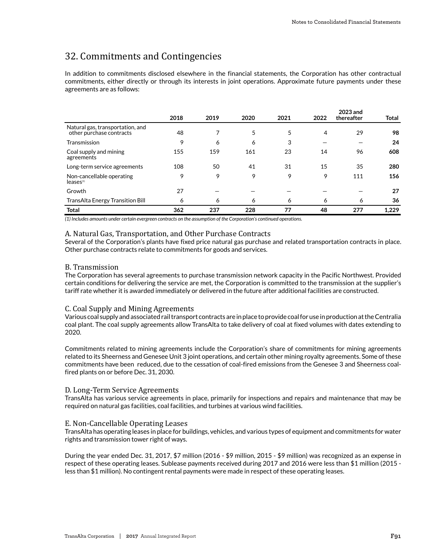## 32. Commitments and Contingencies

In addition to commitments disclosed elsewhere in the financial statements, the Corporation has other contractual commitments, either directly or through its interests in joint operations. Approximate future payments under these agreements are as follows:

|                                                              | 2018 | 2019 | 2020 | 2021 | 2022 | 2023 and<br>thereafter | <b>Total</b> |
|--------------------------------------------------------------|------|------|------|------|------|------------------------|--------------|
| Natural gas, transportation, and<br>other purchase contracts | 48   |      | 5    | 5    | 4    | 29                     | 98           |
| Transmission                                                 | 9    | 6    | 6    | 3    |      |                        | 24           |
| Coal supply and mining<br>agreements                         | 155  | 159  | 161  | 23   | 14   | 96                     | 608          |
| Long-term service agreements                                 | 108  | 50   | 41   | 31   | 15   | 35                     | 280          |
| Non-cancellable operating<br>leases <sup>(1)</sup>           | 9    | 9    | 9    | 9    | 9    | 111                    | 156          |
| Growth                                                       | 27   |      |      |      |      |                        | 27           |
| TransAlta Energy Transition Bill                             | 6    | 6    | 6    | 6    | 6    | 6                      | 36           |
| <b>Total</b>                                                 | 362  | 237  | 228  | 77   | 48   | 277                    | 1.229        |

*(1) Includes amounts under certain evergreen contracts on the assumption of the Corporation's continued operations.*

## A. Natural Gas, Transportation, and Other Purchase Contracts

Several of the Corporation's plants have fixed price natural gas purchase and related transportation contracts in place. Other purchase contracts relate to commitments for goods and services.

#### B. Transmission

The Corporation has several agreements to purchase transmission network capacity in the Pacific Northwest. Provided certain conditions for delivering the service are met, the Corporation is committed to the transmission at the supplier's tariff rate whether it is awarded immediately or delivered in the future after additional facilities are constructed.

#### C. Coal Supply and Mining Agreements

Various coal supply and associated rail transport contracts are in place to provide coal for use in production at the Centralia coal plant. The coal supply agreements allow TransAlta to take delivery of coal at fixed volumes with dates extending to 2020.

Commitments related to mining agreements include the Corporation's share of commitments for mining agreements related to its Sheerness and Genesee Unit 3 joint operations, and certain other mining royalty agreements. Some of these commitments have been reduced, due to the cessation of coal-fired emissions from the Genesee 3 and Sheerness coalfired plants on or before Dec. 31, 2030.

#### D. Long-Term Service Agreements

TransAlta has various service agreements in place, primarily for inspections and repairs and maintenance that may be required on natural gas facilities, coal facilities, and turbines at various wind facilities.

#### E. Non-Cancellable Operating Leases

TransAlta has operating leases in place for buildings, vehicles, and various types of equipment and commitments for water rights and transmission tower right of ways.

During the year ended Dec. 31, 2017, \$7 million (2016 - \$9 million, 2015 - \$9 million) was recognized as an expense in respect of these operating leases. Sublease payments received during 2017 and 2016 were less than \$1 million (2015 less than \$1 million). No contingent rental payments were made in respect of these operating leases.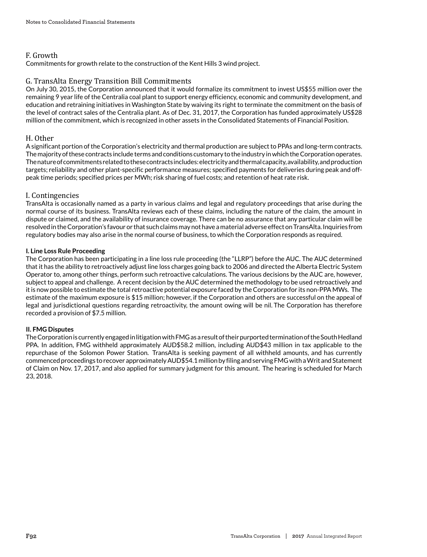## F. Growth

Commitments for growth relate to the construction of the Kent Hills 3 wind project.

## G. TransAlta Energy Transition Bill Commitments

On July 30, 2015, the Corporation announced that it would formalize its commitment to invest US\$55 million over the remaining 9 year life of the Centralia coal plant to support energy efficiency, economic and community development, and education and retraining initiatives in Washington State by waiving its right to terminate the commitment on the basis of the level of contract sales of the Centralia plant. As of Dec. 31, 2017, the Corporation has funded approximately US\$28 million of the commitment, which is recognized in other assets in the Consolidated Statements of Financial Position.

## H. Other

A significant portion of the Corporation's electricity and thermal production are subject to PPAs and long-term contracts. The majority of these contracts include terms and conditions customary to the industry in which the Corporation operates. The nature of commitments related to these contracts includes: electricity and thermal capacity, availability, and production targets; reliability and other plant-specific performance measures; specified payments for deliveries during peak and offpeak time periods; specified prices per MWh; risk sharing of fuel costs; and retention of heat rate risk.

## I. Contingencies

TransAlta is occasionally named as a party in various claims and legal and regulatory proceedings that arise during the normal course of its business. TransAlta reviews each of these claims, including the nature of the claim, the amount in dispute or claimed, and the availability of insurance coverage. There can be no assurance that any particular claim will be resolved in the Corporation's favour or that such claims may not have a material adverse effect on TransAlta. Inquiries from regulatory bodies may also arise in the normal course of business, to which the Corporation responds as required.

## **I. Line Loss Rule Proceeding**

The Corporation has been participating in a line loss rule proceeding (the "LLRP") before the AUC. The AUC determined that it has the ability to retroactively adjust line loss charges going back to 2006 and directed the Alberta Electric System Operator to, among other things, perform such retroactive calculations. The various decisions by the AUC are, however, subject to appeal and challenge. A recent decision by the AUC determined the methodology to be used retroactively and it is now possible to estimate the total retroactive potential exposure faced by the Corporation for its non-PPA MWs. The estimate of the maximum exposure is \$15 million; however, if the Corporation and others are successful on the appeal of legal and jurisdictional questions regarding retroactivity, the amount owing will be nil. The Corporation has therefore recorded a provision of \$7.5 million.

## **II. FMG Disputes**

The Corporation is currently engaged in litigation with FMG as a result of their purported termination of the South Hedland PPA. In addition, FMG withheld approximately AUD\$58.2 million, including AUD\$43 million in tax applicable to the repurchase of the Solomon Power Station. TransAlta is seeking payment of all withheld amounts, and has currently commenced proceedings to recover approximately AUD\$54.1 million by filing and serving FMG with a Writ and Statement of Claim on Nov. 17, 2017, and also applied for summary judgment for this amount. The hearing is scheduled for March 23, 2018.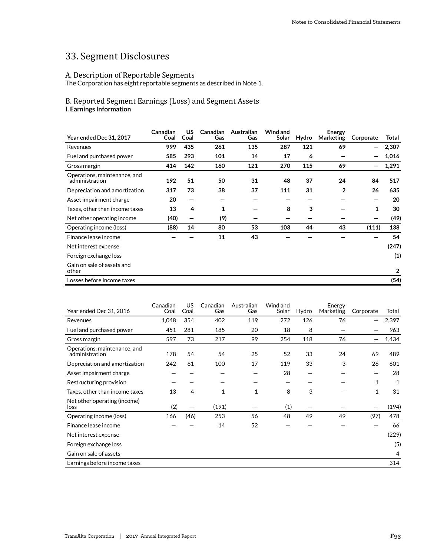# 33. Segment Disclosures

## A. Description of Reportable Segments

The Corporation has eight reportable segments as described in Note 1.

## B. Reported Segment Earnings (Loss) and Segment Assets **I. Earnings Information**

| Year ended Dec 31, 2017                        | Canadian<br>Coal | <b>US</b><br>Coal | Canadian<br>Gas | Australian<br>Gas | Wind and<br>Solar | Hydro | Energy<br><b>Marketing</b> | Corporate    | Total |
|------------------------------------------------|------------------|-------------------|-----------------|-------------------|-------------------|-------|----------------------------|--------------|-------|
| Revenues                                       | 999              | 435               | 261             | 135               | 287               | 121   | 69                         |              | 2,307 |
| Fuel and purchased power                       | 585              | 293               | 101             | 14                | 17                | 6     |                            |              | 1,016 |
| Gross margin                                   | 414              | 142               | 160             | 121               | 270               | 115   | 69                         |              | 1,291 |
| Operations, maintenance, and<br>administration | 192              | 51                | 50              | 31                | 48                | 37    | 24                         | 84           | 517   |
| Depreciation and amortization                  | 317              | 73                | 38              | 37                | 111               | 31    | $\overline{2}$             | 26           | 635   |
| Asset impairment charge                        | 20               | —                 |                 |                   |                   |       |                            |              | 20    |
| Taxes, other than income taxes                 | 13               | 4                 | 1               |                   | 8                 | 3     |                            | $\mathbf{1}$ | 30    |
| Net other operating income                     | (40)             | —                 | (9)             |                   |                   |       |                            |              | (49)  |
| Operating income (loss)                        | (88)             | 14                | 80              | 53                | 103               | 44    | 43                         | (111)        | 138   |
| Finance lease income                           |                  |                   | 11              | 43                |                   |       |                            |              | 54    |
| Net interest expense                           |                  |                   |                 |                   |                   |       |                            |              | (247) |
| Foreign exchange loss                          |                  |                   |                 |                   |                   |       |                            |              | (1)   |
| Gain on sale of assets and<br>other            |                  |                   |                 |                   |                   |       |                            |              | 2     |
| Losses before income taxes                     |                  |                   |                 |                   |                   |       |                            |              | (54)  |

| Year ended Dec 31, 2016                        | Canadian<br>Coal | US.<br>Coal | Canadian<br>Gas | Australian<br>Gas | Wind and<br>Solar | Hydro | Energy<br>Marketing | Corporate                | Total |
|------------------------------------------------|------------------|-------------|-----------------|-------------------|-------------------|-------|---------------------|--------------------------|-------|
| Revenues                                       | 1,048            | 354         | 402             | 119               | 272               | 126   | 76                  | $\overline{\phantom{m}}$ | 2,397 |
| Fuel and purchased power                       | 451              | 281         | 185             | 20                | 18                | 8     |                     |                          | 963   |
| Gross margin                                   | 597              | 73          | 217             | 99                | 254               | 118   | 76                  |                          | 1,434 |
| Operations, maintenance, and<br>administration | 178              | 54          | 54              | 25                | 52                | 33    | 24                  | 69                       | 489   |
| Depreciation and amortization                  | 242              | 61          | 100             | 17                | 119               | 33    | 3                   | 26                       | 601   |
| Asset impairment charge                        |                  |             |                 |                   | 28                |       |                     |                          | 28    |
| Restructuring provision                        |                  |             |                 |                   |                   |       |                     | 1                        | 1     |
| Taxes, other than income taxes                 | 13               | 4           | 1               | $\mathbf{1}$      | 8                 | 3     |                     | $\mathbf 1$              | 31    |
| Net other operating (income)<br>loss           | (2)              |             | (191)           |                   | (1)               |       |                     |                          | (194) |
| Operating income (loss)                        | 166              | (46)        | 253             | 56                | 48                | 49    | 49                  | (97)                     | 478   |
| Finance lease income                           |                  |             | 14              | 52                |                   |       |                     |                          | 66    |
| Net interest expense                           |                  |             |                 |                   |                   |       |                     |                          | (229) |
| Foreign exchange loss                          |                  |             |                 |                   |                   |       |                     |                          | (5)   |
| Gain on sale of assets                         |                  |             |                 |                   |                   |       |                     |                          | 4     |
| Earnings before income taxes                   |                  |             |                 |                   |                   |       |                     |                          | 314   |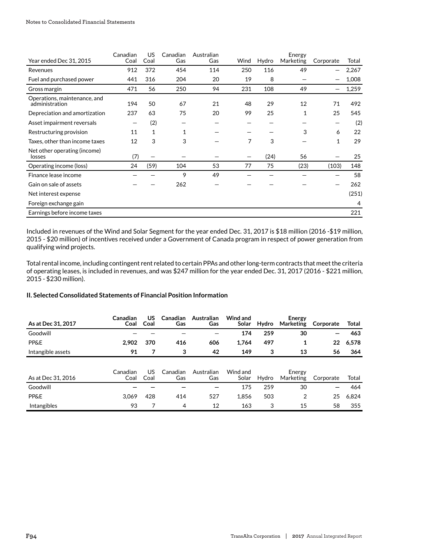| Year ended Dec 31, 2015                        | Canadian<br>Coal | US<br>Coal   | Canadian<br>Gas | Australian<br>Gas | Wind | Hydro | Energy<br>Marketing | Corporate    | Total |
|------------------------------------------------|------------------|--------------|-----------------|-------------------|------|-------|---------------------|--------------|-------|
| Revenues                                       | 912              | 372          | 454             | 114               | 250  | 116   | 49                  |              | 2,267 |
| Fuel and purchased power                       | 441              | 316          | 204             | 20                | 19   | 8     |                     |              | 1,008 |
| Gross margin                                   | 471              | 56           | 250             | 94                | 231  | 108   | 49                  |              | 1,259 |
| Operations, maintenance, and<br>administration | 194              | 50           | 67              | 21                | 48   | 29    | 12                  | 71           | 492   |
| Depreciation and amortization                  | 237              | 63           | 75              | 20                | 99   | 25    | 1                   | 25           | 545   |
| Asset impairment reversals                     |                  | (2)          |                 |                   |      |       |                     |              | (2)   |
| Restructuring provision                        | 11               | $\mathbf{1}$ | 1               |                   |      |       | 3                   | 6            | 22    |
| Taxes, other than income taxes                 | 12               | 3            | 3               |                   | 7    | 3     |                     | $\mathbf{1}$ | 29    |
| Net other operating (income)<br>losses         | (7)              |              |                 |                   |      | (24)  | 56                  |              | 25    |
| Operating income (loss)                        | 24               | (59)         | 104             | 53                | 77   | 75    | (23)                | (103)        | 148   |
| Finance lease income                           |                  |              | 9               | 49                |      |       |                     |              | 58    |
| Gain on sale of assets                         |                  |              | 262             |                   |      |       |                     |              | 262   |
| Net interest expense                           |                  |              |                 |                   |      |       |                     |              | (251) |
| Foreign exchange gain                          |                  |              |                 |                   |      |       |                     |              | 4     |
| Earnings before income taxes                   |                  |              |                 |                   |      |       |                     |              | 221   |

Included in revenues of the Wind and Solar Segment for the year ended Dec. 31, 2017 is \$18 million (2016 -\$19 million, 2015 - \$20 million) of incentives received under a Government of Canada program in respect of power generation from qualifying wind projects.

Total rental income, including contingent rent related to certain PPAs and other long-term contracts that meet the criteria of operating leases, is included in revenues, and was \$247 million for the year ended Dec. 31, 2017 (2016 - \$221 million, 2015 - \$230 million).

## **II. Selected Consolidated Statements of Financial Position Information**

| As at Dec 31, 2017 | Canadian<br>Coal | US<br>Coal | Canadian<br>Gas | Australian<br>Gas | Wind and<br>Solar | Hydro | Energy<br><b>Marketing</b> | Corporate | Total |
|--------------------|------------------|------------|-----------------|-------------------|-------------------|-------|----------------------------|-----------|-------|
| Goodwill           |                  |            |                 |                   | 174               | 259   | 30                         |           | 463   |
| <b>PP&amp;E</b>    | 2,902            | 370        | 416             | 606               | 1,764             | 497   | 1                          | 22        | 6,578 |
| Intangible assets  | 91               | 7          | 3               | 42                | 149               | 3     | 13                         | 56        | 364   |
|                    |                  |            |                 |                   |                   |       |                            |           |       |
| As at Dec 31, 2016 | Canadian<br>Coal | US<br>Coal | Canadian<br>Gas | Australian<br>Gas | Wind and<br>Solar | Hydro | Energy<br>Marketing        | Corporate | Total |
| Goodwill           |                  |            |                 |                   | 175               | 259   | 30                         |           | 464   |
| <b>PP&amp;E</b>    | 3,069            | 428        | 414             | 527               | 1.856             | 503   | 2                          | 25        | 6,824 |
| Intangibles        | 93               |            | 4               | 12                | 163               | 3     | 15                         | 58        | 355   |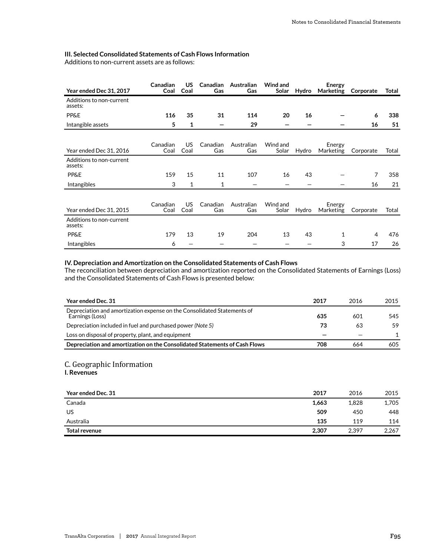## **III. Selected Consolidated Statements of Cash Flows Information**

Additions to non-current assets are as follows:

| Year ended Dec 31, 2017             | Canadian<br>Coal | US<br>Coal  | Canadian<br>Gas | Australian<br>Gas | Wind and<br>Solar | Hydro | <b>Energy</b><br>Marketing | Corporate      | <b>Total</b> |
|-------------------------------------|------------------|-------------|-----------------|-------------------|-------------------|-------|----------------------------|----------------|--------------|
| Additions to non-current<br>assets: |                  |             |                 |                   |                   |       |                            |                |              |
| <b>PP&amp;E</b>                     | 116              | 35          | 31              | 114               | 20                | 16    |                            | 6              | 338          |
| Intangible assets                   | 5                | 1           |                 | 29                |                   |       |                            | 16             | 51           |
| Year ended Dec 31, 2016             | Canadian<br>Coal | US.<br>Coal | Canadian<br>Gas | Australian<br>Gas | Wind and<br>Solar | Hydro | Energy<br>Marketing        | Corporate      | Total        |
| Additions to non-current<br>assets: |                  |             |                 |                   |                   |       |                            |                |              |
| <b>PP&amp;E</b>                     | 159              | 15          | 11              | 107               | 16                | 43    |                            | 7              | 358          |
| Intangibles                         | 3                | 1           | 1               |                   |                   |       |                            | 16             | 21           |
| Year ended Dec 31, 2015             | Canadian<br>Coal | US<br>Coal  | Canadian<br>Gas | Australian<br>Gas | Wind and<br>Solar | Hydro | Energy<br>Marketing        | Corporate      | Total        |
| Additions to non-current<br>assets: |                  |             |                 |                   |                   |       |                            |                |              |
| <b>PP&amp;E</b>                     | 179              | 13          | 19              | 204               | 13                | 43    | 1                          | $\overline{4}$ | 476          |
| Intangibles                         | 6                |             |                 |                   |                   |       | 3                          | 17             | 26           |

## **IV. Depreciation and Amortization on the Consolidated Statements of Cash Flows**

The reconciliation between depreciation and amortization reported on the Consolidated Statements of Earnings (Loss) and the Consolidated Statements of Cash Flows is presented below:

| Year ended Dec. 31                                                                         | 2017 | 2016 | 2015 |
|--------------------------------------------------------------------------------------------|------|------|------|
| Depreciation and amortization expense on the Consolidated Statements of<br>Earnings (Loss) | 635  | 601  | 545  |
| Depreciation included in fuel and purchased power (Note 5)                                 | 73   | 63   | 59   |
| Loss on disposal of property, plant, and equipment                                         |      |      |      |
| Depreciation and amortization on the Consolidated Statements of Cash Flows                 | 708  | 664  | 605  |

## C. Geographic Information

## **I. Revenues**

| Year ended Dec. 31   | 2017  | 2016  | 2015  |
|----------------------|-------|-------|-------|
| Canada               | 1,663 | 1,828 | 1,705 |
| US                   | 509   | 450   | 448   |
| Australia            | 135   | 119   | 114   |
| <b>Total revenue</b> | 2,307 | 2,397 | 2,267 |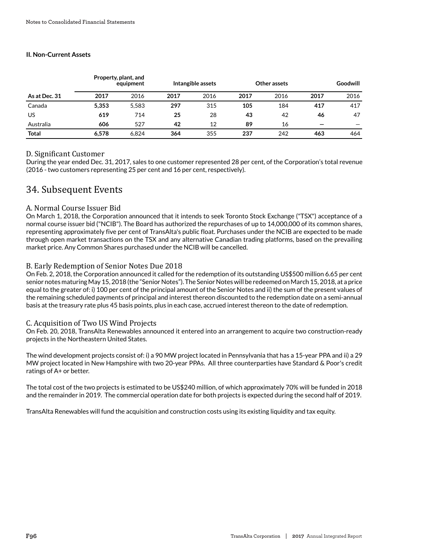## **II. Non-Current Assets**

|               |       | Property, plant, and<br>equipment | Intangible assets |      |      | Other assets | Goodwill                 |      |  |
|---------------|-------|-----------------------------------|-------------------|------|------|--------------|--------------------------|------|--|
| As at Dec. 31 | 2017  | 2016                              | 2017              | 2016 | 2017 | 2016         | 2017                     | 2016 |  |
| Canada        | 5,353 | 5,583                             | 297               | 315  | 105  | 184          | 417                      | 417  |  |
| US            | 619   | 714                               | 25                | 28   | 43   | 42           | 46                       | 47   |  |
| Australia     | 606   | 527                               | 42                | 12   | 89   | 16           | $\overline{\phantom{m}}$ |      |  |
| <b>Total</b>  | 6.578 | 6.824                             | 364               | 355  | 237  | 242          | 463                      | 464  |  |

## D. Significant Customer

During the year ended Dec. 31, 2017, sales to one customer represented 28 per cent, of the Corporation's total revenue (2016 - two customers representing 25 per cent and 16 per cent, respectively).

## 34. Subsequent Events

## A. Normal Course Issuer Bid

On March 1, 2018, the Corporation announced that it intends to seek Toronto Stock Exchange ("TSX") acceptance of a normal course issuer bid ("NCIB"). The Board has authorized the repurchases of up to 14,000,000 of its common shares, representing approximately five per cent of TransAlta's public float. Purchases under the NCIB are expected to be made through open market transactions on the TSX and any alternative Canadian trading platforms, based on the prevailing market price. Any Common Shares purchased under the NCIB will be cancelled.

## B. Early Redemption of Senior Notes Due 2018

On Feb. 2, 2018, the Corporation announced it called for the redemption of its outstanding US\$500 million 6.65 per cent senior notes maturing May 15, 2018 (the "Senior Notes"). The Senior Notes will be redeemed on March 15, 2018, at a price equal to the greater of: i) 100 per cent of the principal amount of the Senior Notes and ii) the sum of the present values of the remaining scheduled payments of principal and interest thereon discounted to the redemption date on a semi-annual basis at the treasury rate plus 45 basis points, plus in each case, accrued interest thereon to the date of redemption.

## C. Acquisition of Two US Wind Projects

On Feb. 20, 2018, TransAlta Renewables announced it entered into an arrangement to acquire two construction-ready projects in the Northeastern United States.

The wind development projects consist of: i) a 90 MW project located in Pennsylvania that has a 15-year PPA and ii) a 29 MW project located in New Hampshire with two 20-year PPAs. All three counterparties have Standard & Poor's credit ratings of A+ or better.

The total cost of the two projects is estimated to be US\$240 million, of which approximately 70% will be funded in 2018 and the remainder in 2019. The commercial operation date for both projects is expected during the second half of 2019.

TransAlta Renewables will fund the acquisition and construction costs using its existing liquidity and tax equity.